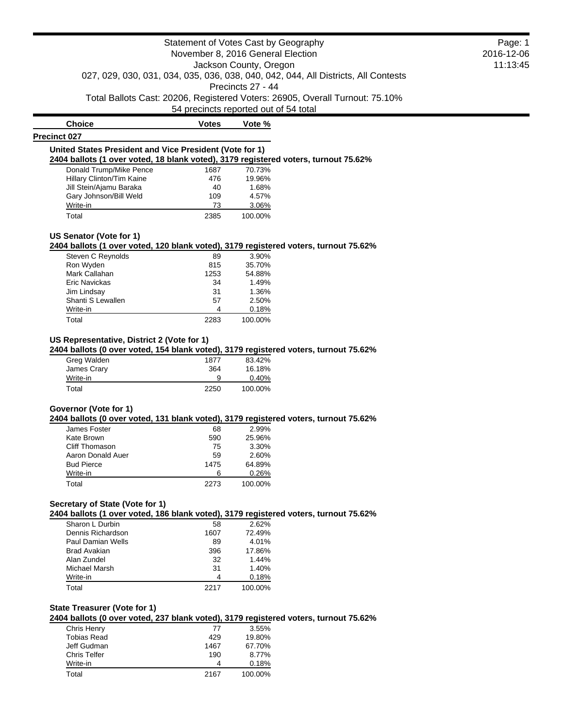54 precincts reported out of 54 total

| <b>Choice</b>                                                                       | Votes | Vote % |  |
|-------------------------------------------------------------------------------------|-------|--------|--|
| <b>Precinct 027</b>                                                                 |       |        |  |
| United States President and Vice President (Vote for 1)                             |       |        |  |
| 2404 ballots (1 over voted, 18 blank voted), 3179 registered voters, turnout 75.62% |       |        |  |
| Donald Trump/Mike Pence                                                             | 1687  | 70.73% |  |
| Hillary Clinton/Tim Kaine                                                           | 476   | 19.96% |  |
| Jill Stein/Ajamu Baraka                                                             | 40    | 1.68%  |  |
| Gary Johnson/Bill Weld                                                              | 109   | 4.57%  |  |
| Write-in                                                                            | 73    | 3.06%  |  |

Total 2385 100.00%

#### **US Senator (Vote for 1)**

**2404 ballots (1 over voted, 120 blank voted), 3179 registered voters, turnout 75.62%**

| Steven C Reynolds    | 89   | 3.90%   |
|----------------------|------|---------|
| Ron Wyden            | 815  | 35.70%  |
| Mark Callahan        | 1253 | 54.88%  |
| <b>Eric Navickas</b> | 34   | 1.49%   |
| Jim Lindsay          | 31   | 1.36%   |
| Shanti S Lewallen    | 57   | 2.50%   |
| Write-in             | 4    | 0.18%   |
| Total                | 2283 | 100.00% |

## **US Representative, District 2 (Vote for 1)**

**2404 ballots (0 over voted, 154 blank voted), 3179 registered voters, turnout 75.62%**

| Greg Walden | 1877 | 83.42%  |
|-------------|------|---------|
| James Crary | 364  | 16.18%  |
| Write-in    | 9    | 0.40%   |
| Total       | 2250 | 100.00% |

## **Governor (Vote for 1)**

**2404 ballots (0 over voted, 131 blank voted), 3179 registered voters, turnout 75.62%**

| James Foster      | 68   | 2.99%   |
|-------------------|------|---------|
| Kate Brown        | 590  | 25.96%  |
| Cliff Thomason    | 75   | 3.30%   |
| Aaron Donald Auer | 59   | 2.60%   |
| <b>Bud Pierce</b> | 1475 | 64.89%  |
| Write-in          | ค    | 0.26%   |
| Total             | 2273 | 100.00% |

## **Secretary of State (Vote for 1)**

**2404 ballots (1 over voted, 186 blank voted), 3179 registered voters, turnout 75.62%**

| Sharon L Durbin   | 58   | 2.62%   |
|-------------------|------|---------|
| Dennis Richardson | 1607 | 72.49%  |
| Paul Damian Wells | 89   | 4.01%   |
| Brad Avakian      | 396  | 17.86%  |
| Alan Zundel       | 32   | 1.44%   |
| Michael Marsh     | 31   | 1.40%   |
| Write-in          | 4    | 0.18%   |
| Total             | 2217 | 100.00% |
|                   |      |         |

## **State Treasurer (Vote for 1)**

**2404 ballots (0 over voted, 237 blank voted), 3179 registered voters, turnout 75.62%**

| Chris Henry         | 77   | 3.55%   |
|---------------------|------|---------|
| <b>Tobias Read</b>  | 429  | 19.80%  |
| Jeff Gudman         | 1467 | 67.70%  |
| <b>Chris Telfer</b> | 190  | 8.77%   |
| Write-in            | Δ    | 0.18%   |
| Total               | 2167 | 100.00% |

Page: 1 2016-12-06 11:13:45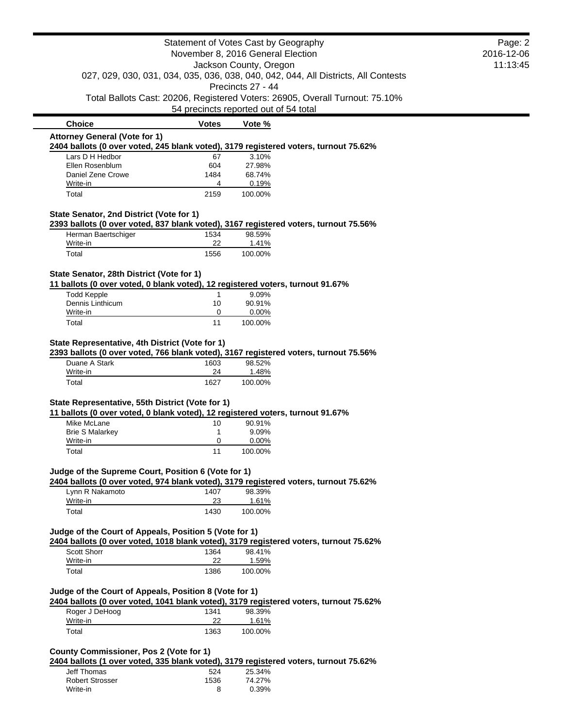|                                                                                                                                                 |              | Statement of Votes Cast by Geography  |                                                                                    | Page: 2    |
|-------------------------------------------------------------------------------------------------------------------------------------------------|--------------|---------------------------------------|------------------------------------------------------------------------------------|------------|
|                                                                                                                                                 |              | November 8, 2016 General Election     |                                                                                    | 2016-12-06 |
|                                                                                                                                                 |              | Jackson County, Oregon                |                                                                                    | 11:13:45   |
|                                                                                                                                                 |              |                                       | 027, 029, 030, 031, 034, 035, 036, 038, 040, 042, 044, All Districts, All Contests |            |
|                                                                                                                                                 |              | Precincts 27 - 44                     |                                                                                    |            |
|                                                                                                                                                 |              | 54 precincts reported out of 54 total | Total Ballots Cast: 20206, Registered Voters: 26905, Overall Turnout: 75.10%       |            |
| <b>Choice</b>                                                                                                                                   | <b>Votes</b> | Vote %                                |                                                                                    |            |
| <b>Attorney General (Vote for 1)</b>                                                                                                            |              |                                       |                                                                                    |            |
| 2404 ballots (0 over voted, 245 blank voted), 3179 registered voters, turnout 75.62%                                                            |              |                                       |                                                                                    |            |
| Lars D H Hedbor                                                                                                                                 | 67           | 3.10%                                 |                                                                                    |            |
| Ellen Rosenblum<br>Daniel Zene Crowe                                                                                                            | 604<br>1484  | 27.98%<br>68.74%                      |                                                                                    |            |
| Write-in                                                                                                                                        | 4            | 0.19%                                 |                                                                                    |            |
| Total                                                                                                                                           | 2159         | 100.00%                               |                                                                                    |            |
|                                                                                                                                                 |              |                                       |                                                                                    |            |
| State Senator, 2nd District (Vote for 1)                                                                                                        |              |                                       |                                                                                    |            |
| 2393 ballots (0 over voted, 837 blank voted), 3167 registered voters, turnout 75.56%<br>Herman Baertschiger                                     | 1534         | 98.59%                                |                                                                                    |            |
| Write-in                                                                                                                                        | 22           | 1.41%                                 |                                                                                    |            |
| Total                                                                                                                                           | 1556         | 100.00%                               |                                                                                    |            |
|                                                                                                                                                 |              |                                       |                                                                                    |            |
| State Senator, 28th District (Vote for 1)                                                                                                       |              |                                       |                                                                                    |            |
| 11 ballots (0 over voted, 0 blank voted), 12 registered voters, turnout 91.67%<br><b>Todd Kepple</b>                                            | 1            | 9.09%                                 |                                                                                    |            |
| Dennis Linthicum                                                                                                                                | 10           | 90.91%                                |                                                                                    |            |
| Write-in                                                                                                                                        | 0            | 0.00%                                 |                                                                                    |            |
| Total                                                                                                                                           | 11           | 100.00%                               |                                                                                    |            |
|                                                                                                                                                 |              |                                       |                                                                                    |            |
| State Representative, 4th District (Vote for 1)<br>2393 ballots (0 over voted, 766 blank voted), 3167 registered voters, turnout 75.56%         |              |                                       |                                                                                    |            |
| Duane A Stark                                                                                                                                   | 1603         | 98.52%                                |                                                                                    |            |
| Write-in                                                                                                                                        | 24           | 1.48%                                 |                                                                                    |            |
| Total                                                                                                                                           | 1627         | 100.00%                               |                                                                                    |            |
|                                                                                                                                                 |              |                                       |                                                                                    |            |
| State Representative, 55th District (Vote for 1)<br>11 ballots (0 over voted, 0 blank voted), 12 registered voters, turnout 91.67%              |              |                                       |                                                                                    |            |
| Mike McLane                                                                                                                                     | 10           | 90.91%                                |                                                                                    |            |
| <b>Brie S Malarkey</b>                                                                                                                          | 1            | 9.09%                                 |                                                                                    |            |
| Write-in                                                                                                                                        | 0            | 0.00%                                 |                                                                                    |            |
| Total                                                                                                                                           | 11           | 100.00%                               |                                                                                    |            |
|                                                                                                                                                 |              |                                       |                                                                                    |            |
| Judge of the Supreme Court, Position 6 (Vote for 1)<br>2404 ballots (0 over voted, 974 blank voted), 3179 registered voters, turnout 75.62%     |              |                                       |                                                                                    |            |
| Lynn R Nakamoto                                                                                                                                 | 1407         | 98.39%                                |                                                                                    |            |
| Write-in                                                                                                                                        | 23           | 1.61%                                 |                                                                                    |            |
| Total                                                                                                                                           | 1430         | 100.00%                               |                                                                                    |            |
|                                                                                                                                                 |              |                                       |                                                                                    |            |
| Judge of the Court of Appeals, Position 5 (Vote for 1)<br>2404 ballots (0 over voted, 1018 blank voted), 3179 registered voters, turnout 75.62% |              |                                       |                                                                                    |            |
| Scott Shorr                                                                                                                                     | 1364         | 98.41%                                |                                                                                    |            |
| Write-in                                                                                                                                        | 22           | 1.59%                                 |                                                                                    |            |
| Total                                                                                                                                           | 1386         | 100.00%                               |                                                                                    |            |
|                                                                                                                                                 |              |                                       |                                                                                    |            |
| Judge of the Court of Appeals, Position 8 (Vote for 1)                                                                                          |              |                                       |                                                                                    |            |
| 2404 ballots (0 over voted, 1041 blank voted), 3179 registered voters, turnout 75.62%                                                           |              |                                       |                                                                                    |            |
| Roger J DeHoog                                                                                                                                  | 1341<br>22   | 98.39%                                |                                                                                    |            |
| Write-in                                                                                                                                        |              | 1.61%                                 |                                                                                    |            |
| Total                                                                                                                                           | 1363         | 100.00%                               |                                                                                    |            |
| <b>County Commissioner, Pos 2 (Vote for 1)</b>                                                                                                  |              |                                       |                                                                                    |            |
| 2404 ballots (1 over voted, 335 blank voted), 3179 registered voters, turnout 75.62%                                                            |              |                                       |                                                                                    |            |
| Jeff Thomas                                                                                                                                     | 524          | 25.34%                                |                                                                                    |            |
| <b>Robert Strosser</b>                                                                                                                          | 1536         | 74.27%                                |                                                                                    |            |
| Write-in                                                                                                                                        | 8            | 0.39%                                 |                                                                                    |            |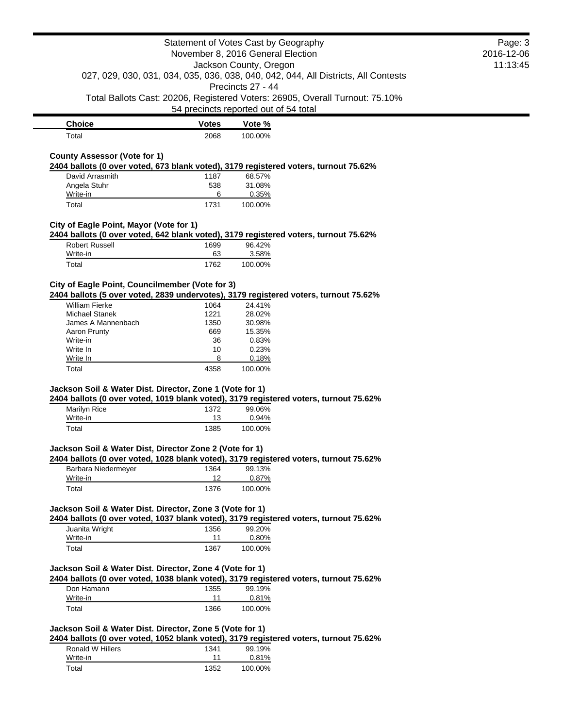54 precincts reported out of 54 total

| <b>Choice</b> | <b>Votes</b> | Vote %  |
|---------------|--------------|---------|
| Total         | 2068         | 100.00% |

## **County Assessor (Vote for 1)**

**2404 ballots (0 over voted, 673 blank voted), 3179 registered voters, turnout 75.62%**

| David Arrasmith | 1187 | 68.57%  |
|-----------------|------|---------|
| Angela Stuhr    | 538  | 31.08%  |
| Write-in        | 6    | 0.35%   |
| Total           | 1731 | 100.00% |

### **City of Eagle Point, Mayor (Vote for 1)**

**2404 ballots (0 over voted, 642 blank voted), 3179 registered voters, turnout 75.62%**

| <b>Robert Russell</b> | 1699 | 96.42%  |
|-----------------------|------|---------|
| Write-in              | 63   | 3.58%   |
| Total                 | 1762 | 100.00% |

## **City of Eagle Point, Councilmember (Vote for 3)**

**2404 ballots (5 over voted, 2839 undervotes), 3179 registered voters, turnout 75.62%**

| William Fierke     | 1064 | 24.41%  |
|--------------------|------|---------|
| Michael Stanek     | 1221 | 28.02%  |
| James A Mannenbach | 1350 | 30.98%  |
| Aaron Prunty       | 669  | 15.35%  |
| Write-in           | 36   | 0.83%   |
| Write In           | 10   | 0.23%   |
| Write In           | 8    | 0.18%   |
| Total              | 4358 | 100.00% |
|                    |      |         |

## **Jackson Soil & Water Dist. Director, Zone 1 (Vote for 1)**

**2404 ballots (0 over voted, 1019 blank voted), 3179 registered voters, turnout 75.62%**

| Marilyn Rice | 1372 | 99.06%   |
|--------------|------|----------|
| Write-in     | 13   | $0.94\%$ |
| Total        | 1385 | 100.00%  |

### **Jackson Soil & Water Dist, Director Zone 2 (Vote for 1)**

**2404 ballots (0 over voted, 1028 blank voted), 3179 registered voters, turnout 75.62%**

| Barbara Niedermeyer | 1364 | 99.13%  |
|---------------------|------|---------|
| Write-in            | 12   | 0.87%   |
| Total               | 1376 | 100.00% |

#### **Jackson Soil & Water Dist. Director, Zone 3 (Vote for 1)**

**2404 ballots (0 over voted, 1037 blank voted), 3179 registered voters, turnout 75.62%**

| Juanita Wright | 1356 | 99.20%   |
|----------------|------|----------|
| Write-in       | 11   | $0.80\%$ |
| Total          | 1367 | 100.00%  |

### **Jackson Soil & Water Dist. Director, Zone 4 (Vote for 1)**

**2404 ballots (0 over voted, 1038 blank voted), 3179 registered voters, turnout 75.62%**

| Don Hamann | 1355 | 99.19%  |
|------------|------|---------|
| Write-in   | 11   | 0.81%   |
| Total      | 1366 | 100.00% |

## **Jackson Soil & Water Dist. Director, Zone 5 (Vote for 1)**

**2404 ballots (0 over voted, 1052 blank voted), 3179 registered voters, turnout 75.62%**

| Ronald W Hillers | 1341 | 99.19%  |
|------------------|------|---------|
| Write-in         |      | 0.81%   |
| Total            | 1352 | 100.00% |

## Page: 3 2016-12-06 11:13:45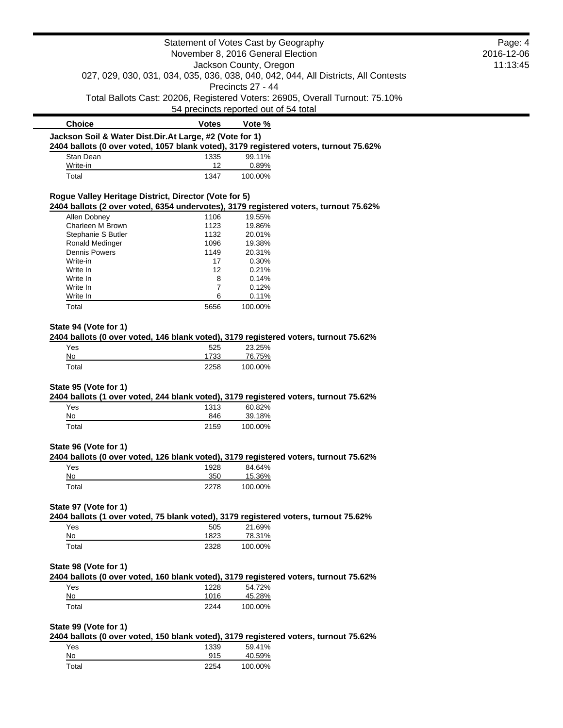|                                                                                                                                                   |                | Statement of Votes Cast by Geography  |                                                                              | Page: 4 |
|---------------------------------------------------------------------------------------------------------------------------------------------------|----------------|---------------------------------------|------------------------------------------------------------------------------|---------|
| November 8, 2016 General Election<br>Jackson County, Oregon<br>027, 029, 030, 031, 034, 035, 036, 038, 040, 042, 044, All Districts, All Contests |                | 2016-12-06                            |                                                                              |         |
|                                                                                                                                                   |                | 11:13:45                              |                                                                              |         |
|                                                                                                                                                   |                |                                       |                                                                              |         |
|                                                                                                                                                   |                | Precincts 27 - 44                     |                                                                              |         |
|                                                                                                                                                   |                |                                       | Total Ballots Cast: 20206, Registered Voters: 26905, Overall Turnout: 75.10% |         |
|                                                                                                                                                   |                | 54 precincts reported out of 54 total |                                                                              |         |
| <b>Choice</b>                                                                                                                                     | <b>Votes</b>   | Vote %                                |                                                                              |         |
| Jackson Soil & Water Dist.Dir.At Large, #2 (Vote for 1)<br>2404 ballots (0 over voted, 1057 blank voted), 3179 registered voters, turnout 75.62%  |                |                                       |                                                                              |         |
| Stan Dean                                                                                                                                         | 1335           | 99.11%                                |                                                                              |         |
| Write-in                                                                                                                                          | 12             | 0.89%                                 |                                                                              |         |
| Total                                                                                                                                             | 1347           | 100.00%                               |                                                                              |         |
| Rogue Valley Heritage District, Director (Vote for 5)                                                                                             |                |                                       |                                                                              |         |
| 2404 ballots (2 over voted, 6354 undervotes), 3179 registered voters, turnout 75.62%                                                              |                |                                       |                                                                              |         |
| Allen Dobney                                                                                                                                      | 1106           | 19.55%                                |                                                                              |         |
| Charleen M Brown                                                                                                                                  | 1123           | 19.86%                                |                                                                              |         |
| Stephanie S Butler                                                                                                                                | 1132           | 20.01%                                |                                                                              |         |
| Ronald Medinger                                                                                                                                   | 1096           | 19.38%                                |                                                                              |         |
| <b>Dennis Powers</b>                                                                                                                              | 1149           | 20.31%                                |                                                                              |         |
| Write-in                                                                                                                                          | 17             | 0.30%                                 |                                                                              |         |
| Write In                                                                                                                                          | 12             | 0.21%                                 |                                                                              |         |
| Write In                                                                                                                                          | 8              | 0.14%                                 |                                                                              |         |
| Write In                                                                                                                                          | $\overline{7}$ | 0.12%                                 |                                                                              |         |
|                                                                                                                                                   |                |                                       |                                                                              |         |
| Write In                                                                                                                                          | 6              | 0.11%                                 |                                                                              |         |
| Total                                                                                                                                             | 5656           | 100.00%                               |                                                                              |         |
| No                                                                                                                                                | 1733           | 76.75%                                |                                                                              |         |
| Total                                                                                                                                             | 2258           | 100.00%                               |                                                                              |         |
| State 95 (Vote for 1)                                                                                                                             |                |                                       |                                                                              |         |
| 2404 ballots (1 over voted, 244 blank voted), 3179 registered voters, turnout 75.62%                                                              |                |                                       |                                                                              |         |
| Yes                                                                                                                                               | 1313           | 60.82%                                |                                                                              |         |
| No                                                                                                                                                | 846            | 39.18%                                |                                                                              |         |
| Total                                                                                                                                             | 2159           | 100.00%                               |                                                                              |         |
| State 96 (Vote for 1)                                                                                                                             |                |                                       |                                                                              |         |
| 2404 ballots (0 over voted, 126 blank voted), 3179 registered voters, turnout 75.62%                                                              |                |                                       |                                                                              |         |
| Yes<br>$No$                                                                                                                                       | 1928<br>350    | 84.64%<br>15.36%                      |                                                                              |         |
| Total                                                                                                                                             | 2278           | 100.00%                               |                                                                              |         |
| State 97 (Vote for 1)                                                                                                                             |                |                                       |                                                                              |         |
| 2404 ballots (1 over voted, 75 blank voted), 3179 registered voters, turnout 75.62%                                                               |                |                                       |                                                                              |         |
| Yes                                                                                                                                               | 505            | 21.69%                                |                                                                              |         |
| No                                                                                                                                                | 1823           | 78.31%                                |                                                                              |         |
| Total                                                                                                                                             | 2328           | 100.00%                               |                                                                              |         |
| State 98 (Vote for 1)                                                                                                                             |                |                                       |                                                                              |         |
| 2404 ballots (0 over voted, 160 blank voted), 3179 registered voters, turnout 75.62%                                                              |                |                                       |                                                                              |         |
| Yes                                                                                                                                               | 1228           | 54.72%                                |                                                                              |         |
| No                                                                                                                                                |                |                                       |                                                                              |         |
|                                                                                                                                                   |                |                                       |                                                                              |         |
| Total                                                                                                                                             | 1016           | 45.28%                                |                                                                              |         |
|                                                                                                                                                   | 2244           | 100.00%                               |                                                                              |         |
|                                                                                                                                                   |                |                                       |                                                                              |         |
| State 99 (Vote for 1)<br>2404 ballots (0 over voted, 150 blank voted), 3179 registered voters, turnout 75.62%                                     |                |                                       |                                                                              |         |
| Yes                                                                                                                                               | 1339           | 59.41%<br>40.59%                      |                                                                              |         |

Total 2254 100.00%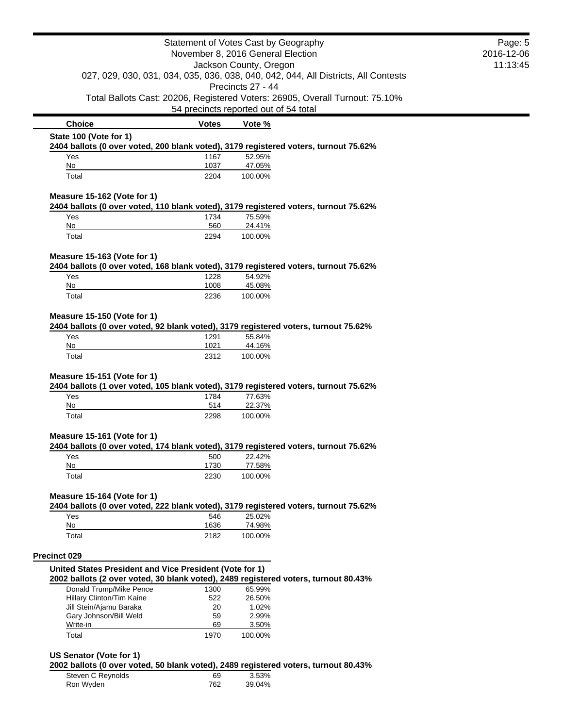|                                                                                                                     |              | Statement of Votes Cast by Geography  |                                                                              | Page: 5 |
|---------------------------------------------------------------------------------------------------------------------|--------------|---------------------------------------|------------------------------------------------------------------------------|---------|
| November 8, 2016 General Election<br>Jackson County, Oregon                                                         |              | 2016-12-06                            |                                                                              |         |
|                                                                                                                     |              | 11:13:45                              |                                                                              |         |
| 027, 029, 030, 031, 034, 035, 036, 038, 040, 042, 044, All Districts, All Contests<br>Precincts 27 - 44             |              |                                       |                                                                              |         |
|                                                                                                                     |              | 54 precincts reported out of 54 total | Total Ballots Cast: 20206, Registered Voters: 26905, Overall Turnout: 75.10% |         |
| <b>Choice</b>                                                                                                       | Votes        | Vote %                                |                                                                              |         |
| State 100 (Vote for 1)                                                                                              |              |                                       |                                                                              |         |
| 2404 ballots (0 over voted, 200 blank voted), 3179 registered voters, turnout 75.62%<br>Yes                         | 1167         | 52.95%                                |                                                                              |         |
| No                                                                                                                  | 1037         | 47.05%                                |                                                                              |         |
| Total                                                                                                               | 2204         | 100.00%                               |                                                                              |         |
| Measure 15-162 (Vote for 1)                                                                                         |              |                                       |                                                                              |         |
| 2404 ballots (0 over voted, 110 blank voted), 3179 registered voters, turnout 75.62%                                |              |                                       |                                                                              |         |
| Yes                                                                                                                 | 1734         | 75.59%                                |                                                                              |         |
| $No$<br>Total                                                                                                       | 560<br>2294  | 24.41%<br>100.00%                     |                                                                              |         |
|                                                                                                                     |              |                                       |                                                                              |         |
| Measure 15-163 (Vote for 1)<br>2404 ballots (0 over voted, 168 blank voted), 3179 registered voters, turnout 75.62% |              |                                       |                                                                              |         |
| Yes                                                                                                                 | 1228         | 54.92%                                |                                                                              |         |
| No                                                                                                                  | 1008         | 45.08%                                |                                                                              |         |
| Total                                                                                                               | 2236         | 100.00%                               |                                                                              |         |
| Measure 15-150 (Vote for 1)                                                                                         |              |                                       |                                                                              |         |
| 2404 ballots (0 over voted, 92 blank voted), 3179 registered voters, turnout 75.62%                                 |              |                                       |                                                                              |         |
|                                                                                                                     |              |                                       |                                                                              |         |
| Yes                                                                                                                 | 1291         | 55.84%                                |                                                                              |         |
| No<br>Total<br>Measure 15-151 (Vote for 1)                                                                          | 1021<br>2312 | 44.16%<br>100.00%                     |                                                                              |         |
| 2404 ballots (1 over voted, 105 blank voted), 3179 registered voters, turnout 75.62%<br>Yes                         | 1784         | 77.63%                                |                                                                              |         |
| No                                                                                                                  | 514          | 22.37%                                |                                                                              |         |
| Total                                                                                                               | 2298         | 100.00%                               |                                                                              |         |
| Measure 15-161 (Vote for 1)                                                                                         |              |                                       |                                                                              |         |
| 2404 ballots (0 over voted, 174 blank voted), 3179 registered voters, turnout 75.62%                                |              |                                       |                                                                              |         |
| Yes                                                                                                                 | 500          | 22.42%                                |                                                                              |         |
| No<br>Total                                                                                                         | 1730<br>2230 | 77.58%<br>100.00%                     |                                                                              |         |
|                                                                                                                     |              |                                       |                                                                              |         |
| Measure 15-164 (Vote for 1)<br>2404 ballots (0 over voted, 222 blank voted), 3179 registered voters, turnout 75.62% |              |                                       |                                                                              |         |
| Yes                                                                                                                 | 546          | 25.02%                                |                                                                              |         |
| No<br>Total                                                                                                         | 1636<br>2182 | 74.98%<br>100.00%                     |                                                                              |         |
|                                                                                                                     |              |                                       |                                                                              |         |
| Precinct 029                                                                                                        |              |                                       |                                                                              |         |
| United States President and Vice President (Vote for 1)                                                             |              |                                       |                                                                              |         |
| 2002 ballots (2 over voted, 30 blank voted), 2489 registered voters, turnout 80.43%<br>Donald Trump/Mike Pence      | 1300         | 65.99%                                |                                                                              |         |
| Hillary Clinton/Tim Kaine                                                                                           | 522          | 26.50%                                |                                                                              |         |
| Jill Stein/Ajamu Baraka                                                                                             | 20           | 1.02%                                 |                                                                              |         |
| Gary Johnson/Bill Weld                                                                                              | 59           | 2.99%                                 |                                                                              |         |
| Write-in<br>Total                                                                                                   | 69<br>1970   | 3.50%<br>100.00%                      |                                                                              |         |
|                                                                                                                     |              |                                       |                                                                              |         |
| US Senator (Vote for 1)                                                                                             |              |                                       |                                                                              |         |
| 2002 ballots (0 over voted, 50 blank voted), 2489 registered voters, turnout 80.43%<br>Steven C Reynolds            | 69           | 3.53%                                 |                                                                              |         |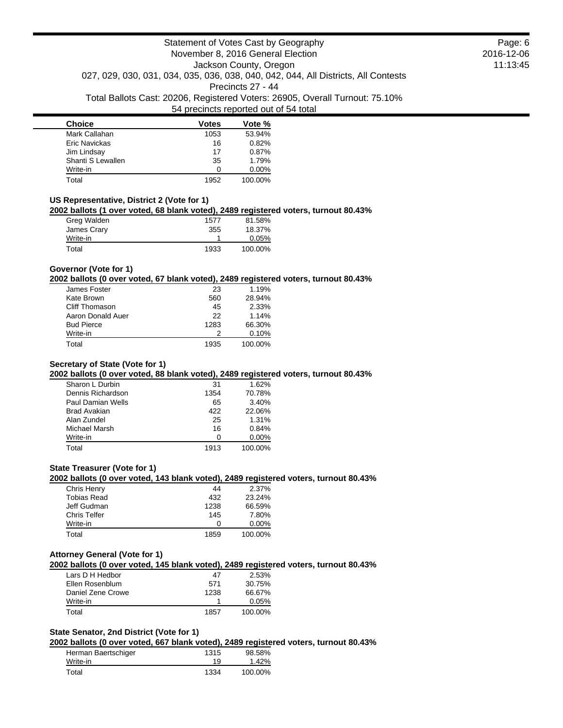| <b>Choice</b>     | <b>Votes</b> | Vote %   |
|-------------------|--------------|----------|
| Mark Callahan     | 1053         | 53.94%   |
| Eric Navickas     | 16           | 0.82%    |
| Jim Lindsay       | 17           | 0.87%    |
| Shanti S Lewallen | 35           | 1.79%    |
| Write-in          | ∩            | $0.00\%$ |
| Total             | 1952         | 100.00%  |

## **US Representative, District 2 (Vote for 1)**

### **2002 ballots (1 over voted, 68 blank voted), 2489 registered voters, turnout 80.43%**

| Greg Walden | 1577 | 81.58%  |
|-------------|------|---------|
| James Crary | 355  | 18.37%  |
| Write-in    |      | 0.05%   |
| Total       | 1933 | 100.00% |

### **Governor (Vote for 1)**

### **2002 ballots (0 over voted, 67 blank voted), 2489 registered voters, turnout 80.43%**

| James Foster      | 23   | 1.19%   |
|-------------------|------|---------|
| Kate Brown        | 560  | 28.94%  |
| Cliff Thomason    | 45   | 2.33%   |
| Aaron Donald Auer | 22   | 1.14%   |
| <b>Bud Pierce</b> | 1283 | 66.30%  |
| Write-in          |      | 0.10%   |
| Total             | 1935 | 100.00% |

## **Secretary of State (Vote for 1)**

## **2002 ballots (0 over voted, 88 blank voted), 2489 registered voters, turnout 80.43%**

| Sharon L Durbin          | 31   | 1.62%    |
|--------------------------|------|----------|
| Dennis Richardson        | 1354 | 70.78%   |
| <b>Paul Damian Wells</b> | 65   | 3.40%    |
| <b>Brad Avakian</b>      | 422  | 22.06%   |
| Alan Zundel              | 25   | 1.31%    |
| Michael Marsh            | 16   | 0.84%    |
| Write-in                 | n    | $0.00\%$ |
| Total                    | 1913 | 100.00%  |
|                          |      |          |

### **State Treasurer (Vote for 1)**

#### **2002 ballots (0 over voted, 143 blank voted), 2489 registered voters, turnout 80.43%**

| Chris Henry  | 44   | 2.37%    |
|--------------|------|----------|
| Tobias Read  | 432  | 23.24%   |
| Jeff Gudman  | 1238 | 66.59%   |
| Chris Telfer | 145  | 7.80%    |
| Write-in     |      | $0.00\%$ |
| Total        | 1859 | 100.00%  |

### **Attorney General (Vote for 1)**

## **2002 ballots (0 over voted, 145 blank voted), 2489 registered voters, turnout 80.43%**

| Lars D H Hedbor   | 47   | 2.53%    |
|-------------------|------|----------|
| Ellen Rosenblum   | 571  | 30.75%   |
| Daniel Zene Crowe | 1238 | 66.67%   |
| Write-in          |      | $0.05\%$ |
| Total             | 1857 | 100.00%  |

## **State Senator, 2nd District (Vote for 1)**

## **2002 ballots (0 over voted, 667 blank voted), 2489 registered voters, turnout 80.43%**

| Herman Baertschiger | 1315 | 98.58%  |
|---------------------|------|---------|
| Write-in            | 19   | 1.42%   |
| Total               | 1334 | 100.00% |

Page: 6 2016-12-06 11:13:45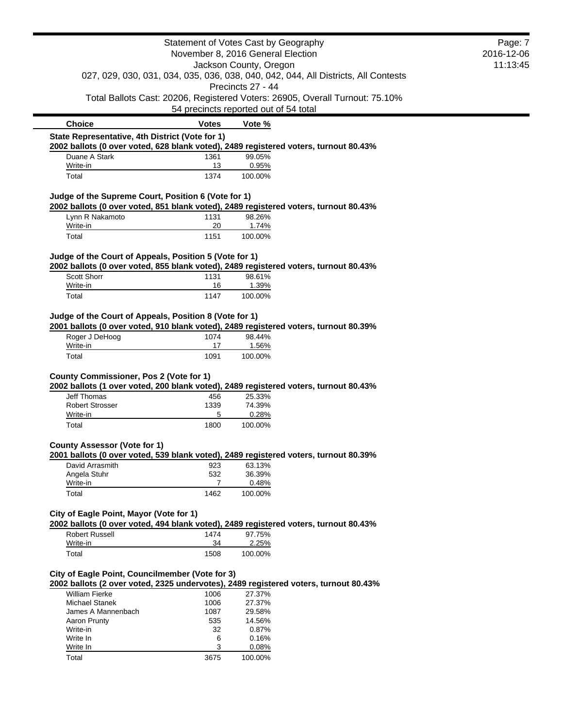|                                                        |              | Statement of Votes Cast by Geography                                                                    | Page: 7    |
|--------------------------------------------------------|--------------|---------------------------------------------------------------------------------------------------------|------------|
|                                                        |              | November 8, 2016 General Election                                                                       | 2016-12-06 |
|                                                        |              | Jackson County, Oregon                                                                                  | 11:13:45   |
|                                                        |              | 027, 029, 030, 031, 034, 035, 036, 038, 040, 042, 044, All Districts, All Contests<br>Precincts 27 - 44 |            |
|                                                        |              | Total Ballots Cast: 20206, Registered Voters: 26905, Overall Turnout: 75.10%                            |            |
|                                                        |              | 54 precincts reported out of 54 total                                                                   |            |
| <b>Choice</b>                                          | <b>Votes</b> | Vote %                                                                                                  |            |
| State Representative, 4th District (Vote for 1)        |              |                                                                                                         |            |
|                                                        |              | 2002 ballots (0 over voted, 628 blank voted), 2489 registered voters, turnout 80.43%                    |            |
| Duane A Stark                                          | 1361         | 99.05%                                                                                                  |            |
| Write-in                                               | 13           | 0.95%                                                                                                   |            |
| Total                                                  | 1374         | 100.00%                                                                                                 |            |
| Judge of the Supreme Court, Position 6 (Vote for 1)    |              |                                                                                                         |            |
| Lynn R Nakamoto                                        |              | 2002 ballots (0 over voted, 851 blank voted), 2489 registered voters, turnout 80.43%<br>98.26%          |            |
| Write-in                                               | 1131<br>20   | 1.74%                                                                                                   |            |
| Total                                                  | 1151         | 100.00%                                                                                                 |            |
|                                                        |              |                                                                                                         |            |
| Judge of the Court of Appeals, Position 5 (Vote for 1) |              |                                                                                                         |            |
|                                                        |              | 2002 ballots (0 over voted, 855 blank voted), 2489 registered voters, turnout 80.43%                    |            |
| Scott Shorr<br>Write-in                                | 1131<br>16   | 98.61%<br>1.39%                                                                                         |            |
| Total                                                  | 1147         | 100.00%                                                                                                 |            |
|                                                        |              |                                                                                                         |            |
| Judge of the Court of Appeals, Position 8 (Vote for 1) |              | 2001 ballots (0 over voted, 910 blank voted), 2489 registered voters, turnout 80.39%                    |            |
| Roger J DeHoog                                         | 1074         | 98.44%                                                                                                  |            |
| Write-in                                               | 17           | 1.56%                                                                                                   |            |
| Total                                                  | 1091         | 100.00%                                                                                                 |            |
|                                                        |              |                                                                                                         |            |
| <b>County Commissioner, Pos 2 (Vote for 1)</b>         |              |                                                                                                         |            |
| <b>Jeff Thomas</b>                                     | 456          | 2002 ballots (1 over voted, 200 blank voted), 2489 registered voters, turnout 80.43%<br>25.33%          |            |
| <b>Robert Strosser</b>                                 | 1339         | 74.39%                                                                                                  |            |
| Write-in                                               | 5            | 0.28%                                                                                                   |            |
| Total                                                  | 1800         | 100.00%                                                                                                 |            |
|                                                        |              |                                                                                                         |            |
| <b>County Assessor (Vote for 1)</b>                    |              |                                                                                                         |            |
| David Arrasmith                                        | 923          | 2001 ballots (0 over voted, 539 blank voted), 2489 registered voters, turnout 80.39%<br>63.13%          |            |
| Angela Stuhr                                           | 532          | 36.39%                                                                                                  |            |
| Write-in                                               | 7            | 0.48%                                                                                                   |            |
| Total                                                  | 1462         | 100.00%                                                                                                 |            |
|                                                        |              |                                                                                                         |            |
| City of Eagle Point, Mayor (Vote for 1)                |              |                                                                                                         |            |
|                                                        |              | 2002 ballots (0 over voted, 494 blank voted), 2489 registered voters, turnout 80.43%                    |            |
| <b>Robert Russell</b><br>Write-in                      | 1474<br>34   | 97.75%<br>2.25%                                                                                         |            |
| Total                                                  | 1508         | 100.00%                                                                                                 |            |
|                                                        |              |                                                                                                         |            |
| City of Eagle Point, Councilmember (Vote for 3)        |              |                                                                                                         |            |
|                                                        |              | 2002 ballots (2 over voted, 2325 undervotes), 2489 registered voters, turnout 80.43%                    |            |
| <b>William Fierke</b>                                  | 1006         | 27.37%                                                                                                  |            |
| <b>Michael Stanek</b>                                  | 1006         | 27.37%                                                                                                  |            |
| James A Mannenbach                                     | 1087         | 29.58%                                                                                                  |            |
| Aaron Prunty                                           | 535          | 14.56%                                                                                                  |            |
| Write-in                                               | 32           | 0.87%                                                                                                   |            |
| Write In                                               | 6            | 0.16%                                                                                                   |            |
| Write In                                               | 3            | 0.08%                                                                                                   |            |
| Total                                                  | 3675         | 100.00%                                                                                                 |            |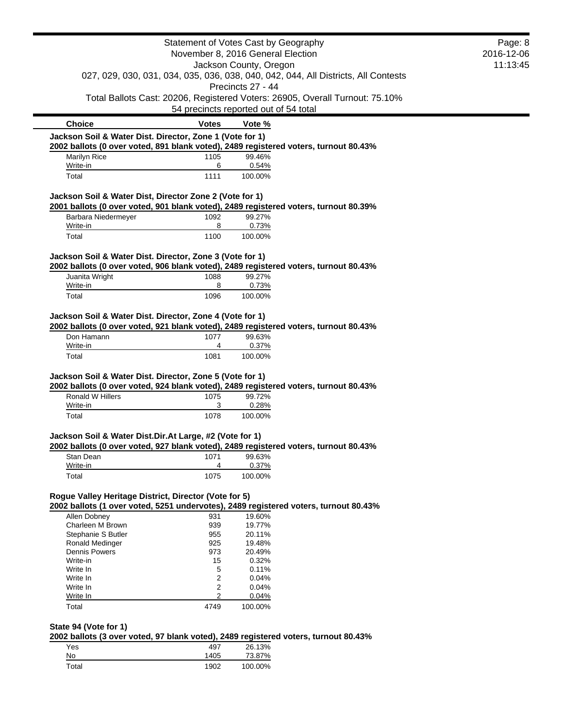|                                                                                                                                                  |              | Statement of Votes Cast by Geography                                                                    | Page: 8    |
|--------------------------------------------------------------------------------------------------------------------------------------------------|--------------|---------------------------------------------------------------------------------------------------------|------------|
|                                                                                                                                                  |              | November 8, 2016 General Election                                                                       | 2016-12-06 |
|                                                                                                                                                  |              | Jackson County, Oregon                                                                                  | 11:13:45   |
|                                                                                                                                                  |              | 027, 029, 030, 031, 034, 035, 036, 038, 040, 042, 044, All Districts, All Contests<br>Precincts 27 - 44 |            |
|                                                                                                                                                  |              | Total Ballots Cast: 20206, Registered Voters: 26905, Overall Turnout: 75.10%                            |            |
|                                                                                                                                                  |              | 54 precincts reported out of 54 total                                                                   |            |
| <b>Choice</b>                                                                                                                                    | <b>Votes</b> | Vote %                                                                                                  |            |
| Jackson Soil & Water Dist. Director, Zone 1 (Vote for 1)                                                                                         |              |                                                                                                         |            |
| 2002 ballots (0 over voted, 891 blank voted), 2489 registered voters, turnout 80.43%                                                             |              | 99.46%                                                                                                  |            |
| Marilyn Rice<br>Write-in                                                                                                                         | 1105<br>6    | 0.54%                                                                                                   |            |
| Total                                                                                                                                            | 1111         | 100.00%                                                                                                 |            |
| Jackson Soil & Water Dist, Director Zone 2 (Vote for 1)                                                                                          |              |                                                                                                         |            |
| 2001 ballots (0 over voted, 901 blank voted), 2489 registered voters, turnout 80.39%                                                             |              |                                                                                                         |            |
| Barbara Niedermeyer<br>Write-in                                                                                                                  | 1092<br>8    | 99.27%<br>0.73%                                                                                         |            |
| Total                                                                                                                                            | 1100         | 100.00%                                                                                                 |            |
|                                                                                                                                                  |              |                                                                                                         |            |
| Jackson Soil & Water Dist. Director, Zone 3 (Vote for 1)                                                                                         |              |                                                                                                         |            |
| 2002 ballots (0 over voted, 906 blank voted), 2489 registered voters, turnout 80.43%                                                             |              |                                                                                                         |            |
| Juanita Wright                                                                                                                                   | 1088         | 99.27%                                                                                                  |            |
| Write-in                                                                                                                                         | 8            | 0.73%                                                                                                   |            |
| Total                                                                                                                                            | 1096         | 100.00%                                                                                                 |            |
| Jackson Soil & Water Dist. Director, Zone 4 (Vote for 1)<br>2002 ballots (0 over voted, 921 blank voted), 2489 registered voters, turnout 80.43% |              |                                                                                                         |            |
| Don Hamann                                                                                                                                       | 1077         | 99.63%                                                                                                  |            |
| Write-in                                                                                                                                         | 4            | 0.37%                                                                                                   |            |
| Total                                                                                                                                            | 1081         | 100.00%                                                                                                 |            |
| Jackson Soil & Water Dist. Director, Zone 5 (Vote for 1)                                                                                         |              |                                                                                                         |            |
| 2002 ballots (0 over voted, 924 blank voted), 2489 registered voters, turnout 80.43%                                                             |              |                                                                                                         |            |
| Ronald W Hillers<br>Write-in                                                                                                                     | 1075<br>3    | 99.72%<br>0.28%                                                                                         |            |
| Total                                                                                                                                            | 1078         | 100.00%                                                                                                 |            |
| Jackson Soil & Water Dist.Dir.At Large, #2 (Vote for 1)                                                                                          |              |                                                                                                         |            |
| 2002 ballots (0 over voted, 927 blank voted), 2489 registered voters, turnout 80.43%                                                             |              |                                                                                                         |            |
| Stan Dean                                                                                                                                        | 1071         | 99.63%                                                                                                  |            |
| Write-in                                                                                                                                         | 4            | 0.37%                                                                                                   |            |
| Total                                                                                                                                            | 1075         | 100.00%                                                                                                 |            |
| Rogue Valley Heritage District, Director (Vote for 5)                                                                                            |              |                                                                                                         |            |
| 2002 ballots (1 over voted, 5251 undervotes), 2489 registered voters, turnout 80.43%<br>Allen Dobney                                             | 931          | 19.60%                                                                                                  |            |
| Charleen M Brown                                                                                                                                 | 939          | 19.77%                                                                                                  |            |
| Stephanie S Butler                                                                                                                               | 955          | 20.11%                                                                                                  |            |
| Ronald Medinger                                                                                                                                  | 925          | 19.48%                                                                                                  |            |
| <b>Dennis Powers</b>                                                                                                                             | 973          | 20.49%                                                                                                  |            |
| Write-in<br>Write In                                                                                                                             | 15           | 0.32%<br>0.11%                                                                                          |            |
| Write In                                                                                                                                         | 5<br>2       | 0.04%                                                                                                   |            |
| Write In                                                                                                                                         | 2            | 0.04%                                                                                                   |            |
| Write In                                                                                                                                         | 2            | 0.04%                                                                                                   |            |
| Total                                                                                                                                            | 4749         | 100.00%                                                                                                 |            |
| State 94 (Vote for 1)                                                                                                                            |              |                                                                                                         |            |
| 2002 ballots (3 over voted, 97 blank voted), 2489 registered voters, turnout 80.43%<br>Yes                                                       | 497          | 26.13%                                                                                                  |            |
| $No$                                                                                                                                             | 1405         | 73.87%                                                                                                  |            |
| Total                                                                                                                                            | 1902         | 100.00%                                                                                                 |            |
|                                                                                                                                                  |              |                                                                                                         |            |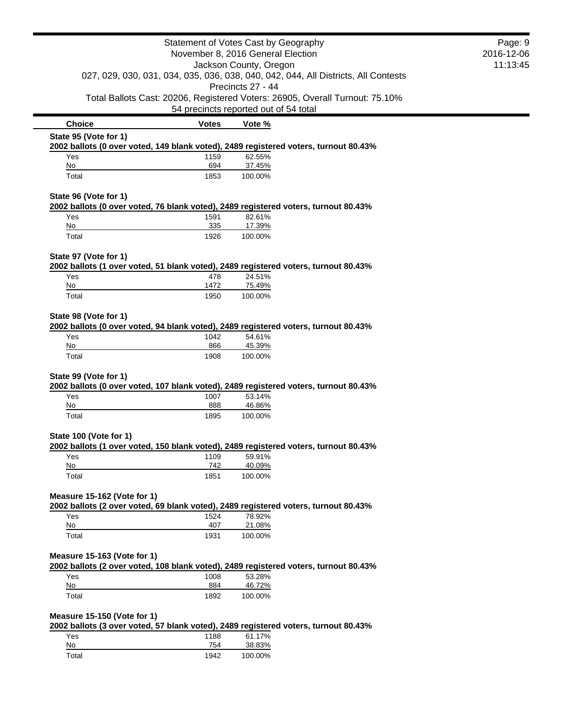|                                                                                                                | Statement of Votes Cast by Geography |                                       |                                                                                    | Page: 9    |
|----------------------------------------------------------------------------------------------------------------|--------------------------------------|---------------------------------------|------------------------------------------------------------------------------------|------------|
|                                                                                                                | November 8, 2016 General Election    |                                       |                                                                                    | 2016-12-06 |
|                                                                                                                |                                      | Jackson County, Oregon                |                                                                                    | 11:13:45   |
|                                                                                                                |                                      |                                       | 027, 029, 030, 031, 034, 035, 036, 038, 040, 042, 044, All Districts, All Contests |            |
|                                                                                                                |                                      | Precincts 27 - 44                     |                                                                                    |            |
|                                                                                                                |                                      | 54 precincts reported out of 54 total | Total Ballots Cast: 20206, Registered Voters: 26905, Overall Turnout: 75.10%       |            |
| <b>Choice</b>                                                                                                  | <b>Votes</b>                         | Vote %                                |                                                                                    |            |
| State 95 (Vote for 1)                                                                                          |                                      |                                       |                                                                                    |            |
| 2002 ballots (0 over voted, 149 blank voted), 2489 registered voters, turnout 80.43%                           |                                      |                                       |                                                                                    |            |
| Yes                                                                                                            | 1159                                 | 62.55%                                |                                                                                    |            |
| No                                                                                                             | 694                                  | 37.45%                                |                                                                                    |            |
| Total                                                                                                          | 1853                                 | 100.00%                               |                                                                                    |            |
| State 96 (Vote for 1)                                                                                          |                                      |                                       |                                                                                    |            |
| 2002 ballots (0 over voted, 76 blank voted), 2489 registered voters, turnout 80.43%                            |                                      |                                       |                                                                                    |            |
| Yes                                                                                                            | 1591                                 | 82.61%                                |                                                                                    |            |
| No                                                                                                             | 335                                  | 17.39%                                |                                                                                    |            |
| Total                                                                                                          | 1926                                 | 100.00%                               |                                                                                    |            |
| State 97 (Vote for 1)                                                                                          |                                      |                                       |                                                                                    |            |
| 2002 ballots (1 over voted, 51 blank voted), 2489 registered voters, turnout 80.43%                            |                                      |                                       |                                                                                    |            |
| Yes                                                                                                            | 478                                  | 24.51%                                |                                                                                    |            |
| No                                                                                                             | 1472                                 | 75.49%                                |                                                                                    |            |
| Total                                                                                                          | 1950                                 | 100.00%                               |                                                                                    |            |
| State 98 (Vote for 1)                                                                                          |                                      |                                       |                                                                                    |            |
| 2002 ballots (0 over voted, 94 blank voted), 2489 registered voters, turnout 80.43%                            |                                      |                                       |                                                                                    |            |
| Yes                                                                                                            | 1042                                 | 54.61%                                |                                                                                    |            |
| No                                                                                                             | 866                                  | 45.39%                                |                                                                                    |            |
| Total                                                                                                          | 1908                                 | 100.00%                               |                                                                                    |            |
| State 99 (Vote for 1)                                                                                          |                                      |                                       |                                                                                    |            |
| 2002 ballots (0 over voted, 107 blank voted), 2489 registered voters, turnout 80.43%                           |                                      |                                       |                                                                                    |            |
| Yes                                                                                                            | 1007                                 | 53.14%                                |                                                                                    |            |
| No                                                                                                             | 888                                  | 46.86%                                |                                                                                    |            |
| Total                                                                                                          | 1895                                 | 100.00%                               |                                                                                    |            |
|                                                                                                                |                                      |                                       |                                                                                    |            |
| State 100 (Vote for 1)<br>2002 ballots (1 over voted, 150 blank voted), 2489 registered voters, turnout 80.43% |                                      |                                       |                                                                                    |            |
| Yes                                                                                                            | 1109                                 | 59.91%                                |                                                                                    |            |
| No                                                                                                             | 742                                  | 40.09%                                |                                                                                    |            |
| Total                                                                                                          | 1851                                 | 100.00%                               |                                                                                    |            |
|                                                                                                                |                                      |                                       |                                                                                    |            |
| Measure 15-162 (Vote for 1)                                                                                    |                                      |                                       |                                                                                    |            |
| 2002 ballots (2 over voted, 69 blank voted), 2489 registered voters, turnout 80.43%<br>Yes                     | 1524                                 | 78.92%                                |                                                                                    |            |
| <u>No</u>                                                                                                      | 407                                  | 21.08%                                |                                                                                    |            |
| Total                                                                                                          | 1931                                 | 100.00%                               |                                                                                    |            |
|                                                                                                                |                                      |                                       |                                                                                    |            |
| Measure 15-163 (Vote for 1)                                                                                    |                                      |                                       |                                                                                    |            |
| 2002 ballots (2 over voted, 108 blank voted), 2489 registered voters, turnout 80.43%                           |                                      |                                       |                                                                                    |            |
| Yes                                                                                                            | 1008                                 | 53.28%                                |                                                                                    |            |
| No                                                                                                             | 884                                  | 46.72%                                |                                                                                    |            |
| Total                                                                                                          | 1892                                 | 100.00%                               |                                                                                    |            |
| Measure 15-150 (Vote for 1)                                                                                    |                                      |                                       |                                                                                    |            |
| 2002 ballots (3 over voted, 57 blank voted), 2489 registered voters, turnout 80.43%                            |                                      |                                       |                                                                                    |            |
| Yes                                                                                                            | 1188                                 | 61.17%                                |                                                                                    |            |
| No                                                                                                             | 754                                  | 38.83%                                |                                                                                    |            |
| Total                                                                                                          | 1942                                 | 100.00%                               |                                                                                    |            |

 $\blacksquare$  $\overline{\phantom{0}}$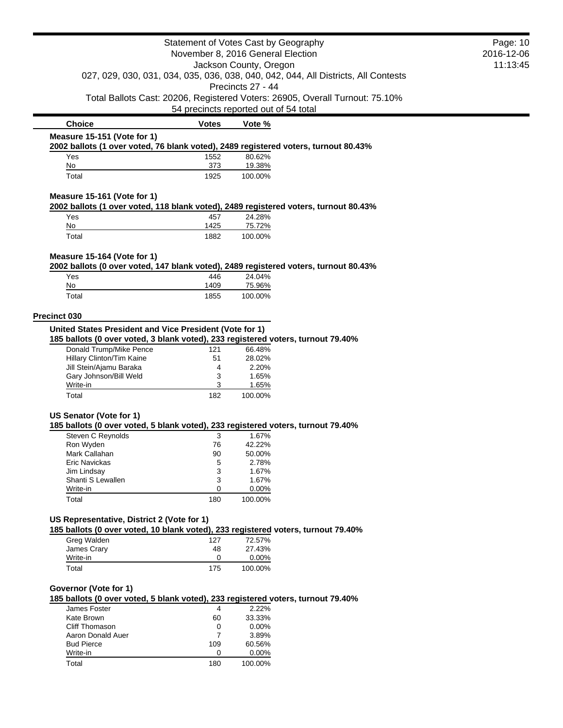|                                                                                                                     |                | Statement of Votes Cast by Geography<br>November 8, 2016 General Election |                                                                                    | Page: 10<br>2016-12-06 |
|---------------------------------------------------------------------------------------------------------------------|----------------|---------------------------------------------------------------------------|------------------------------------------------------------------------------------|------------------------|
|                                                                                                                     |                |                                                                           |                                                                                    |                        |
|                                                                                                                     |                | Jackson County, Oregon                                                    |                                                                                    | 11:13:45               |
|                                                                                                                     |                | Precincts 27 - 44                                                         | 027, 029, 030, 031, 034, 035, 036, 038, 040, 042, 044, All Districts, All Contests |                        |
|                                                                                                                     |                |                                                                           | Total Ballots Cast: 20206, Registered Voters: 26905, Overall Turnout: 75.10%       |                        |
|                                                                                                                     |                | 54 precincts reported out of 54 total                                     |                                                                                    |                        |
| <b>Choice</b>                                                                                                       | <b>Votes</b>   | Vote %                                                                    |                                                                                    |                        |
| Measure 15-151 (Vote for 1)                                                                                         |                |                                                                           |                                                                                    |                        |
| 2002 ballots (1 over voted, 76 blank voted), 2489 registered voters, turnout 80.43%<br>Yes                          | 1552           | 80.62%                                                                    |                                                                                    |                        |
| No                                                                                                                  | 373            | 19.38%                                                                    |                                                                                    |                        |
| Total                                                                                                               | 1925           | 100.00%                                                                   |                                                                                    |                        |
| Measure 15-161 (Vote for 1)<br>2002 ballots (1 over voted, 118 blank voted), 2489 registered voters, turnout 80.43% |                |                                                                           |                                                                                    |                        |
| Yes                                                                                                                 | 457            | 24.28%                                                                    |                                                                                    |                        |
| No                                                                                                                  | 1425           | 75.72%                                                                    |                                                                                    |                        |
| Total                                                                                                               | 1882           | 100.00%                                                                   |                                                                                    |                        |
|                                                                                                                     |                |                                                                           |                                                                                    |                        |
| Measure 15-164 (Vote for 1)<br>2002 ballots (0 over voted, 147 blank voted), 2489 registered voters, turnout 80.43% |                |                                                                           |                                                                                    |                        |
| Yes                                                                                                                 | 446            | 24.04%                                                                    |                                                                                    |                        |
| No                                                                                                                  | 1409           | 75.96%                                                                    |                                                                                    |                        |
| Total                                                                                                               | 1855           | 100.00%                                                                   |                                                                                    |                        |
| <b>Precinct 030</b>                                                                                                 |                |                                                                           |                                                                                    |                        |
| United States President and Vice President (Vote for 1)                                                             |                |                                                                           |                                                                                    |                        |
| 185 ballots (0 over voted, 3 blank voted), 233 registered voters, turnout 79.40%                                    |                |                                                                           |                                                                                    |                        |
| Donald Trump/Mike Pence                                                                                             | 121            | 66.48%                                                                    |                                                                                    |                        |
| Hillary Clinton/Tim Kaine                                                                                           | 51             | 28.02%                                                                    |                                                                                    |                        |
| Jill Stein/Ajamu Baraka<br>Gary Johnson/Bill Weld                                                                   | 4<br>3         | 2.20%<br>1.65%                                                            |                                                                                    |                        |
| Write-in                                                                                                            | 3              | 1.65%                                                                     |                                                                                    |                        |
| Total                                                                                                               | 182            | 100.00%                                                                   |                                                                                    |                        |
|                                                                                                                     |                |                                                                           |                                                                                    |                        |
| US Senator (Vote for 1)<br>185 ballots (0 over voted, 5 blank voted), 233 registered voters, turnout 79.40%         |                |                                                                           |                                                                                    |                        |
| Steven C Reynolds                                                                                                   | 3              | 1.67%                                                                     |                                                                                    |                        |
| Ron Wyden                                                                                                           | 76             | 42.22%                                                                    |                                                                                    |                        |
| Mark Callahan                                                                                                       | 90             | 50.00%                                                                    |                                                                                    |                        |
| Eric Navickas                                                                                                       | 5              | 2.78%                                                                     |                                                                                    |                        |
| Jim Lindsay                                                                                                         | 3              | 1.67%                                                                     |                                                                                    |                        |
| Shanti S Lewallen                                                                                                   | 3              | 1.67%                                                                     |                                                                                    |                        |
| Write-in<br>Total                                                                                                   | 0<br>180       | 0.00%<br>100.00%                                                          |                                                                                    |                        |
|                                                                                                                     |                |                                                                           |                                                                                    |                        |
| US Representative, District 2 (Vote for 1)                                                                          |                |                                                                           |                                                                                    |                        |
| 185 ballots (0 over voted, 10 blank voted), 233 registered voters, turnout 79.40%                                   |                |                                                                           |                                                                                    |                        |
| Greg Walden                                                                                                         | 127            | 72.57%                                                                    |                                                                                    |                        |
| James Crary                                                                                                         | 48             | 27.43%                                                                    |                                                                                    |                        |
| Write-in                                                                                                            | 0              | 0.00%                                                                     |                                                                                    |                        |
| Total                                                                                                               | 175            | 100.00%                                                                   |                                                                                    |                        |
| Governor (Vote for 1)                                                                                               |                |                                                                           |                                                                                    |                        |
| 185 ballots (0 over voted, 5 blank voted), 233 registered voters, turnout 79.40%                                    |                |                                                                           |                                                                                    |                        |
| James Foster                                                                                                        | $\overline{4}$ | 2.22%                                                                     |                                                                                    |                        |
| Kate Brown                                                                                                          | 60             | 33.33%                                                                    |                                                                                    |                        |
| <b>Cliff Thomason</b>                                                                                               | 0              | 0.00%                                                                     |                                                                                    |                        |
| Aaron Donald Auer                                                                                                   | $\overline{7}$ | 3.89%                                                                     |                                                                                    |                        |
| <b>Bud Pierce</b>                                                                                                   | 109            | 60.56%                                                                    |                                                                                    |                        |
| Write-in                                                                                                            | 0              | 0.00%                                                                     |                                                                                    |                        |
| Total                                                                                                               | 180            | 100.00%                                                                   |                                                                                    |                        |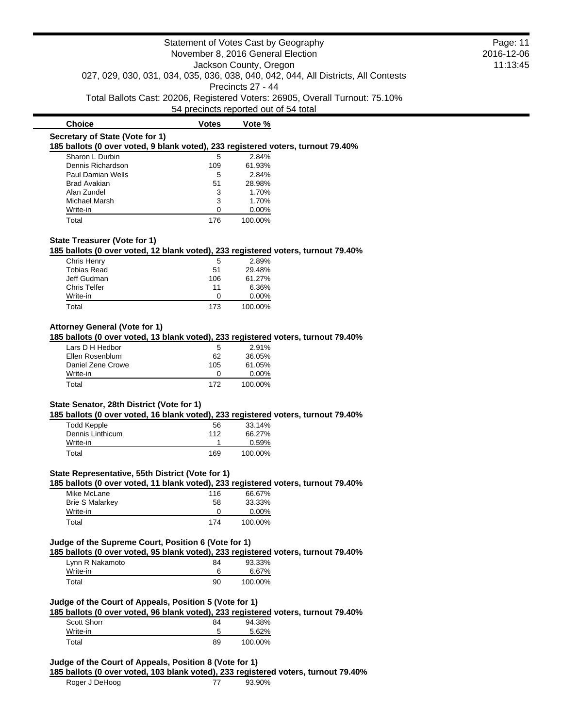|                                                                                                      | Statement of Votes Cast by Geography  |                        |                                                                                    | Page: 11   |
|------------------------------------------------------------------------------------------------------|---------------------------------------|------------------------|------------------------------------------------------------------------------------|------------|
|                                                                                                      | November 8, 2016 General Election     |                        |                                                                                    | 2016-12-06 |
|                                                                                                      |                                       | Jackson County, Oregon |                                                                                    | 11:13:45   |
|                                                                                                      |                                       |                        | 027, 029, 030, 031, 034, 035, 036, 038, 040, 042, 044, All Districts, All Contests |            |
|                                                                                                      |                                       | Precincts 27 - 44      |                                                                                    |            |
|                                                                                                      |                                       |                        | Total Ballots Cast: 20206, Registered Voters: 26905, Overall Turnout: 75.10%       |            |
|                                                                                                      | 54 precincts reported out of 54 total |                        |                                                                                    |            |
|                                                                                                      |                                       |                        |                                                                                    |            |
| <b>Choice</b>                                                                                        | <b>Votes</b>                          | Vote %                 |                                                                                    |            |
| Secretary of State (Vote for 1)                                                                      |                                       |                        |                                                                                    |            |
| 185 ballots (0 over voted, 9 blank voted), 233 registered voters, turnout 79.40%                     |                                       |                        |                                                                                    |            |
| Sharon L Durbin                                                                                      | 5                                     | 2.84%                  |                                                                                    |            |
| Dennis Richardson                                                                                    | 109                                   | 61.93%                 |                                                                                    |            |
| Paul Damian Wells                                                                                    | 5                                     | 2.84%                  |                                                                                    |            |
| <b>Brad Avakian</b>                                                                                  | 51                                    | 28.98%                 |                                                                                    |            |
| Alan Zundel                                                                                          | 3                                     | 1.70%                  |                                                                                    |            |
| Michael Marsh                                                                                        | 3                                     | 1.70%                  |                                                                                    |            |
| Write-in                                                                                             | $\Omega$                              | 0.00%                  |                                                                                    |            |
| Total                                                                                                | 176                                   | 100.00%                |                                                                                    |            |
|                                                                                                      |                                       |                        |                                                                                    |            |
| State Treasurer (Vote for 1)                                                                         |                                       |                        |                                                                                    |            |
| 185 ballots (0 over voted, 12 blank voted), 233 registered voters, turnout 79.40%                    |                                       |                        |                                                                                    |            |
| Chris Henry                                                                                          | 5                                     | 2.89%                  |                                                                                    |            |
| <b>Tobias Read</b>                                                                                   | 51                                    | 29.48%                 |                                                                                    |            |
| Jeff Gudman                                                                                          | 106                                   | 61.27%                 |                                                                                    |            |
| <b>Chris Telfer</b>                                                                                  | 11                                    | 6.36%                  |                                                                                    |            |
| Write-in                                                                                             | 0                                     | 0.00%                  |                                                                                    |            |
| Total                                                                                                | 173                                   | 100.00%                |                                                                                    |            |
|                                                                                                      |                                       |                        |                                                                                    |            |
| <b>Attorney General (Vote for 1)</b>                                                                 |                                       |                        |                                                                                    |            |
| 185 ballots (0 over voted, 13 blank voted), 233 registered voters, turnout 79.40%                    |                                       |                        |                                                                                    |            |
| Lars D H Hedbor                                                                                      | 5                                     | 2.91%                  |                                                                                    |            |
| Ellen Rosenblum                                                                                      | 62                                    | 36.05%                 |                                                                                    |            |
| Daniel Zene Crowe                                                                                    | 105                                   | 61.05%                 |                                                                                    |            |
| Write-in                                                                                             | 0                                     | 0.00%                  |                                                                                    |            |
| Total                                                                                                | 172                                   | 100.00%                |                                                                                    |            |
|                                                                                                      |                                       |                        |                                                                                    |            |
| State Senator, 28th District (Vote for 1)                                                            |                                       |                        |                                                                                    |            |
| 185 ballots (0 over voted, 16 blank voted), 233 registered voters, turnout 79.40%                    |                                       |                        |                                                                                    |            |
| <b>Todd Kepple</b>                                                                                   | 56                                    | 33.14%                 |                                                                                    |            |
| Dennis Linthicum                                                                                     | 112                                   | 66.27%                 |                                                                                    |            |
| Write-in                                                                                             | $\mathbf{1}$                          | 0.59%                  |                                                                                    |            |
| Total                                                                                                | 169                                   | 100.00%                |                                                                                    |            |
|                                                                                                      |                                       |                        |                                                                                    |            |
|                                                                                                      |                                       |                        |                                                                                    |            |
| State Representative, 55th District (Vote for 1)                                                     |                                       |                        |                                                                                    |            |
| 185 ballots (0 over voted, 11 blank voted), 233 registered voters, turnout 79.40%                    |                                       |                        |                                                                                    |            |
| Mike McLane                                                                                          | 116                                   | 66.67%                 |                                                                                    |            |
| <b>Brie S Malarkey</b>                                                                               | 58                                    | 33.33%                 |                                                                                    |            |
| Write-in                                                                                             | 0                                     | 0.00%                  |                                                                                    |            |
| Total                                                                                                | 174                                   | 100.00%                |                                                                                    |            |
|                                                                                                      |                                       |                        |                                                                                    |            |
| Judge of the Supreme Court, Position 6 (Vote for 1)                                                  |                                       |                        |                                                                                    |            |
| 185 ballots (0 over voted, 95 blank voted), 233 registered voters, turnout 79.40%                    |                                       |                        |                                                                                    |            |
| Lynn R Nakamoto                                                                                      | 84                                    | 93.33%                 |                                                                                    |            |
| Write-in                                                                                             | 6                                     | 6.67%                  |                                                                                    |            |
| Total                                                                                                | 90                                    | 100.00%                |                                                                                    |            |
|                                                                                                      |                                       |                        |                                                                                    |            |
| Judge of the Court of Appeals, Position 5 (Vote for 1)                                               |                                       |                        |                                                                                    |            |
| 185 ballots (0 over voted, 96 blank voted), 233 registered voters, turnout 79.40%                    |                                       |                        |                                                                                    |            |
|                                                                                                      |                                       |                        |                                                                                    |            |
| Scott Shorr                                                                                          | 84                                    | 94.38%                 |                                                                                    |            |
| Write-in                                                                                             | 5                                     | 5.62%                  |                                                                                    |            |
| Total                                                                                                | 89                                    | 100.00%                |                                                                                    |            |
|                                                                                                      |                                       |                        |                                                                                    |            |
| Judge of the Court of Appeals, Position 8 (Vote for 1)                                               |                                       |                        |                                                                                    |            |
|                                                                                                      |                                       |                        |                                                                                    |            |
| 185 ballots (0 over voted, 103 blank voted), 233 registered voters, turnout 79.40%<br>Roger J DeHoog |                                       |                        |                                                                                    |            |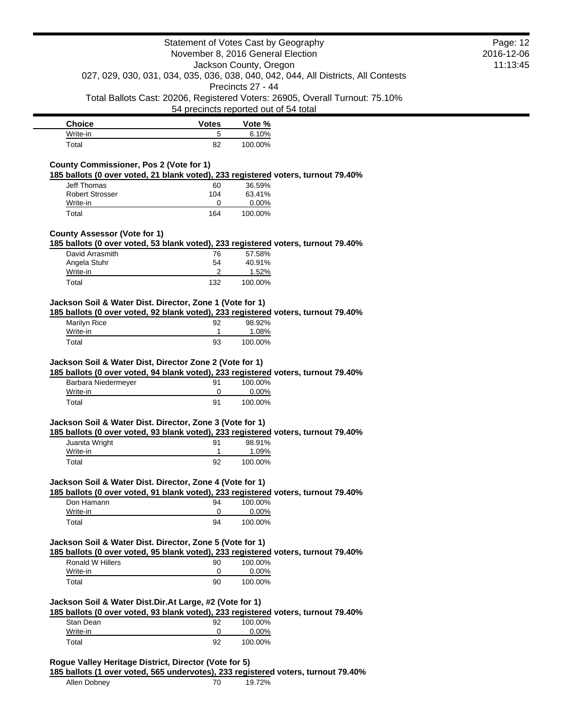|                                                                                                                                                                                                                                                                                                                                                                                                                                                                                                                                                                                                                                                                                                                                                             |                | Statement of Votes Cast by Geography<br>November 8, 2016 General Election    |                                                                                    | Page: 12<br>2016-12-06 |
|-------------------------------------------------------------------------------------------------------------------------------------------------------------------------------------------------------------------------------------------------------------------------------------------------------------------------------------------------------------------------------------------------------------------------------------------------------------------------------------------------------------------------------------------------------------------------------------------------------------------------------------------------------------------------------------------------------------------------------------------------------------|----------------|------------------------------------------------------------------------------|------------------------------------------------------------------------------------|------------------------|
|                                                                                                                                                                                                                                                                                                                                                                                                                                                                                                                                                                                                                                                                                                                                                             |                | Jackson County, Oregon                                                       |                                                                                    | 11:13:45               |
|                                                                                                                                                                                                                                                                                                                                                                                                                                                                                                                                                                                                                                                                                                                                                             |                |                                                                              | 027, 029, 030, 031, 034, 035, 036, 038, 040, 042, 044, All Districts, All Contests |                        |
|                                                                                                                                                                                                                                                                                                                                                                                                                                                                                                                                                                                                                                                                                                                                                             |                | Precincts 27 - 44                                                            |                                                                                    |                        |
|                                                                                                                                                                                                                                                                                                                                                                                                                                                                                                                                                                                                                                                                                                                                                             |                | Total Ballots Cast: 20206, Registered Voters: 26905, Overall Turnout: 75.10% |                                                                                    |                        |
|                                                                                                                                                                                                                                                                                                                                                                                                                                                                                                                                                                                                                                                                                                                                                             |                | 54 precincts reported out of 54 total                                        |                                                                                    |                        |
| <b>Choice</b>                                                                                                                                                                                                                                                                                                                                                                                                                                                                                                                                                                                                                                                                                                                                               | <b>Votes</b>   | Vote %                                                                       |                                                                                    |                        |
| Write-in                                                                                                                                                                                                                                                                                                                                                                                                                                                                                                                                                                                                                                                                                                                                                    | 5              | 6.10%                                                                        |                                                                                    |                        |
| Total                                                                                                                                                                                                                                                                                                                                                                                                                                                                                                                                                                                                                                                                                                                                                       | 82             | 100.00%                                                                      |                                                                                    |                        |
| <b>County Commissioner, Pos 2 (Vote for 1)</b>                                                                                                                                                                                                                                                                                                                                                                                                                                                                                                                                                                                                                                                                                                              |                |                                                                              |                                                                                    |                        |
| 185 ballots (0 over voted, 21 blank voted), 233 registered voters, turnout 79.40%                                                                                                                                                                                                                                                                                                                                                                                                                                                                                                                                                                                                                                                                           |                |                                                                              |                                                                                    |                        |
| <b>Jeff Thomas</b><br><b>Robert Strosser</b>                                                                                                                                                                                                                                                                                                                                                                                                                                                                                                                                                                                                                                                                                                                | 60<br>104      | 36.59%<br>63.41%                                                             |                                                                                    |                        |
| Write-in                                                                                                                                                                                                                                                                                                                                                                                                                                                                                                                                                                                                                                                                                                                                                    | 0              | 0.00%                                                                        |                                                                                    |                        |
| Total                                                                                                                                                                                                                                                                                                                                                                                                                                                                                                                                                                                                                                                                                                                                                       | 164            | 100.00%                                                                      |                                                                                    |                        |
|                                                                                                                                                                                                                                                                                                                                                                                                                                                                                                                                                                                                                                                                                                                                                             |                |                                                                              |                                                                                    |                        |
| <b>County Assessor (Vote for 1)</b><br>185 ballots (0 over voted, 53 blank voted), 233 registered voters, turnout 79.40%                                                                                                                                                                                                                                                                                                                                                                                                                                                                                                                                                                                                                                    |                |                                                                              |                                                                                    |                        |
| David Arrasmith                                                                                                                                                                                                                                                                                                                                                                                                                                                                                                                                                                                                                                                                                                                                             | 76             | 57.58%                                                                       |                                                                                    |                        |
| Angela Stuhr                                                                                                                                                                                                                                                                                                                                                                                                                                                                                                                                                                                                                                                                                                                                                | 54             | 40.91%                                                                       |                                                                                    |                        |
| Write-in                                                                                                                                                                                                                                                                                                                                                                                                                                                                                                                                                                                                                                                                                                                                                    | $\overline{2}$ | 1.52%                                                                        |                                                                                    |                        |
| Total                                                                                                                                                                                                                                                                                                                                                                                                                                                                                                                                                                                                                                                                                                                                                       | 132            | 100.00%                                                                      |                                                                                    |                        |
| Jackson Soil & Water Dist. Director, Zone 1 (Vote for 1)                                                                                                                                                                                                                                                                                                                                                                                                                                                                                                                                                                                                                                                                                                    |                |                                                                              |                                                                                    |                        |
| 185 ballots (0 over voted, 92 blank voted), 233 registered voters, turnout 79.40%                                                                                                                                                                                                                                                                                                                                                                                                                                                                                                                                                                                                                                                                           |                |                                                                              |                                                                                    |                        |
|                                                                                                                                                                                                                                                                                                                                                                                                                                                                                                                                                                                                                                                                                                                                                             | 92             | 98.92%                                                                       |                                                                                    |                        |
|                                                                                                                                                                                                                                                                                                                                                                                                                                                                                                                                                                                                                                                                                                                                                             |                |                                                                              |                                                                                    |                        |
| Marilyn Rice<br>Write-in                                                                                                                                                                                                                                                                                                                                                                                                                                                                                                                                                                                                                                                                                                                                    | 1              | 1.08%                                                                        |                                                                                    |                        |
| Total                                                                                                                                                                                                                                                                                                                                                                                                                                                                                                                                                                                                                                                                                                                                                       | 93             | 100.00%                                                                      |                                                                                    |                        |
| Barbara Niedermeyer                                                                                                                                                                                                                                                                                                                                                                                                                                                                                                                                                                                                                                                                                                                                         | 91<br>0        | 100.00%                                                                      |                                                                                    |                        |
| Write-in<br>Total                                                                                                                                                                                                                                                                                                                                                                                                                                                                                                                                                                                                                                                                                                                                           | 91             | 0.00%<br>100.00%                                                             |                                                                                    |                        |
|                                                                                                                                                                                                                                                                                                                                                                                                                                                                                                                                                                                                                                                                                                                                                             |                |                                                                              |                                                                                    |                        |
|                                                                                                                                                                                                                                                                                                                                                                                                                                                                                                                                                                                                                                                                                                                                                             |                |                                                                              |                                                                                    |                        |
|                                                                                                                                                                                                                                                                                                                                                                                                                                                                                                                                                                                                                                                                                                                                                             |                |                                                                              |                                                                                    |                        |
| Juanita Wright                                                                                                                                                                                                                                                                                                                                                                                                                                                                                                                                                                                                                                                                                                                                              | 91<br>1        | 98.91%                                                                       |                                                                                    |                        |
| Write-in<br>Total                                                                                                                                                                                                                                                                                                                                                                                                                                                                                                                                                                                                                                                                                                                                           | 92             | 1.09%<br>100.00%                                                             |                                                                                    |                        |
|                                                                                                                                                                                                                                                                                                                                                                                                                                                                                                                                                                                                                                                                                                                                                             |                |                                                                              |                                                                                    |                        |
|                                                                                                                                                                                                                                                                                                                                                                                                                                                                                                                                                                                                                                                                                                                                                             |                |                                                                              |                                                                                    |                        |
| Don Hamann                                                                                                                                                                                                                                                                                                                                                                                                                                                                                                                                                                                                                                                                                                                                                  | 94             | 100.00%                                                                      |                                                                                    |                        |
| Write-in                                                                                                                                                                                                                                                                                                                                                                                                                                                                                                                                                                                                                                                                                                                                                    | 0              | 0.00%                                                                        |                                                                                    |                        |
| Total                                                                                                                                                                                                                                                                                                                                                                                                                                                                                                                                                                                                                                                                                                                                                       | 94             | 100.00%                                                                      |                                                                                    |                        |
|                                                                                                                                                                                                                                                                                                                                                                                                                                                                                                                                                                                                                                                                                                                                                             |                |                                                                              |                                                                                    |                        |
|                                                                                                                                                                                                                                                                                                                                                                                                                                                                                                                                                                                                                                                                                                                                                             |                |                                                                              |                                                                                    |                        |
| <b>Ronald W Hillers</b>                                                                                                                                                                                                                                                                                                                                                                                                                                                                                                                                                                                                                                                                                                                                     | 90             | 100.00%                                                                      |                                                                                    |                        |
| Write-in                                                                                                                                                                                                                                                                                                                                                                                                                                                                                                                                                                                                                                                                                                                                                    | 0              | 0.00%                                                                        |                                                                                    |                        |
| Total                                                                                                                                                                                                                                                                                                                                                                                                                                                                                                                                                                                                                                                                                                                                                       | 90             | 100.00%                                                                      |                                                                                    |                        |
|                                                                                                                                                                                                                                                                                                                                                                                                                                                                                                                                                                                                                                                                                                                                                             |                |                                                                              |                                                                                    |                        |
| Stan Dean                                                                                                                                                                                                                                                                                                                                                                                                                                                                                                                                                                                                                                                                                                                                                   | 92             | 100.00%                                                                      |                                                                                    |                        |
| Jackson Soil & Water Dist, Director Zone 2 (Vote for 1)<br>185 ballots (0 over voted, 94 blank voted), 233 registered voters, turnout 79.40%<br>Jackson Soil & Water Dist. Director, Zone 3 (Vote for 1)<br>185 ballots (0 over voted, 93 blank voted), 233 registered voters, turnout 79.40%<br>Jackson Soil & Water Dist. Director, Zone 4 (Vote for 1)<br>185 ballots (0 over voted, 91 blank voted), 233 registered voters, turnout 79.40%<br>Jackson Soil & Water Dist. Director, Zone 5 (Vote for 1)<br>185 ballots (0 over voted, 95 blank voted), 233 registered voters, turnout 79.40%<br>Jackson Soil & Water Dist.Dir.At Large, #2 (Vote for 1)<br>185 ballots (0 over voted, 93 blank voted), 233 registered voters, turnout 79.40%<br>Write-in | 0              | 0.00%                                                                        |                                                                                    |                        |

| Allen Dobney | 19.72% |
|--------------|--------|
|--------------|--------|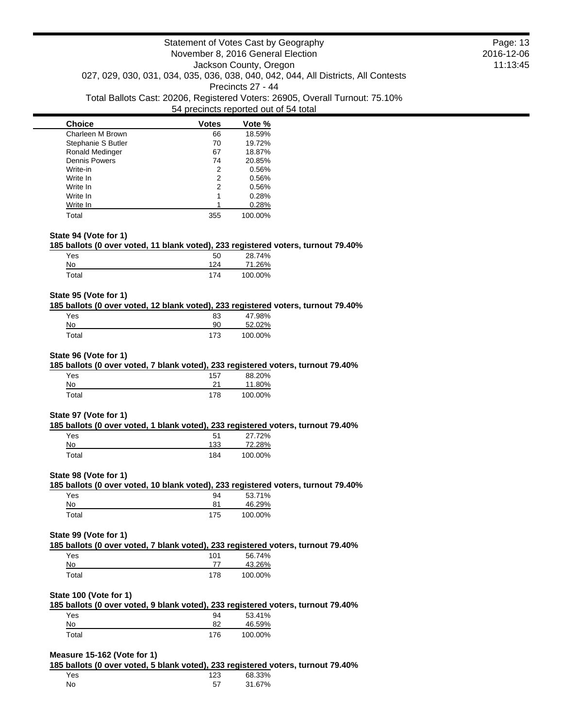| <b>Choice</b>          | Votes | Vote %  |
|------------------------|-------|---------|
| Charleen M Brown       | 66    | 18.59%  |
| Stephanie S Butler     | 70    | 19.72%  |
| <b>Ronald Medinger</b> | 67    | 18.87%  |
| <b>Dennis Powers</b>   | 74    | 20.85%  |
| Write-in               | 2     | 0.56%   |
| Write In               | 2     | 0.56%   |
| Write In               | 2     | 0.56%   |
| Write In               | 1     | 0.28%   |
| Write In               |       | 0.28%   |
| Total                  | 355   | 100.00% |

#### **State 94 (Vote for 1)**

#### **185 ballots (0 over voted, 11 blank voted), 233 registered voters, turnout 79.40%**

|       | ---             | __                  |
|-------|-----------------|---------------------|
| Yes   | 50              | 28.74%              |
| No    | 12 <sub>A</sub> | 1.26%<br>$\prime$ 1 |
| Total | 174             | 100.00%             |

#### **State 95 (Vote for 1)**

### **185 ballots (0 over voted, 12 blank voted), 233 registered voters, turnout 79.40%**

| Yes   | 83  | 47.98%  |
|-------|-----|---------|
| No    | 90  | 52.02%  |
| Total | 173 | 100.00% |

#### **State 96 (Vote for 1)**

#### **185 ballots (0 over voted, 7 blank voted), 233 registered voters, turnout 79.40%**

| Yes         | 157 | 88.20%  |
|-------------|-----|---------|
| No          | つイ  | 11.80%  |
| $\tau$ otal | 178 | 100.00% |

#### **State 97 (Vote for 1)**

#### **185 ballots (0 over voted, 1 blank voted), 233 registered voters, turnout 79.40%**

| Yes   | 51  | 27.72%  |
|-------|-----|---------|
| No    | 133 | 72.28%  |
| Total | 184 | 100.00% |

#### **State 98 (Vote for 1)**

# **185 ballots (0 over voted, 10 blank voted), 233 registered voters, turnout 79.40%**

| Yes   | 94  | 53.71%  |
|-------|-----|---------|
| No    | 81  | 46.29%  |
| Total | 175 | 100.00% |

### **State 99 (Vote for 1)**

# **185 ballots (0 over voted, 7 blank voted), 233 registered voters, turnout 79.40%**

| Yes   | 101 | 56.74%  |
|-------|-----|---------|
| No    |     | 43.26%  |
| Total | 178 | 100.00% |

## **State 100 (Vote for 1)**

|       |     |         | 185 ballots (0 over voted, 9 blank voted), 233 registered voters, turnout 79.40% |
|-------|-----|---------|----------------------------------------------------------------------------------|
| Yes   | 94  | 53.41%  |                                                                                  |
| No    | 82  | 46.59%  |                                                                                  |
| Total | 176 | 100.00% |                                                                                  |

## **Measure 15-162 (Vote for 1)**

# **185 ballots (0 over voted, 5 blank voted), 233 registered voters, turnout 79.40%**

| Yes | 123 | 68.33% |  |
|-----|-----|--------|--|
| No  | --  | 31.67% |  |

Page: 13 2016-12-06 11:13:45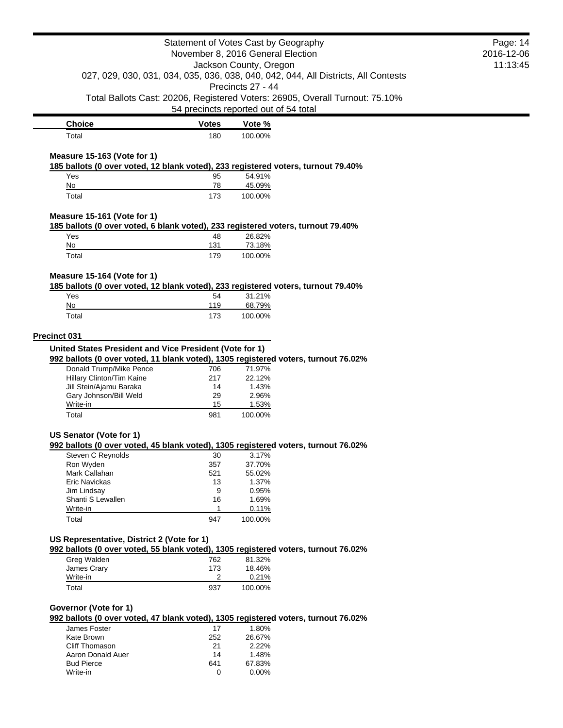|                                                                                                                  | Statement of Votes Cast by Geography  |                   |                                                                                    | Page: 14<br>2016-12-06 |
|------------------------------------------------------------------------------------------------------------------|---------------------------------------|-------------------|------------------------------------------------------------------------------------|------------------------|
| November 8, 2016 General Election<br>Jackson County, Oregon                                                      |                                       | 11:13:45          |                                                                                    |                        |
|                                                                                                                  |                                       |                   | 027, 029, 030, 031, 034, 035, 036, 038, 040, 042, 044, All Districts, All Contests |                        |
|                                                                                                                  |                                       | Precincts 27 - 44 |                                                                                    |                        |
|                                                                                                                  | 54 precincts reported out of 54 total |                   | Total Ballots Cast: 20206, Registered Voters: 26905, Overall Turnout: 75.10%       |                        |
| <b>Choice</b>                                                                                                    | <b>Votes</b>                          | Vote %            |                                                                                    |                        |
| Total                                                                                                            | 180                                   | 100.00%           |                                                                                    |                        |
| Measure 15-163 (Vote for 1)<br>185 ballots (0 over voted, 12 blank voted), 233 registered voters, turnout 79.40% |                                       |                   |                                                                                    |                        |
| Yes                                                                                                              | 95                                    | 54.91%            |                                                                                    |                        |
| No                                                                                                               | 78                                    | 45.09%            |                                                                                    |                        |
| Total                                                                                                            | 173                                   | 100.00%           |                                                                                    |                        |
| Measure 15-161 (Vote for 1)<br>185 ballots (0 over voted, 6 blank voted), 233 registered voters, turnout 79.40%  |                                       |                   |                                                                                    |                        |
| Yes                                                                                                              | 48                                    | 26.82%            |                                                                                    |                        |
| No                                                                                                               | 131                                   | 73.18%            |                                                                                    |                        |
| Total                                                                                                            | 179                                   | 100.00%           |                                                                                    |                        |
| Measure 15-164 (Vote for 1)                                                                                      |                                       |                   |                                                                                    |                        |
| 185 ballots (0 over voted, 12 blank voted), 233 registered voters, turnout 79.40%                                |                                       |                   |                                                                                    |                        |
| Yes                                                                                                              | 54                                    | 31.21%            |                                                                                    |                        |
| No                                                                                                               | 119                                   | 68.79%            |                                                                                    |                        |
| Total                                                                                                            | 173                                   | 100.00%           |                                                                                    |                        |
| Precinct 031                                                                                                     |                                       |                   |                                                                                    |                        |
| United States President and Vice President (Vote for 1)                                                          |                                       |                   |                                                                                    |                        |
| 992 ballots (0 over voted, 11 blank voted), 1305 registered voters, turnout 76.02%                               |                                       |                   |                                                                                    |                        |
| Donald Trump/Mike Pence                                                                                          | 706                                   | 71.97%            |                                                                                    |                        |
| Hillary Clinton/Tim Kaine<br>Jill Stein/Ajamu Baraka                                                             | 217                                   | 22.12%<br>1.43%   |                                                                                    |                        |
| Gary Johnson/Bill Weld                                                                                           | 14<br>29                              | 2.96%             |                                                                                    |                        |
| Write-in                                                                                                         | 15                                    | 1.53%             |                                                                                    |                        |
| Total                                                                                                            | 981                                   | 100.00%           |                                                                                    |                        |
| US Senator (Vote for 1)                                                                                          |                                       |                   |                                                                                    |                        |
| 992 ballots (0 over voted, 45 blank voted), 1305 registered voters, turnout 76.02%                               |                                       |                   |                                                                                    |                        |
| Steven C Reynolds                                                                                                | 30                                    | 3.17%             |                                                                                    |                        |
| Ron Wyden                                                                                                        | 357                                   | 37.70%            |                                                                                    |                        |
| Mark Callahan                                                                                                    | 521                                   | 55.02%            |                                                                                    |                        |
| <b>Eric Navickas</b>                                                                                             | 13<br>9                               | 1.37%<br>0.95%    |                                                                                    |                        |
| Jim Lindsay<br>Shanti S Lewallen                                                                                 | 16                                    | 1.69%             |                                                                                    |                        |
| Write-in                                                                                                         | 1                                     | 0.11%             |                                                                                    |                        |
| Total                                                                                                            | 947                                   | 100.00%           |                                                                                    |                        |
| US Representative, District 2 (Vote for 1)                                                                       |                                       |                   |                                                                                    |                        |
| 992 ballots (0 over voted, 55 blank voted), 1305 registered voters, turnout 76.02%                               |                                       |                   |                                                                                    |                        |
| Greg Walden                                                                                                      | 762                                   | 81.32%            |                                                                                    |                        |
| James Crary                                                                                                      | 173                                   | 18.46%            |                                                                                    |                        |
| Write-in                                                                                                         | 2                                     | 0.21%             |                                                                                    |                        |
| Total                                                                                                            | 937                                   | 100.00%           |                                                                                    |                        |
| Governor (Vote for 1)                                                                                            |                                       |                   |                                                                                    |                        |
| 992 ballots (0 over voted, 47 blank voted), 1305 registered voters, turnout 76.02%                               |                                       |                   |                                                                                    |                        |
| James Foster<br>Kate Brown                                                                                       | 17                                    | 1.80%             |                                                                                    |                        |
| Cliff Thomason                                                                                                   | 252<br>21                             | 26.67%<br>2.22%   |                                                                                    |                        |
| Aaron Donald Auer                                                                                                | 14                                    | 1.48%             |                                                                                    |                        |
| <b>Bud Pierce</b>                                                                                                | 641                                   | 67.83%            |                                                                                    |                        |
| Write-in                                                                                                         | 0                                     | 0.00%             |                                                                                    |                        |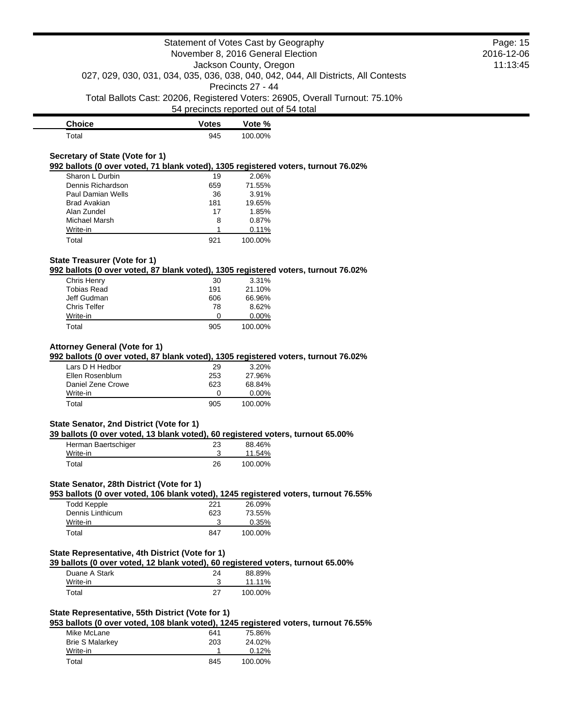| <b>Choice</b> | <b>Votes</b> | Vote %  |
|---------------|--------------|---------|
| Total         | 945          | 100.00% |

## **Secretary of State (Vote for 1)**

**992 ballots (0 over voted, 71 blank voted), 1305 registered voters, turnout 76.02%**

| Sharon L Durbin     | 19  | 2.06%   |
|---------------------|-----|---------|
| Dennis Richardson   | 659 | 71.55%  |
| Paul Damian Wells   | 36  | 3.91%   |
| <b>Brad Avakian</b> | 181 | 19.65%  |
| Alan Zundel         | 17  | 1.85%   |
| Michael Marsh       | 8   | 0.87%   |
| Write-in            |     | 0.11%   |
| Total               | 921 | 100.00% |

## **State Treasurer (Vote for 1)**

**992 ballots (0 over voted, 87 blank voted), 1305 registered voters, turnout 76.02%**

| Chris Henry         | 30  | 3.31%    |
|---------------------|-----|----------|
| <b>Tobias Read</b>  | 191 | 21.10%   |
| Jeff Gudman         | 606 | 66.96%   |
| <b>Chris Telfer</b> | 78  | 8.62%    |
| Write-in            | 0   | $0.00\%$ |
| Total               | 905 | 100.00%  |

#### **Attorney General (Vote for 1)**

**992 ballots (0 over voted, 87 blank voted), 1305 registered voters, turnout 76.02%**

| Lars D H Hedbor   | 29                | 3.20%    |
|-------------------|-------------------|----------|
| Ellen Rosenblum   | 253               | 27.96%   |
| Daniel Zene Crowe | 623               | 68.84%   |
| Write-in          | $\mathbf{\Omega}$ | $0.00\%$ |
| Total             | 905               | 100.00%  |

#### **State Senator, 2nd District (Vote for 1)**

#### **39 ballots (0 over voted, 13 blank voted), 60 registered voters, turnout 65.00%**

| Herman Baertschiger | 23 | 88.46%  |
|---------------------|----|---------|
| Write-in            |    | 11.54%  |
| Total               | 26 | 100.00% |

## **State Senator, 28th District (Vote for 1)**

**953 ballots (0 over voted, 106 blank voted), 1245 registered voters, turnout 76.55%**

| Todd Kepple      | 221 | 26.09%   |
|------------------|-----|----------|
| Dennis Linthicum | 623 | 73.55%   |
| Write-in         |     | $0.35\%$ |
| Total            | 847 | 100.00%  |

## **State Representative, 4th District (Vote for 1)**

**39 ballots (0 over voted, 12 blank voted), 60 registered voters, turnout 65.00%**

| Duane A Stark | 24 | 88.89%  |
|---------------|----|---------|
| Write-in      |    | 11.11%  |
| Total         | 27 | 100.00% |

## **State Representative, 55th District (Vote for 1)**

**953 ballots (0 over voted, 108 blank voted), 1245 registered voters, turnout 76.55%**

| Mike McLane            | 641 | 75.86%   |
|------------------------|-----|----------|
| <b>Brie S Malarkey</b> | 203 | 24.02%   |
| Write-in               |     | $0.12\%$ |
| Total                  | 845 | 100.00%  |

Page: 15 2016-12-06 11:13:45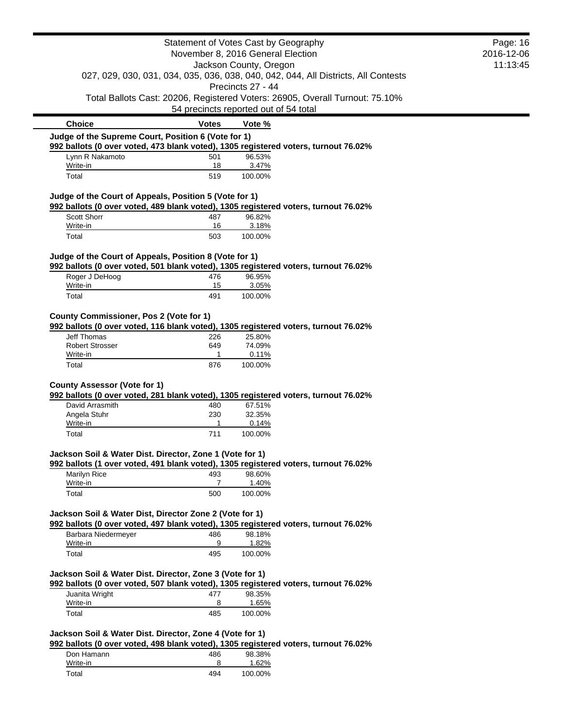|                                                          |              | Statement of Votes Cast by Geography<br>November 8, 2016 General Election                               | Page: 16<br>2016-12-06 |
|----------------------------------------------------------|--------------|---------------------------------------------------------------------------------------------------------|------------------------|
|                                                          |              | Jackson County, Oregon                                                                                  | 11:13:45               |
|                                                          |              | 027, 029, 030, 031, 034, 035, 036, 038, 040, 042, 044, All Districts, All Contests<br>Precincts 27 - 44 |                        |
|                                                          |              | Total Ballots Cast: 20206, Registered Voters: 26905, Overall Turnout: 75.10%                            |                        |
|                                                          |              | 54 precincts reported out of 54 total                                                                   |                        |
| <b>Choice</b>                                            | <b>Votes</b> | Vote %                                                                                                  |                        |
| Judge of the Supreme Court, Position 6 (Vote for 1)      |              | 992 ballots (0 over voted, 473 blank voted), 1305 registered voters, turnout 76.02%                     |                        |
| Lynn R Nakamoto                                          | 501          | 96.53%                                                                                                  |                        |
| Write-in<br>Total                                        | 18<br>519    | 3.47%<br>100.00%                                                                                        |                        |
| Judge of the Court of Appeals, Position 5 (Vote for 1)   |              |                                                                                                         |                        |
|                                                          |              | 992 ballots (0 over voted, 489 blank voted), 1305 registered voters, turnout 76.02%                     |                        |
| Scott Shorr<br>Write-in                                  | 487<br>16    | 96.82%<br>3.18%                                                                                         |                        |
| Total                                                    | 503          | 100.00%                                                                                                 |                        |
| Judge of the Court of Appeals, Position 8 (Vote for 1)   |              |                                                                                                         |                        |
|                                                          |              | 992 ballots (0 over voted, 501 blank voted), 1305 registered voters, turnout 76.02%                     |                        |
| Roger J DeHoog                                           | 476          | 96.95%                                                                                                  |                        |
| Write-in<br>Total                                        | 15<br>491    | 3.05%<br>100.00%                                                                                        |                        |
| County Commissioner, Pos 2 (Vote for 1)                  |              |                                                                                                         |                        |
|                                                          |              | 992 ballots (0 over voted, 116 blank voted), 1305 registered voters, turnout 76.02%                     |                        |
| <b>Jeff Thomas</b>                                       | 226          | 25.80%                                                                                                  |                        |
| <b>Robert Strosser</b>                                   | 649<br>1     | 74.09%<br>0.11%                                                                                         |                        |
| Write-in                                                 |              |                                                                                                         |                        |
| Total                                                    | 876          | 100.00%                                                                                                 |                        |
|                                                          |              |                                                                                                         |                        |
| <b>County Assessor (Vote for 1)</b>                      |              |                                                                                                         |                        |
| David Arrasmith                                          | 480          | 992 ballots (0 over voted, 281 blank voted), 1305 registered voters, turnout 76.02%<br>67.51%           |                        |
| Angela Stuhr                                             | 230          | 32.35%                                                                                                  |                        |
| Write-in                                                 | 1            | 0.14%                                                                                                   |                        |
| Total                                                    | 711          | 100.00%                                                                                                 |                        |
| Jackson Soil & Water Dist. Director, Zone 1 (Vote for 1) |              |                                                                                                         |                        |
| Marilyn Rice                                             | 493          | 992 ballots (1 over voted, 491 blank voted), 1305 registered voters, turnout 76.02%<br>98.60%           |                        |
| Write-in                                                 | 7            | 1.40%                                                                                                   |                        |
| Total                                                    | 500          | 100.00%                                                                                                 |                        |
| Jackson Soil & Water Dist, Director Zone 2 (Vote for 1)  |              |                                                                                                         |                        |
|                                                          |              | 992 ballots (0 over voted, 497 blank voted), 1305 registered voters, turnout 76.02%                     |                        |
| Barbara Niedermeyer                                      | 486          | 98.18%                                                                                                  |                        |
| Write-in<br>Total                                        | 9<br>495     | 1.82%<br>100.00%                                                                                        |                        |
|                                                          |              |                                                                                                         |                        |
| Jackson Soil & Water Dist. Director, Zone 3 (Vote for 1) |              |                                                                                                         |                        |
| Juanita Wright                                           | 477          | 992 ballots (0 over voted, 507 blank voted), 1305 registered voters, turnout 76.02%<br>98.35%           |                        |
| Write-in                                                 | 8            | 1.65%                                                                                                   |                        |
| Total                                                    | 485          | 100.00%                                                                                                 |                        |
| Jackson Soil & Water Dist. Director, Zone 4 (Vote for 1) |              |                                                                                                         |                        |
|                                                          |              | 992 ballots (0 over voted, 498 blank voted), 1305 registered voters, turnout 76.02%                     |                        |
| Don Hamann                                               | 486          | 98.38%                                                                                                  |                        |
| Write-in<br>Total                                        | 8<br>494     | 1.62%<br>100.00%                                                                                        |                        |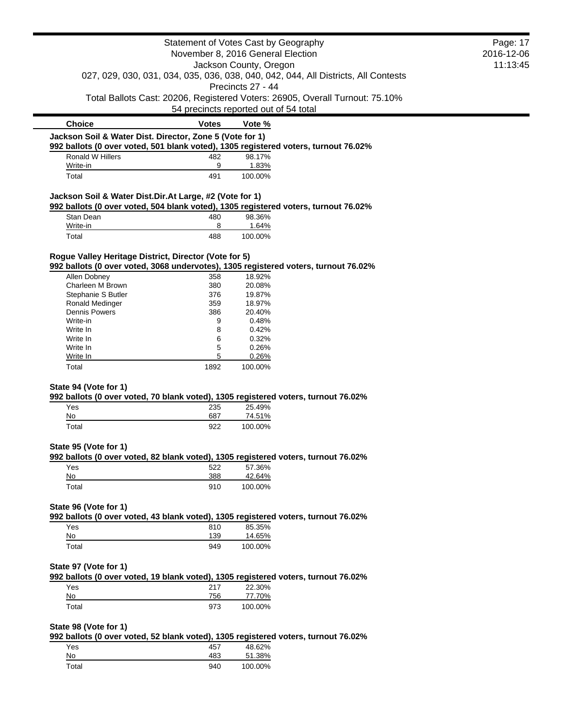|                                                                                                                                                 |              | Statement of Votes Cast by Geography                                                                    | Page: 17   |
|-------------------------------------------------------------------------------------------------------------------------------------------------|--------------|---------------------------------------------------------------------------------------------------------|------------|
|                                                                                                                                                 |              | November 8, 2016 General Election                                                                       | 2016-12-06 |
|                                                                                                                                                 |              | Jackson County, Oregon                                                                                  | 11:13:45   |
|                                                                                                                                                 |              | 027, 029, 030, 031, 034, 035, 036, 038, 040, 042, 044, All Districts, All Contests<br>Precincts 27 - 44 |            |
|                                                                                                                                                 |              | Total Ballots Cast: 20206, Registered Voters: 26905, Overall Turnout: 75.10%                            |            |
|                                                                                                                                                 |              | 54 precincts reported out of 54 total                                                                   |            |
| <b>Choice</b>                                                                                                                                   | <b>Votes</b> | Vote %                                                                                                  |            |
| Jackson Soil & Water Dist. Director, Zone 5 (Vote for 1)<br>992 ballots (0 over voted, 501 blank voted), 1305 registered voters, turnout 76.02% |              |                                                                                                         |            |
| Ronald W Hillers                                                                                                                                | 482          | 98.17%                                                                                                  |            |
| Write-in                                                                                                                                        | 9            | 1.83%                                                                                                   |            |
| Total                                                                                                                                           | 491          | 100.00%                                                                                                 |            |
| Jackson Soil & Water Dist.Dir.At Large, #2 (Vote for 1)                                                                                         |              |                                                                                                         |            |
| 992 ballots (0 over voted, 504 blank voted), 1305 registered voters, turnout 76.02%                                                             |              |                                                                                                         |            |
| Stan Dean                                                                                                                                       | 480          | 98.36%                                                                                                  |            |
| Write-in                                                                                                                                        | 8            | 1.64%                                                                                                   |            |
| Total                                                                                                                                           | 488          | 100.00%                                                                                                 |            |
| Rogue Valley Heritage District, Director (Vote for 5)                                                                                           |              |                                                                                                         |            |
| 992 ballots (0 over voted, 3068 undervotes), 1305 registered voters, turnout 76.02%                                                             |              |                                                                                                         |            |
| Allen Dobney                                                                                                                                    | 358          | 18.92%                                                                                                  |            |
| Charleen M Brown                                                                                                                                | 380          | 20.08%                                                                                                  |            |
| Stephanie S Butler                                                                                                                              | 376          | 19.87%                                                                                                  |            |
| Ronald Medinger                                                                                                                                 | 359          | 18.97%                                                                                                  |            |
| <b>Dennis Powers</b>                                                                                                                            | 386          | 20.40%                                                                                                  |            |
| Write-in                                                                                                                                        | 9            | 0.48%                                                                                                   |            |
| Write In                                                                                                                                        | 8            | 0.42%                                                                                                   |            |
| Write In                                                                                                                                        | 6            | 0.32%                                                                                                   |            |
| Write In                                                                                                                                        | 5            | 0.26%                                                                                                   |            |
| Write In                                                                                                                                        | 5            | 0.26%                                                                                                   |            |
| Total                                                                                                                                           | 1892         | 100.00%                                                                                                 |            |
| State 94 (Vote for 1)<br>992 ballots (0 over voted, 70 blank voted), 1305 registered voters, turnout 76.02%                                     |              |                                                                                                         |            |
| Yes                                                                                                                                             | 235          | 25.49%                                                                                                  |            |
| No                                                                                                                                              | 687          | 74.51%                                                                                                  |            |
| Total                                                                                                                                           | 922          | 100.00%                                                                                                 |            |
| State 95 (Vote for 1)                                                                                                                           |              |                                                                                                         |            |
| 992 ballots (0 over voted, 82 blank voted), 1305 registered voters, turnout 76.02%                                                              |              |                                                                                                         |            |
| Yes                                                                                                                                             | 522          | 57.36%                                                                                                  |            |
| No                                                                                                                                              | 388          | 42.64%                                                                                                  |            |
| Total                                                                                                                                           | 910          | 100.00%                                                                                                 |            |
| State 96 (Vote for 1)                                                                                                                           |              |                                                                                                         |            |
| 992 ballots (0 over voted, 43 blank voted), 1305 registered voters, turnout 76.02%<br>Yes                                                       | 810          | 85.35%                                                                                                  |            |
| No                                                                                                                                              | 139          | 14.65%                                                                                                  |            |
| Total                                                                                                                                           | 949          | 100.00%                                                                                                 |            |
| State 97 (Vote for 1)                                                                                                                           |              |                                                                                                         |            |
| 992 ballots (0 over voted, 19 blank voted), 1305 registered voters, turnout 76.02%                                                              |              |                                                                                                         |            |
| Yes                                                                                                                                             | 217          | 22.30%                                                                                                  |            |
| $No$                                                                                                                                            | 756          | 77.70%                                                                                                  |            |
| Total                                                                                                                                           | 973          | 100.00%                                                                                                 |            |
|                                                                                                                                                 |              |                                                                                                         |            |
| State 98 (Vote for 1)<br>992 ballots (0 over voted, 52 blank voted), 1305 registered voters, turnout 76.02%                                     |              |                                                                                                         |            |
| Yes                                                                                                                                             | 457          | 48.62%                                                                                                  |            |
| No                                                                                                                                              | 483          | 51.38%                                                                                                  |            |
|                                                                                                                                                 |              |                                                                                                         |            |

Total 940 100.00%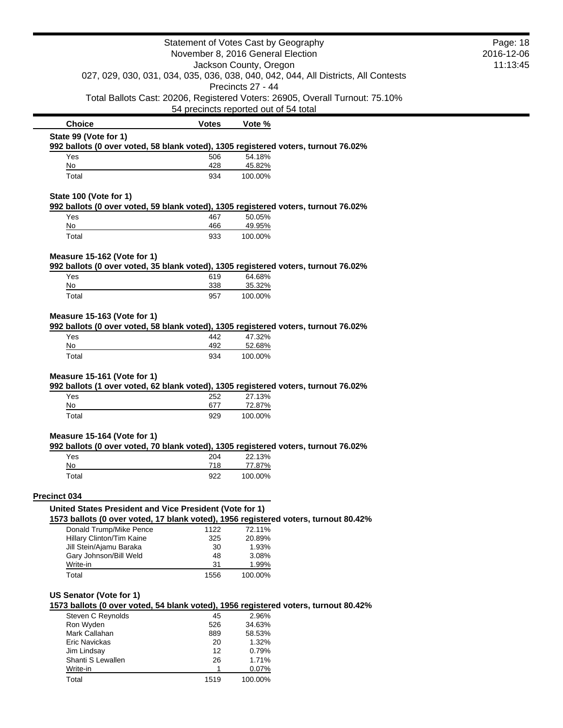|                                                                                                                   |                    | Statement of Votes Cast by Geography  |                                                                                    | Page: 18 |
|-------------------------------------------------------------------------------------------------------------------|--------------------|---------------------------------------|------------------------------------------------------------------------------------|----------|
| November 8, 2016 General Election                                                                                 |                    |                                       | 2016-12-06                                                                         |          |
|                                                                                                                   |                    | Jackson County, Oregon                |                                                                                    | 11:13:45 |
|                                                                                                                   |                    | Precincts 27 - 44                     | 027, 029, 030, 031, 034, 035, 036, 038, 040, 042, 044, All Districts, All Contests |          |
|                                                                                                                   |                    | 54 precincts reported out of 54 total | Total Ballots Cast: 20206, Registered Voters: 26905, Overall Turnout: 75.10%       |          |
| <b>Choice</b>                                                                                                     | <b>Votes</b>       | Vote %                                |                                                                                    |          |
| State 99 (Vote for 1)<br>992 ballots (0 over voted, 58 blank voted), 1305 registered voters, turnout 76.02%       |                    |                                       |                                                                                    |          |
| Yes                                                                                                               | 506                | 54.18%                                |                                                                                    |          |
| No                                                                                                                | 428                | 45.82%                                |                                                                                    |          |
| Total                                                                                                             | 934                | 100.00%                               |                                                                                    |          |
| State 100 (Vote for 1)<br>992 ballots (0 over voted, 59 blank voted), 1305 registered voters, turnout 76.02%      |                    |                                       |                                                                                    |          |
| Yes                                                                                                               | 467                | 50.05%                                |                                                                                    |          |
| No                                                                                                                | 466                | 49.95%                                |                                                                                    |          |
| Total                                                                                                             | 933                | 100.00%                               |                                                                                    |          |
| Measure 15-162 (Vote for 1)<br>992 ballots (0 over voted, 35 blank voted), 1305 registered voters, turnout 76.02% |                    |                                       |                                                                                    |          |
| Yes                                                                                                               | 619                | 64.68%                                |                                                                                    |          |
| No                                                                                                                | 338                | 35.32%                                |                                                                                    |          |
| Total                                                                                                             | 957                | 100.00%                               |                                                                                    |          |
| Yes<br>No                                                                                                         | 442<br>492         | 47.32%<br>52.68%                      |                                                                                    |          |
| Total                                                                                                             | 934                | 100.00%                               |                                                                                    |          |
| Measure 15-161 (Vote for 1)                                                                                       |                    |                                       |                                                                                    |          |
| 992 ballots (1 over voted, 62 blank voted), 1305 registered voters, turnout 76.02%                                |                    |                                       |                                                                                    |          |
| Yes                                                                                                               | 252                | 27.13%                                |                                                                                    |          |
| No<br>Total                                                                                                       | 677<br>929         | 72.87%<br>100.00%                     |                                                                                    |          |
| Measure 15-164 (Vote for 1)                                                                                       |                    |                                       |                                                                                    |          |
| 992 ballots (0 over voted, 70 blank voted), 1305 registered voters, turnout 76.02%                                |                    |                                       |                                                                                    |          |
| Yes                                                                                                               | 204                | 22.13%                                |                                                                                    |          |
| No<br>Total                                                                                                       | 718<br>922         | 77.87%<br>100.00%                     |                                                                                    |          |
|                                                                                                                   |                    |                                       |                                                                                    |          |
| Precinct 034<br>United States President and Vice President (Vote for 1)                                           |                    |                                       |                                                                                    |          |
| 1573 ballots (0 over voted, 17 blank voted), 1956 registered voters, turnout 80.42%                               |                    |                                       |                                                                                    |          |
| Donald Trump/Mike Pence                                                                                           | 1122               | 72.11%                                |                                                                                    |          |
| Hillary Clinton/Tim Kaine                                                                                         | 325<br>30          | 20.89%<br>1.93%                       |                                                                                    |          |
| Jill Stein/Ajamu Baraka<br>Gary Johnson/Bill Weld                                                                 | 48                 | 3.08%                                 |                                                                                    |          |
| Write-in                                                                                                          | 31                 | 1.99%                                 |                                                                                    |          |
| Total                                                                                                             | 1556               | 100.00%                               |                                                                                    |          |
| US Senator (Vote for 1)<br>1573 ballots (0 over voted, 54 blank voted), 1956 registered voters, turnout 80.42%    |                    |                                       |                                                                                    |          |
| Steven C Reynolds                                                                                                 | 45                 | 2.96%                                 |                                                                                    |          |
| Ron Wyden                                                                                                         | 526                | 34.63%                                |                                                                                    |          |
| Mark Callahan<br><b>Eric Navickas</b>                                                                             | 889                | 58.53%<br>1.32%                       |                                                                                    |          |
| Jim Lindsay                                                                                                       | 20<br>12           | 0.79%                                 |                                                                                    |          |
| Shanti S Lewallen<br>Write-in                                                                                     | 26<br>$\mathbf{1}$ | 1.71%<br>0.07%                        |                                                                                    |          |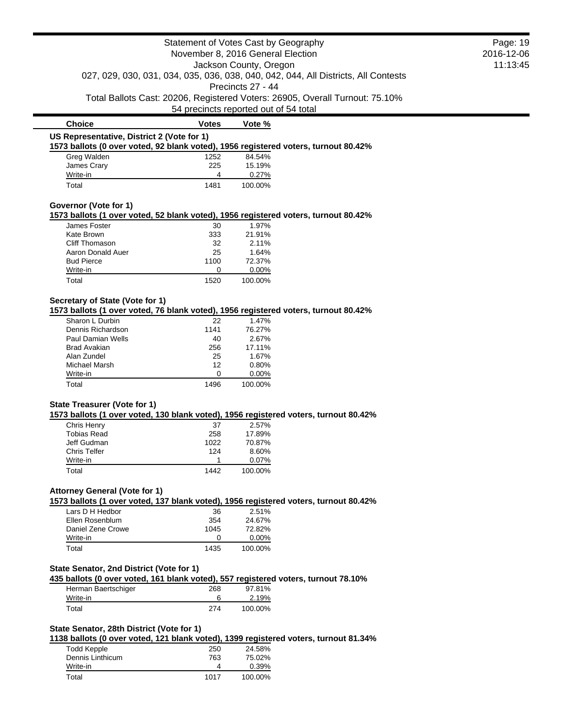|                                                                                                                              | Statement of Votes Cast by Geography  |                        |                                                                                    | Page: 19   |
|------------------------------------------------------------------------------------------------------------------------------|---------------------------------------|------------------------|------------------------------------------------------------------------------------|------------|
|                                                                                                                              | November 8, 2016 General Election     |                        |                                                                                    | 2016-12-06 |
|                                                                                                                              |                                       | Jackson County, Oregon |                                                                                    | 11:13:45   |
|                                                                                                                              |                                       |                        | 027, 029, 030, 031, 034, 035, 036, 038, 040, 042, 044, All Districts, All Contests |            |
|                                                                                                                              |                                       | Precincts 27 - 44      |                                                                                    |            |
|                                                                                                                              | 54 precincts reported out of 54 total |                        | Total Ballots Cast: 20206, Registered Voters: 26905, Overall Turnout: 75.10%       |            |
| <b>Choice</b>                                                                                                                | <b>Votes</b>                          | Vote %                 |                                                                                    |            |
| US Representative, District 2 (Vote for 1)                                                                                   |                                       |                        |                                                                                    |            |
| 1573 ballots (0 over voted, 92 blank voted), 1956 registered voters, turnout 80.42%                                          |                                       |                        |                                                                                    |            |
| Greg Walden                                                                                                                  | 1252                                  | 84.54%                 |                                                                                    |            |
| James Crary                                                                                                                  | 225<br>4                              | 15.19%                 |                                                                                    |            |
| Write-in<br>Total                                                                                                            | 1481                                  | 0.27%<br>100.00%       |                                                                                    |            |
|                                                                                                                              |                                       |                        |                                                                                    |            |
| Governor (Vote for 1)<br>1573 ballots (1 over voted, 52 blank voted), 1956 registered voters, turnout 80.42%                 |                                       |                        |                                                                                    |            |
| James Foster                                                                                                                 | 30                                    | 1.97%                  |                                                                                    |            |
| Kate Brown                                                                                                                   | 333                                   | 21.91%                 |                                                                                    |            |
| Cliff Thomason                                                                                                               | 32                                    | 2.11%                  |                                                                                    |            |
| Aaron Donald Auer                                                                                                            | 25                                    | 1.64%                  |                                                                                    |            |
| <b>Bud Pierce</b>                                                                                                            | 1100                                  | 72.37%                 |                                                                                    |            |
| Write-in                                                                                                                     | 0                                     | 0.00%                  |                                                                                    |            |
| Total                                                                                                                        | 1520                                  | 100.00%                |                                                                                    |            |
| Secretary of State (Vote for 1)                                                                                              |                                       |                        |                                                                                    |            |
| 1573 ballots (1 over voted, 76 blank voted), 1956 registered voters, turnout 80.42%                                          |                                       |                        |                                                                                    |            |
| Sharon L Durbin                                                                                                              | 22                                    | 1.47%                  |                                                                                    |            |
| Dennis Richardson                                                                                                            | 1141                                  | 76.27%                 |                                                                                    |            |
| Paul Damian Wells                                                                                                            | 40                                    | 2.67%                  |                                                                                    |            |
| <b>Brad Avakian</b>                                                                                                          | 256                                   | 17.11%                 |                                                                                    |            |
| Alan Zundel                                                                                                                  | 25                                    | 1.67%                  |                                                                                    |            |
| Michael Marsh                                                                                                                | 12<br>0                               | 0.80%                  |                                                                                    |            |
| Write-in<br>Total                                                                                                            | 1496                                  | 0.00%<br>100.00%       |                                                                                    |            |
|                                                                                                                              |                                       |                        |                                                                                    |            |
| <b>State Treasurer (Vote for 1)</b>                                                                                          |                                       |                        |                                                                                    |            |
| 1573 ballots (1 over voted, 130 blank voted), 1956 registered voters, turnout 80.42%                                         |                                       |                        |                                                                                    |            |
| Chris Henry<br><b>Tobias Read</b>                                                                                            | 37                                    | 2.57%<br>17.89%        |                                                                                    |            |
| Jeff Gudman                                                                                                                  | 258<br>1022                           | 70.87%                 |                                                                                    |            |
| <b>Chris Telfer</b>                                                                                                          | 124                                   | 8.60%                  |                                                                                    |            |
| Write-in                                                                                                                     | 1                                     | 0.07%                  |                                                                                    |            |
| Total                                                                                                                        | 1442                                  | 100.00%                |                                                                                    |            |
|                                                                                                                              |                                       |                        |                                                                                    |            |
| <b>Attorney General (Vote for 1)</b><br>1573 ballots (1 over voted, 137 blank voted), 1956 registered voters, turnout 80.42% |                                       |                        |                                                                                    |            |
| Lars D H Hedbor                                                                                                              | 36                                    | 2.51%                  |                                                                                    |            |
| Ellen Rosenblum                                                                                                              | 354                                   | 24.67%                 |                                                                                    |            |
| Daniel Zene Crowe                                                                                                            | 1045                                  | 72.82%                 |                                                                                    |            |
| Write-in                                                                                                                     | 0                                     | 0.00%                  |                                                                                    |            |
| Total                                                                                                                        | 1435                                  | 100.00%                |                                                                                    |            |
| State Senator, 2nd District (Vote for 1)                                                                                     |                                       |                        |                                                                                    |            |
| 435 ballots (0 over voted, 161 blank voted), 557 registered voters, turnout 78.10%                                           |                                       |                        |                                                                                    |            |
| Herman Baertschiger                                                                                                          | 268                                   | 97.81%                 |                                                                                    |            |
| Write-in                                                                                                                     | 6                                     | 2.19%                  |                                                                                    |            |
| Total                                                                                                                        | 274                                   | 100.00%                |                                                                                    |            |
| State Senator, 28th District (Vote for 1)                                                                                    |                                       |                        |                                                                                    |            |
| 1138 ballots (0 over voted, 121 blank voted), 1399 registered voters, turnout 81.34%                                         |                                       |                        |                                                                                    |            |
| <b>Todd Kepple</b>                                                                                                           | 250                                   | 24.58%                 |                                                                                    |            |
| Dennis Linthicum                                                                                                             | 763                                   | 75.02%                 |                                                                                    |            |
|                                                                                                                              | 4                                     | 0.39%                  |                                                                                    |            |

Total 1017 100.00%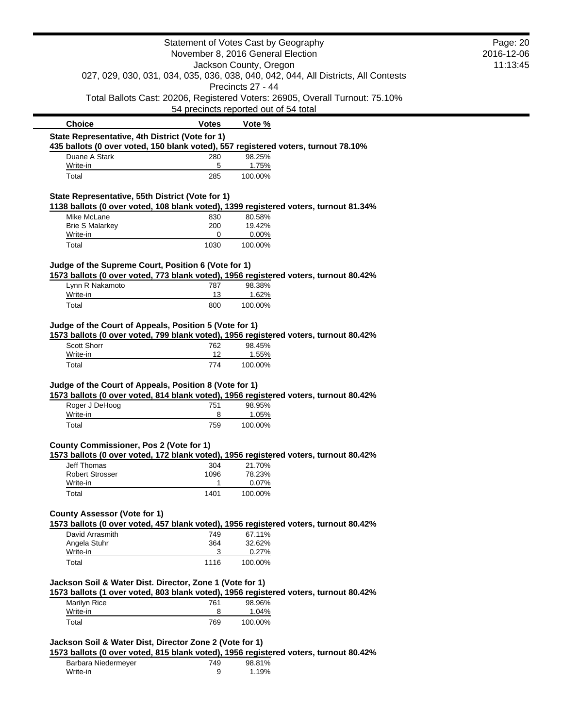|                                                          |                  | Statement of Votes Cast by Geography<br>November 8, 2016 General Election                               | Page: 20<br>2016-12-06 |
|----------------------------------------------------------|------------------|---------------------------------------------------------------------------------------------------------|------------------------|
|                                                          |                  |                                                                                                         | 11:13:45               |
|                                                          |                  | Jackson County, Oregon                                                                                  |                        |
|                                                          |                  | 027, 029, 030, 031, 034, 035, 036, 038, 040, 042, 044, All Districts, All Contests<br>Precincts 27 - 44 |                        |
|                                                          |                  | Total Ballots Cast: 20206, Registered Voters: 26905, Overall Turnout: 75.10%                            |                        |
|                                                          |                  | 54 precincts reported out of 54 total                                                                   |                        |
| <b>Choice</b>                                            | <b>Votes</b>     | Vote %                                                                                                  |                        |
| State Representative, 4th District (Vote for 1)          |                  | 435 ballots (0 over voted, 150 blank voted), 557 registered voters, turnout 78.10%                      |                        |
| Duane A Stark                                            | 280              | 98.25%                                                                                                  |                        |
| Write-in                                                 | 5                | 1.75%                                                                                                   |                        |
| Total                                                    | 285              | 100.00%                                                                                                 |                        |
| State Representative, 55th District (Vote for 1)         |                  |                                                                                                         |                        |
|                                                          |                  | 1138 ballots (0 over voted, 108 blank voted), 1399 registered voters, turnout 81.34%                    |                        |
| Mike McLane<br><b>Brie S Malarkey</b>                    | 830<br>200       | 80.58%<br>19.42%                                                                                        |                        |
| Write-in                                                 | 0                | 0.00%                                                                                                   |                        |
| Total                                                    | 1030             | 100.00%                                                                                                 |                        |
|                                                          |                  |                                                                                                         |                        |
| Judge of the Supreme Court, Position 6 (Vote for 1)      |                  | 1573 ballots (0 over voted, 773 blank voted), 1956 registered voters, turnout 80.42%                    |                        |
| Lynn R Nakamoto                                          | 787              | 98.38%                                                                                                  |                        |
| Write-in                                                 | 13               | 1.62%                                                                                                   |                        |
| Total                                                    | 800              | 100.00%                                                                                                 |                        |
| Judge of the Court of Appeals, Position 5 (Vote for 1)   |                  | 1573 ballots (0 over voted, 799 blank voted), 1956 registered voters, turnout 80.42%                    |                        |
| <b>Scott Shorr</b><br>Write-in<br>Total                  | 762<br>12<br>774 | 98.45%<br>1.55%<br>100.00%                                                                              |                        |
| Judge of the Court of Appeals, Position 8 (Vote for 1)   |                  | 1573 ballots (0 over voted, 814 blank voted), 1956 registered voters, turnout 80.42%                    |                        |
| Roger J DeHoog                                           | 751              | 98.95%                                                                                                  |                        |
| Write-in                                                 | 8                | 1.05%                                                                                                   |                        |
| Total                                                    | 759              | 100.00%                                                                                                 |                        |
| <b>County Commissioner, Pos 2 (Vote for 1)</b>           |                  |                                                                                                         |                        |
| <b>Jeff Thomas</b>                                       | 304              | 1573 ballots (0 over voted, 172 blank voted), 1956 registered voters, turnout 80.42%<br>21.70%          |                        |
| <b>Robert Strosser</b>                                   | 1096             | 78.23%                                                                                                  |                        |
| Write-in                                                 | 1                | 0.07%                                                                                                   |                        |
| Total                                                    | 1401             | 100.00%                                                                                                 |                        |
| <b>County Assessor (Vote for 1)</b>                      |                  |                                                                                                         |                        |
|                                                          |                  | 1573 ballots (0 over voted, 457 blank voted), 1956 registered voters, turnout 80.42%                    |                        |
| David Arrasmith                                          | 749              | 67.11%                                                                                                  |                        |
| Angela Stuhr                                             | 364              | 32.62%                                                                                                  |                        |
| Write-in<br>Total                                        | 3                | 0.27%<br>100.00%                                                                                        |                        |
|                                                          | 1116             |                                                                                                         |                        |
| Jackson Soil & Water Dist. Director, Zone 1 (Vote for 1) |                  | 1573 ballots (1 over voted, 803 blank voted), 1956 registered voters, turnout 80.42%                    |                        |
| Marilyn Rice                                             | 761              | 98.96%                                                                                                  |                        |
| Write-in<br>Total                                        | 8<br>769         | 1.04%<br>100.00%                                                                                        |                        |

Barbara Niedermeyer 749 98.81% Write-in 9 1.19%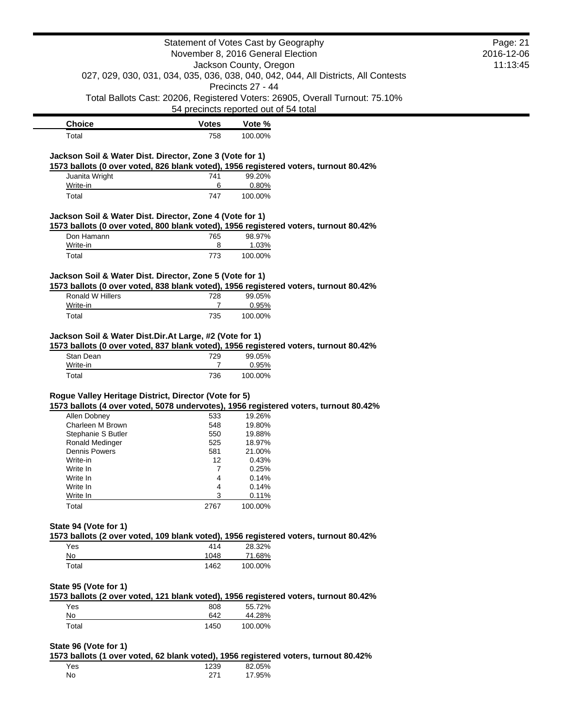|                                                          |                | Statement of Votes Cast by Geography                                                 | Page: 21   |
|----------------------------------------------------------|----------------|--------------------------------------------------------------------------------------|------------|
|                                                          |                | November 8, 2016 General Election                                                    | 2016-12-06 |
|                                                          |                | Jackson County, Oregon                                                               | 11:13:45   |
|                                                          |                | 027, 029, 030, 031, 034, 035, 036, 038, 040, 042, 044, All Districts, All Contests   |            |
|                                                          |                | Precincts 27 - 44                                                                    |            |
|                                                          |                | Total Ballots Cast: 20206, Registered Voters: 26905, Overall Turnout: 75.10%         |            |
|                                                          |                | 54 precincts reported out of 54 total                                                |            |
| <b>Choice</b>                                            | <b>Votes</b>   | Vote %                                                                               |            |
| Total                                                    | 758            | 100.00%                                                                              |            |
|                                                          |                |                                                                                      |            |
| Jackson Soil & Water Dist. Director, Zone 3 (Vote for 1) |                |                                                                                      |            |
|                                                          |                | 1573 ballots (0 over voted, 826 blank voted), 1956 registered voters, turnout 80.42% |            |
| Juanita Wright<br>Write-in                               | 741<br>6       | 99.20%<br>0.80%                                                                      |            |
| Total                                                    | 747            | 100.00%                                                                              |            |
|                                                          |                |                                                                                      |            |
| Jackson Soil & Water Dist. Director, Zone 4 (Vote for 1) |                |                                                                                      |            |
|                                                          |                | 1573 ballots (0 over voted, 800 blank voted), 1956 registered voters, turnout 80.42% |            |
| Don Hamann<br>Write-in                                   | 765<br>8       | 98.97%                                                                               |            |
|                                                          |                | 1.03%                                                                                |            |
| Total                                                    | 773            | 100.00%                                                                              |            |
| Jackson Soil & Water Dist. Director, Zone 5 (Vote for 1) |                |                                                                                      |            |
|                                                          |                | 1573 ballots (0 over voted, 838 blank voted), 1956 registered voters, turnout 80.42% |            |
| Ronald W Hillers                                         | 728            | 99.05%                                                                               |            |
| Write-in                                                 | $\overline{7}$ | 0.95%                                                                                |            |
| Total                                                    | 735            | 100.00%                                                                              |            |
| Jackson Soil & Water Dist.Dir.At Large, #2 (Vote for 1)  |                |                                                                                      |            |
|                                                          |                | 1573 ballots (0 over voted, 837 blank voted), 1956 registered voters, turnout 80.42% |            |
| Stan Dean                                                | 729            | 99.05%                                                                               |            |
| Write-in                                                 | 7              | 0.95%                                                                                |            |
| Total                                                    | 736            | 100.00%                                                                              |            |
|                                                          |                |                                                                                      |            |
| Rogue Valley Heritage District, Director (Vote for 5)    |                |                                                                                      |            |
|                                                          |                | 1573 ballots (4 over voted, 5078 undervotes), 1956 registered voters, turnout 80.42% |            |
| Allen Dobney                                             | 533            | 19.26%                                                                               |            |
| Charleen M Brown                                         | 548            | 19.80%                                                                               |            |
| Stephanie S Butler                                       | 550            | 19.88%                                                                               |            |
| Ronald Medinger                                          | 525            | 18.97%                                                                               |            |
| Dennis Powers<br>Write-in                                | 581<br>12      | 21.00%<br>0.43%                                                                      |            |
| Write In                                                 | 7              | 0.25%                                                                                |            |
| Write In                                                 | 4              | 0.14%                                                                                |            |
| Write In                                                 | 4              | 0.14%                                                                                |            |
| Write In                                                 | 3              | 0.11%                                                                                |            |
| Total                                                    | 2767           | 100.00%                                                                              |            |
|                                                          |                |                                                                                      |            |
| State 94 (Vote for 1)                                    |                | 1573 ballots (2 over voted, 109 blank voted), 1956 registered voters, turnout 80.42% |            |
| Yes                                                      | 414            | 28.32%                                                                               |            |
| No                                                       | 1048           | 71.68%                                                                               |            |
| Total                                                    | 1462           | 100.00%                                                                              |            |
|                                                          |                |                                                                                      |            |
| State 95 (Vote for 1)                                    |                |                                                                                      |            |
|                                                          |                | 1573 ballots (2 over voted, 121 blank voted), 1956 registered voters, turnout 80.42% |            |
|                                                          |                | 55.72%                                                                               |            |
| Yes<br>No                                                | 808<br>642     | 44.28%                                                                               |            |
|                                                          |                |                                                                                      |            |
| Total                                                    | 1450           | 100.00%                                                                              |            |
| State 96 (Vote for 1)                                    |                |                                                                                      |            |
|                                                          |                | 1573 ballots (1 over voted, 62 blank voted), 1956 registered voters, turnout 80.42%  |            |
| Yes                                                      | 1239           | 82.05%                                                                               |            |
| No                                                       | 271            | 17.95%                                                                               |            |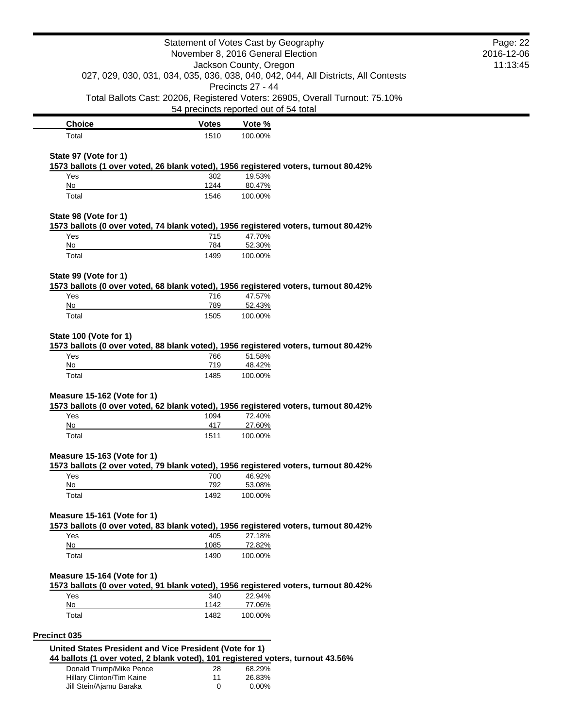|                                                                                 |              | Statement of Votes Cast by Geography                                                                    | Page: 22   |
|---------------------------------------------------------------------------------|--------------|---------------------------------------------------------------------------------------------------------|------------|
|                                                                                 |              | November 8, 2016 General Election                                                                       | 2016-12-06 |
|                                                                                 |              | Jackson County, Oregon                                                                                  | 11:13:45   |
|                                                                                 |              | 027, 029, 030, 031, 034, 035, 036, 038, 040, 042, 044, All Districts, All Contests<br>Precincts 27 - 44 |            |
|                                                                                 |              | Total Ballots Cast: 20206, Registered Voters: 26905, Overall Turnout: 75.10%                            |            |
|                                                                                 |              | 54 precincts reported out of 54 total                                                                   |            |
| <b>Choice</b>                                                                   | <b>Votes</b> | Vote %                                                                                                  |            |
| Total                                                                           | 1510         | 100.00%                                                                                                 |            |
| State 97 (Vote for 1)                                                           |              |                                                                                                         |            |
|                                                                                 |              | 1573 ballots (1 over voted, 26 blank voted), 1956 registered voters, turnout 80.42%                     |            |
| Yes                                                                             | 302          | 19.53%                                                                                                  |            |
| No<br>Total                                                                     | 1244<br>1546 | 80.47%<br>100.00%                                                                                       |            |
|                                                                                 |              |                                                                                                         |            |
| State 98 (Vote for 1)                                                           |              |                                                                                                         |            |
|                                                                                 |              | 1573 ballots (0 over voted, 74 blank voted), 1956 registered voters, turnout 80.42%                     |            |
| Yes<br>No                                                                       | 715<br>784   | 47.70%<br>52.30%                                                                                        |            |
| Total                                                                           | 1499         | 100.00%                                                                                                 |            |
|                                                                                 |              |                                                                                                         |            |
| State 99 (Vote for 1)                                                           |              |                                                                                                         |            |
| Yes                                                                             |              | 1573 ballots (0 over voted, 68 blank voted), 1956 registered voters, turnout 80.42%<br>47.57%           |            |
| No                                                                              | 716<br>789   | 52.43%                                                                                                  |            |
| Total                                                                           | 1505         | 100.00%                                                                                                 |            |
|                                                                                 |              |                                                                                                         |            |
| State 100 (Vote for 1)                                                          |              |                                                                                                         |            |
| Yes                                                                             | 766          | 1573 ballots (0 over voted, 88 blank voted), 1956 registered voters, turnout 80.42%<br>51.58%           |            |
| No                                                                              | 719          | 48.42%                                                                                                  |            |
| Total                                                                           | 1485         | 100.00%                                                                                                 |            |
|                                                                                 |              |                                                                                                         |            |
| Measure 15-162 (Vote for 1)                                                     |              | 1573 ballots (0 over voted, 62 blank voted), 1956 registered voters, turnout 80.42%                     |            |
| Yes                                                                             | 1094         | 72.40%                                                                                                  |            |
| No                                                                              | 417          | 27.60%                                                                                                  |            |
| Total                                                                           | 1511         | 100.00%                                                                                                 |            |
| Measure 15-163 (Vote for 1)                                                     |              |                                                                                                         |            |
|                                                                                 |              | 1573 ballots (2 over voted, 79 blank voted), 1956 registered voters, turnout 80.42%                     |            |
| Yes                                                                             | 700          | 46.92%                                                                                                  |            |
| No                                                                              | 792          | 53.08%                                                                                                  |            |
| Total                                                                           | 1492         | 100.00%                                                                                                 |            |
| Measure 15-161 (Vote for 1)                                                     |              |                                                                                                         |            |
|                                                                                 |              | 1573 ballots (0 over voted, 83 blank voted), 1956 registered voters, turnout 80.42%                     |            |
| Yes                                                                             | 405          | 27.18%                                                                                                  |            |
| No                                                                              | 1085         | 72.82%                                                                                                  |            |
| Total                                                                           | 1490         | 100.00%                                                                                                 |            |
| Measure 15-164 (Vote for 1)                                                     |              |                                                                                                         |            |
|                                                                                 |              | 1573 ballots (0 over voted, 91 blank voted), 1956 registered voters, turnout 80.42%                     |            |
| Yes                                                                             | 340          | 22.94%                                                                                                  |            |
| No                                                                              | 1142         | 77.06%                                                                                                  |            |
| Total                                                                           | 1482         | 100.00%                                                                                                 |            |
| Precinct 035                                                                    |              |                                                                                                         |            |
| United States President and Vice President (Vote for 1)                         |              |                                                                                                         |            |
| 44 ballots (1 over voted, 2 blank voted), 101 registered voters, turnout 43.56% |              |                                                                                                         |            |
| Donald Trump/Mike Pence                                                         | 28           | 68.29%                                                                                                  |            |
| Hillary Clinton/Tim Kaine<br>Jill Stein/Ajamu Baraka                            | 11<br>0      | 26.83%<br>0.00%                                                                                         |            |
|                                                                                 |              |                                                                                                         |            |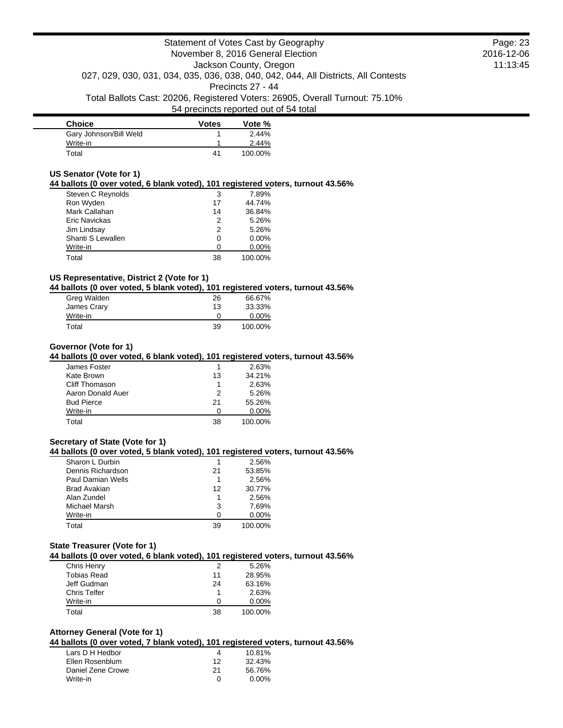| <b>Choice</b>          | <b>Votes</b> | Vote %  |
|------------------------|--------------|---------|
| Gary Johnson/Bill Weld |              | 2.44%   |
| Write-in               |              | 2.44%   |
| Total                  | 41           | 100.00% |

### **US Senator (Vote for 1)**

### **44 ballots (0 over voted, 6 blank voted), 101 registered voters, turnout 43.56%**

| 3  | 7.89%    |
|----|----------|
| 17 | 44.74%   |
| 14 | 36.84%   |
| 2  | 5.26%    |
| 2  | 5.26%    |
| 0  | $0.00\%$ |
|    | $0.00\%$ |
| 38 | 100.00%  |
|    |          |

## **US Representative, District 2 (Vote for 1)**

## **44 ballots (0 over voted, 5 blank voted), 101 registered voters, turnout 43.56%**

| Greg Walden | 26 | 66.67%   |
|-------------|----|----------|
| James Crary | 13 | 33.33%   |
| Write-in    |    | $0.00\%$ |
| Total       | 39 | 100.00%  |

#### **Governor (Vote for 1)**

### **44 ballots (0 over voted, 6 blank voted), 101 registered voters, turnout 43.56%**

| James Foster      |              | 2.63%    |
|-------------------|--------------|----------|
| Kate Brown        | 13           | 34.21%   |
| Cliff Thomason    |              | 2.63%    |
| Aaron Donald Auer | 2            | 5.26%    |
| <b>Bud Pierce</b> | 21           | 55.26%   |
| Write-in          | $\mathbf{I}$ | $0.00\%$ |
| Total             | 38           | 100.00%  |

### **Secretary of State (Vote for 1)**

#### **44 ballots (0 over voted, 5 blank voted), 101 registered voters, turnout 43.56%**

| Sharon L Durbin          |    | 2.56%    |
|--------------------------|----|----------|
| Dennis Richardson        | 21 | 53.85%   |
| <b>Paul Damian Wells</b> |    | 2.56%    |
| Brad Avakian             | 12 | 30.77%   |
| Alan Zundel              |    | 2.56%    |
| Michael Marsh            | 3  | 7.69%    |
| Write-in                 | n  | $0.00\%$ |
| Total                    | 39 | 100.00%  |

#### **State Treasurer (Vote for 1)**

#### **44 ballots (0 over voted, 6 blank voted), 101 registered voters, turnout 43.56%**

| 2  | 5.26%    |
|----|----------|
| 11 | 28.95%   |
| 24 | 63.16%   |
|    | 2.63%    |
| n  | $0.00\%$ |
| 38 | 100.00%  |
|    |          |

## **Attorney General (Vote for 1)**

### **44 ballots (0 over voted, 7 blank voted), 101 registered voters, turnout 43.56%**

| Lars D H Hedbor   | 4  | 10.81% |
|-------------------|----|--------|
| Ellen Rosenblum   | 12 | 32.43% |
| Daniel Zene Crowe | 21 | 56.76% |
| Write-in          | O  | 0.00%  |

Page: 23 2016-12-06 11:13:45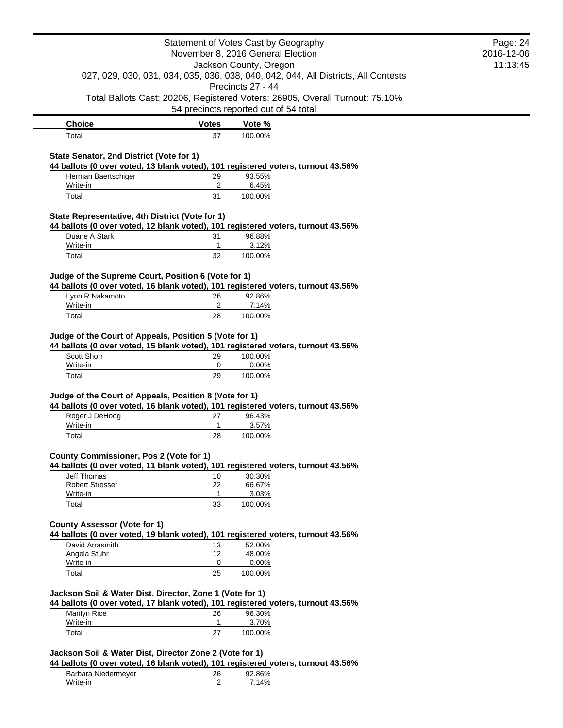|                                                                                                                                                                                                         | Statement of Votes Cast by Geography<br>November 8, 2016 General Election |                                      |                                                                                    | Page: 24<br>2016-12-06 |
|---------------------------------------------------------------------------------------------------------------------------------------------------------------------------------------------------------|---------------------------------------------------------------------------|--------------------------------------|------------------------------------------------------------------------------------|------------------------|
|                                                                                                                                                                                                         |                                                                           | Jackson County, Oregon               |                                                                                    | 11:13:45               |
|                                                                                                                                                                                                         |                                                                           | Precincts 27 - 44                    | 027, 029, 030, 031, 034, 035, 036, 038, 040, 042, 044, All Districts, All Contests |                        |
|                                                                                                                                                                                                         | 54 precincts reported out of 54 total                                     |                                      | Total Ballots Cast: 20206, Registered Voters: 26905, Overall Turnout: 75.10%       |                        |
| <b>Choice</b>                                                                                                                                                                                           | <b>Votes</b>                                                              | Vote %                               |                                                                                    |                        |
| Total                                                                                                                                                                                                   | 37                                                                        | 100.00%                              |                                                                                    |                        |
| State Senator, 2nd District (Vote for 1)<br>44 ballots (0 over voted, 13 blank voted), 101 registered voters, turnout 43.56%                                                                            |                                                                           |                                      |                                                                                    |                        |
| Herman Baertschiger<br>Write-in                                                                                                                                                                         | 29<br>2                                                                   | 93.55%<br>6.45%                      |                                                                                    |                        |
| Total                                                                                                                                                                                                   | 31                                                                        | 100.00%                              |                                                                                    |                        |
| State Representative, 4th District (Vote for 1)                                                                                                                                                         |                                                                           |                                      |                                                                                    |                        |
| 44 ballots (0 over voted, 12 blank voted), 101 registered voters, turnout 43.56%                                                                                                                        |                                                                           |                                      |                                                                                    |                        |
| Duane A Stark                                                                                                                                                                                           | 31                                                                        | 96.88%                               |                                                                                    |                        |
| Write-in<br>Total                                                                                                                                                                                       | 1<br>32                                                                   | 3.12%<br>100.00%                     |                                                                                    |                        |
|                                                                                                                                                                                                         |                                                                           |                                      |                                                                                    |                        |
| Judge of the Supreme Court, Position 6 (Vote for 1)<br>44 ballots (0 over voted, 16 blank voted), 101 registered voters, turnout 43.56%                                                                 |                                                                           |                                      |                                                                                    |                        |
| Lynn R Nakamoto                                                                                                                                                                                         | 26                                                                        | 92.86%                               |                                                                                    |                        |
| Write-in                                                                                                                                                                                                | 2                                                                         | 7.14%                                |                                                                                    |                        |
| Total                                                                                                                                                                                                   | 28                                                                        | 100.00%                              |                                                                                    |                        |
| Judge of the Court of Appeals, Position 5 (Vote for 1)<br>44 ballots (0 over voted, 15 blank voted), 101 registered voters, turnout 43.56%                                                              |                                                                           |                                      |                                                                                    |                        |
| Scott Shorr                                                                                                                                                                                             | 29                                                                        | 100.00%                              |                                                                                    |                        |
| Write-in<br>Total                                                                                                                                                                                       | 0<br>29                                                                   | 0.00%<br>100.00%                     |                                                                                    |                        |
| Judge of the Court of Appeals, Position 8 (Vote for 1)<br>44 ballots (0 over voted, 16 blank voted), 101 registered voters, turnout 43.56%<br>Roger J DeHoog<br>Write-in                                | 27<br>$\mathbf{1}$                                                        | 96.43%<br>3.57%                      |                                                                                    |                        |
| Total                                                                                                                                                                                                   | 28                                                                        | 100.00%                              |                                                                                    |                        |
| <b>County Commissioner, Pos 2 (Vote for 1)</b><br>44 ballots (0 over voted, 11 blank voted), 101 registered voters, turnout 43.56%<br><b>Jeff Thomas</b><br><b>Robert Strosser</b><br>Write-in<br>Total | 10<br>22<br>1<br>33                                                       | 30.30%<br>66.67%<br>3.03%<br>100.00% |                                                                                    |                        |
| <b>County Assessor (Vote for 1)</b><br>44 ballots (0 over voted, 19 blank voted), 101 registered voters, turnout 43.56%                                                                                 |                                                                           |                                      |                                                                                    |                        |
| David Arrasmith                                                                                                                                                                                         | 13                                                                        | 52.00%                               |                                                                                    |                        |
| Angela Stuhr                                                                                                                                                                                            | 12                                                                        | 48.00%                               |                                                                                    |                        |
| Write-in                                                                                                                                                                                                | 0                                                                         | 0.00%                                |                                                                                    |                        |
| Total<br>Jackson Soil & Water Dist. Director, Zone 1 (Vote for 1)<br>44 ballots (0 over voted, 17 blank voted), 101 registered voters, turnout 43.56%                                                   | 25                                                                        | 100.00%                              |                                                                                    |                        |
| Marilyn Rice                                                                                                                                                                                            | 26                                                                        | 96.30%                               |                                                                                    |                        |
| Write-in                                                                                                                                                                                                | $\mathbf{1}$                                                              | 3.70%                                |                                                                                    |                        |
| Total                                                                                                                                                                                                   | 27                                                                        | 100.00%                              |                                                                                    |                        |
| Jackson Soil & Water Dist, Director Zone 2 (Vote for 1)<br>44 ballots (0 over voted, 16 blank voted), 101 registered voters, turnout 43.56%                                                             |                                                                           |                                      |                                                                                    |                        |
| Barbara Niedermeyer                                                                                                                                                                                     | 26                                                                        | 92.86%                               |                                                                                    |                        |
| Write-in                                                                                                                                                                                                | 2                                                                         | 7.14%                                |                                                                                    |                        |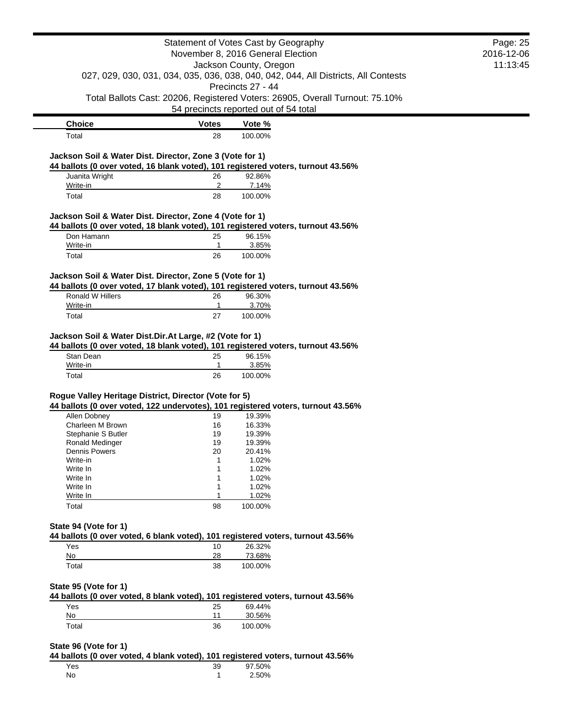|                                                          |              | Statement of Votes Cast by Geography<br>November 8, 2016 General Election                         | Page: 25<br>2016-12-06 |
|----------------------------------------------------------|--------------|---------------------------------------------------------------------------------------------------|------------------------|
|                                                          |              | Jackson County, Oregon                                                                            | 11:13:45               |
|                                                          |              | 027, 029, 030, 031, 034, 035, 036, 038, 040, 042, 044, All Districts, All Contests                |                        |
|                                                          |              | Precincts 27 - 44<br>Total Ballots Cast: 20206, Registered Voters: 26905, Overall Turnout: 75.10% |                        |
|                                                          |              | 54 precincts reported out of 54 total                                                             |                        |
| <b>Choice</b>                                            | <b>Votes</b> | Vote %                                                                                            |                        |
| Total                                                    | 28           | 100.00%                                                                                           |                        |
| Jackson Soil & Water Dist. Director, Zone 3 (Vote for 1) |              |                                                                                                   |                        |
|                                                          |              | 44 ballots (0 over voted, 16 blank voted), 101 registered voters, turnout 43.56%                  |                        |
| Juanita Wright                                           | 26           | 92.86%                                                                                            |                        |
| Write-in                                                 | 2            | 7.14%                                                                                             |                        |
| Total                                                    | 28           | 100.00%                                                                                           |                        |
| Jackson Soil & Water Dist. Director, Zone 4 (Vote for 1) |              | 44 ballots (0 over voted, 18 blank voted), 101 registered voters, turnout 43.56%                  |                        |
| Don Hamann                                               | 25           | 96.15%                                                                                            |                        |
| Write-in                                                 | 1            | 3.85%                                                                                             |                        |
| Total                                                    | 26           | 100.00%                                                                                           |                        |
| Jackson Soil & Water Dist. Director, Zone 5 (Vote for 1) |              |                                                                                                   |                        |
|                                                          |              | 44 ballots (0 over voted, 17 blank voted), 101 registered voters, turnout 43.56%                  |                        |
| Ronald W Hillers                                         | 26           | 96.30%                                                                                            |                        |
| Write-in                                                 | $\mathbf{1}$ | 3.70%                                                                                             |                        |
| Total                                                    | 27           | 100.00%                                                                                           |                        |
| Write-in<br>Total                                        | 1<br>26      | 3.85%<br>100.00%                                                                                  |                        |
| Rogue Valley Heritage District, Director (Vote for 5)    |              |                                                                                                   |                        |
|                                                          |              | 44 ballots (0 over voted, 122 undervotes), 101 registered voters, turnout 43.56%                  |                        |
| Allen Dobney                                             | 19           | 19.39%                                                                                            |                        |
| Charleen M Brown                                         | 16           | 16.33%                                                                                            |                        |
| Stephanie S Butler                                       | 19           | 19.39%                                                                                            |                        |
| Ronald Medinger                                          | 19           | 19.39%                                                                                            |                        |
| <b>Dennis Powers</b>                                     | 20           | 20.41%                                                                                            |                        |
| Write-in                                                 | 1            | 1.02%                                                                                             |                        |
| Write In<br>Write In                                     | 1<br>1       | 1.02%<br>1.02%                                                                                    |                        |
| Write In                                                 | 1            | 1.02%                                                                                             |                        |
| Write In                                                 | 1            | 1.02%                                                                                             |                        |
| Total                                                    | 98           | 100.00%                                                                                           |                        |
|                                                          |              |                                                                                                   |                        |
| State 94 (Vote for 1)                                    |              | 44 ballots (0 over voted, 6 blank voted), 101 registered voters, turnout 43.56%                   |                        |
| Yes                                                      | 10           | 26.32%                                                                                            |                        |
| No                                                       | 28           | 73.68%                                                                                            |                        |
| Total                                                    | 38           | 100.00%                                                                                           |                        |
| State 95 (Vote for 1)                                    |              |                                                                                                   |                        |
|                                                          |              | 44 ballots (0 over voted, 8 blank voted), 101 registered voters, turnout 43.56%                   |                        |
| Yes                                                      | 25           | 69.44%                                                                                            |                        |
| No                                                       | 11           | 30.56%                                                                                            |                        |
| Total                                                    | 36           | 100.00%                                                                                           |                        |
| State 96 (Vote for 1)                                    |              |                                                                                                   |                        |
|                                                          |              | 44 ballots (0 over voted, 4 blank voted), 101 registered voters, turnout 43.56%                   |                        |
| Yes                                                      | 39           | 97.50%                                                                                            |                        |

No 1 2.50%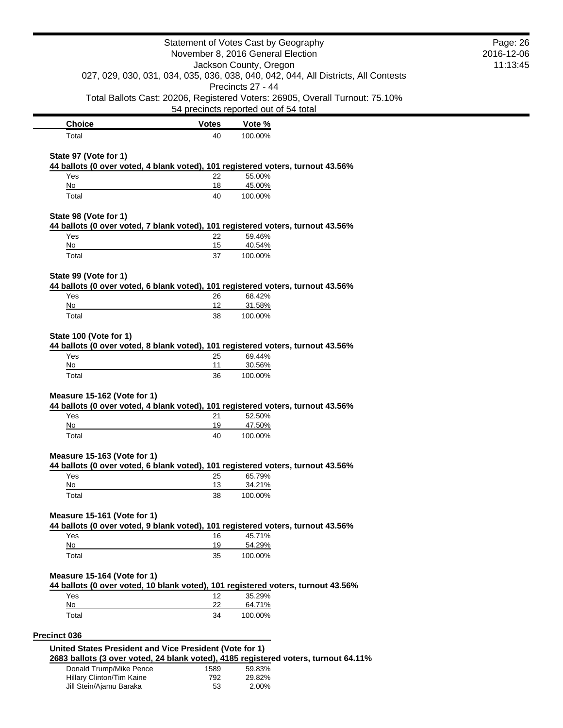|                                                                                                                |              | Statement of Votes Cast by Geography<br>November 8, 2016 General Election                                             | Page: 26<br>2016-12-06 |
|----------------------------------------------------------------------------------------------------------------|--------------|-----------------------------------------------------------------------------------------------------------------------|------------------------|
|                                                                                                                |              | Jackson County, Oregon                                                                                                | 11:13:45               |
|                                                                                                                |              | 027, 029, 030, 031, 034, 035, 036, 038, 040, 042, 044, All Districts, All Contests<br>Precincts 27 - 44               |                        |
|                                                                                                                |              | Total Ballots Cast: 20206, Registered Voters: 26905, Overall Turnout: 75.10%<br>54 precincts reported out of 54 total |                        |
| <b>Choice</b>                                                                                                  | <b>Votes</b> | Vote %                                                                                                                |                        |
| Total                                                                                                          | 40           | 100.00%                                                                                                               |                        |
|                                                                                                                |              |                                                                                                                       |                        |
| State 97 (Vote for 1)<br>44 ballots (0 over voted, 4 blank voted), 101 registered voters, turnout 43.56%       |              |                                                                                                                       |                        |
| Yes                                                                                                            | 22           | 55.00%                                                                                                                |                        |
| No                                                                                                             | 18           | 45.00%                                                                                                                |                        |
| Total                                                                                                          | 40           | 100.00%                                                                                                               |                        |
| State 98 (Vote for 1)                                                                                          |              |                                                                                                                       |                        |
| 44 ballots (0 over voted, 7 blank voted), 101 registered voters, turnout 43.56%                                |              |                                                                                                                       |                        |
| Yes<br>No                                                                                                      | 22<br>15     | 59.46%<br>40.54%                                                                                                      |                        |
| Total                                                                                                          | 37           | 100.00%                                                                                                               |                        |
|                                                                                                                |              |                                                                                                                       |                        |
| State 99 (Vote for 1)<br>44 ballots (0 over voted, 6 blank voted), 101 registered voters, turnout 43.56%       |              |                                                                                                                       |                        |
| Yes                                                                                                            | 26           | 68.42%                                                                                                                |                        |
| No                                                                                                             | 12           | 31.58%                                                                                                                |                        |
| Total                                                                                                          | 38           | 100.00%                                                                                                               |                        |
| State 100 (Vote for 1)<br>44 ballots (0 over voted, 8 blank voted), 101 registered voters, turnout 43.56%      |              |                                                                                                                       |                        |
| Yes<br>No                                                                                                      | 25<br>11     | 69.44%<br>30.56%                                                                                                      |                        |
| Total                                                                                                          | 36           | 100.00%                                                                                                               |                        |
| Measure 15-162 (Vote for 1)                                                                                    |              |                                                                                                                       |                        |
| 44 ballots (0 over voted, 4 blank voted), 101 registered voters, turnout 43.56%<br>Yes                         | 21           | 52.50%                                                                                                                |                        |
| No                                                                                                             | <u>19</u>    | 47.50%                                                                                                                |                        |
| Total                                                                                                          | 40           | 100.00%                                                                                                               |                        |
| Measure 15-163 (Vote for 1)                                                                                    |              |                                                                                                                       |                        |
| 44 ballots (0 over voted, 6 blank voted), 101 registered voters, turnout 43.56%                                |              |                                                                                                                       |                        |
| Yes                                                                                                            | 25           | 65.79%                                                                                                                |                        |
| No<br>Total                                                                                                    | 13<br>38     | 34.21%<br>100.00%                                                                                                     |                        |
|                                                                                                                |              |                                                                                                                       |                        |
| Measure 15-161 (Vote for 1)<br>44 ballots (0 over voted, 9 blank voted), 101 registered voters, turnout 43.56% |              |                                                                                                                       |                        |
| Yes                                                                                                            | 16           | 45.71%                                                                                                                |                        |
| No<br>Total                                                                                                    | 19<br>35     | 54.29%<br>100.00%                                                                                                     |                        |
|                                                                                                                |              |                                                                                                                       |                        |
| Measure 15-164 (Vote for 1)                                                                                    |              | 44 ballots (0 over voted, 10 blank voted), 101 registered voters, turnout 43.56%                                      |                        |
| Yes                                                                                                            | 12           | 35.29%                                                                                                                |                        |
| No                                                                                                             | 22           | 64.71%                                                                                                                |                        |
| Total                                                                                                          | 34           | 100.00%                                                                                                               |                        |
| <b>Precinct 036</b>                                                                                            |              |                                                                                                                       |                        |
| United States President and Vice President (Vote for 1)                                                        |              | 2683 ballots (3 over voted, 24 blank voted), 4185 registered voters, turnout 64.11%                                   |                        |
| Donald Trump/Mike Pence                                                                                        | 1589         | 59.83%                                                                                                                |                        |
| Hillary Clinton/Tim Kaine                                                                                      | 792          | 29.82%                                                                                                                |                        |

Jill Stein/Ajamu Baraka 53 2.00%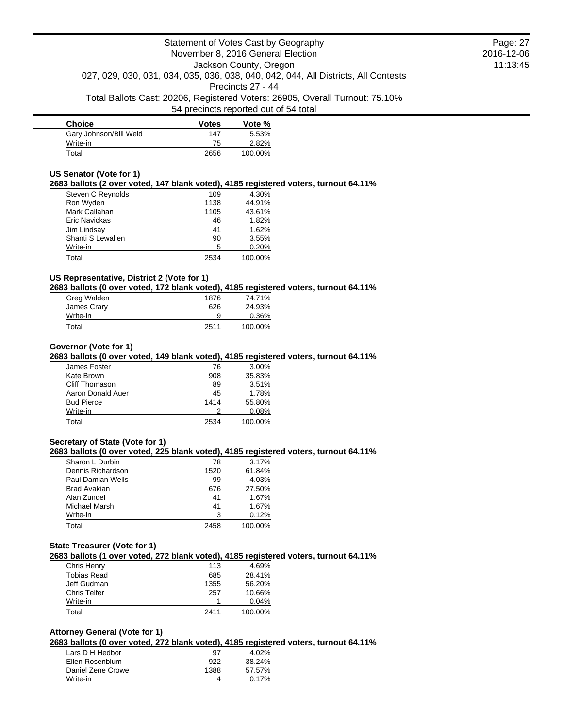| <b>Choice</b>          | <b>Votes</b> | Vote %  |
|------------------------|--------------|---------|
| Gary Johnson/Bill Weld | 147          | 5.53%   |
| Write-in               | 75           | 2.82%   |
| Total                  | 2656         | 100.00% |

#### **US Senator (Vote for 1)**

**2683 ballots (2 over voted, 147 blank voted), 4185 registered voters, turnout 64.11%**

| Steven C Reynolds    | 109  | 4.30%   |
|----------------------|------|---------|
| Ron Wyden            | 1138 | 44.91%  |
| Mark Callahan        | 1105 | 43.61%  |
| <b>Eric Navickas</b> | 46   | 1.82%   |
| Jim Lindsay          | 41   | 1.62%   |
| Shanti S Lewallen    | 90   | 3.55%   |
| Write-in             | 5    | 0.20%   |
| Total                | 2534 | 100.00% |

## **US Representative, District 2 (Vote for 1)**

**2683 ballots (0 over voted, 172 blank voted), 4185 registered voters, turnout 64.11%**

| Greg Walden | 1876 | 74.71%  |
|-------------|------|---------|
| James Crary | 626  | 24.93%  |
| Write-in    | 9    | 0.36%   |
| Total       | 2511 | 100.00% |

### **Governor (Vote for 1)**

**2683 ballots (0 over voted, 149 blank voted), 4185 registered voters, turnout 64.11%**

| James Foster      | 76   | $3.00\%$ |
|-------------------|------|----------|
| Kate Brown        | 908  | 35.83%   |
| Cliff Thomason    | 89   | 3.51%    |
| Aaron Donald Auer | 45   | 1.78%    |
| <b>Bud Pierce</b> | 1414 | 55.80%   |
| Write-in          |      | 0.08%    |
| Total             | 2534 | 100.00%  |

### **Secretary of State (Vote for 1)**

**2683 ballots (0 over voted, 225 blank voted), 4185 registered voters, turnout 64.11%**

| Sharon L Durbin   | 78   | 3.17%   |
|-------------------|------|---------|
| Dennis Richardson | 1520 | 61.84%  |
| Paul Damian Wells | 99   | 4.03%   |
| Brad Avakian      | 676  | 27.50%  |
| Alan Zundel       | 41   | 1.67%   |
| Michael Marsh     | 41   | 1.67%   |
| Write-in          | 3    | 0.12%   |
| Total             | 2458 | 100.00% |

#### **State Treasurer (Vote for 1)**

**2683 ballots (1 over voted, 272 blank voted), 4185 registered voters, turnout 64.11%**

|                     | . .  |         |
|---------------------|------|---------|
| Chris Henry         | 113  | 4.69%   |
| <b>Tobias Read</b>  | 685  | 28.41%  |
| Jeff Gudman         | 1355 | 56.20%  |
| <b>Chris Telfer</b> | 257  | 10.66%  |
| Write-in            |      | 0.04%   |
| Total               | 2411 | 100.00% |
|                     |      |         |

### **Attorney General (Vote for 1)**

**2683 ballots (0 over voted, 272 blank voted), 4185 registered voters, turnout 64.11%**

| Lars D H Hedbor   | 97   | 4.02%  |
|-------------------|------|--------|
| Ellen Rosenblum   | 922  | 38.24% |
| Daniel Zene Crowe | 1388 | 57.57% |
| Write-in          |      | 0.17%  |

Page: 27 2016-12-06 11:13:45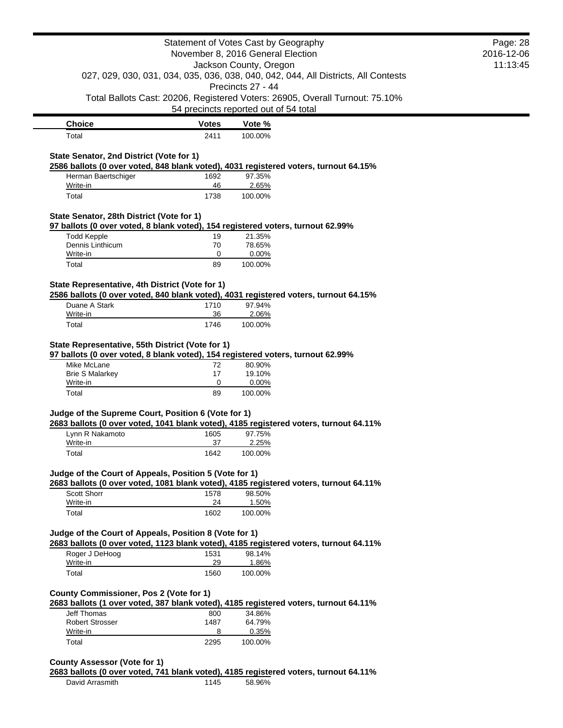|                                                        |                                                                                                         | Statement of Votes Cast by Geography<br>November 8, 2016 General Election<br>Jackson County, Oregon |  | Page: 28<br>2016-12-06<br>11:13:45 |
|--------------------------------------------------------|---------------------------------------------------------------------------------------------------------|-----------------------------------------------------------------------------------------------------|--|------------------------------------|
|                                                        | 027, 029, 030, 031, 034, 035, 036, 038, 040, 042, 044, All Districts, All Contests<br>Precincts 27 - 44 |                                                                                                     |  |                                    |
|                                                        |                                                                                                         | Total Ballots Cast: 20206, Registered Voters: 26905, Overall Turnout: 75.10%                        |  |                                    |
|                                                        |                                                                                                         | 54 precincts reported out of 54 total                                                               |  |                                    |
| <b>Choice</b>                                          | <b>Votes</b>                                                                                            | Vote %                                                                                              |  |                                    |
| Total                                                  | 2411                                                                                                    | 100.00%                                                                                             |  |                                    |
| State Senator, 2nd District (Vote for 1)               |                                                                                                         |                                                                                                     |  |                                    |
|                                                        |                                                                                                         | 2586 ballots (0 over voted, 848 blank voted), 4031 registered voters, turnout 64.15%                |  |                                    |
| Herman Baertschiger                                    | 1692                                                                                                    | 97.35%                                                                                              |  |                                    |
| Write-in<br>Total                                      | 46<br>1738                                                                                              | 2.65%<br>100.00%                                                                                    |  |                                    |
|                                                        |                                                                                                         |                                                                                                     |  |                                    |
| State Senator, 28th District (Vote for 1)              |                                                                                                         |                                                                                                     |  |                                    |
| <b>Todd Kepple</b>                                     | 19                                                                                                      | 97 ballots (0 over voted, 8 blank voted), 154 registered voters, turnout 62.99%<br>21.35%           |  |                                    |
| Dennis Linthicum                                       | 70                                                                                                      | 78.65%                                                                                              |  |                                    |
| Write-in                                               | 0                                                                                                       | 0.00%                                                                                               |  |                                    |
| Total                                                  | 89                                                                                                      | 100.00%                                                                                             |  |                                    |
| State Representative, 4th District (Vote for 1)        |                                                                                                         |                                                                                                     |  |                                    |
|                                                        |                                                                                                         | 2586 ballots (0 over voted, 840 blank voted), 4031 registered voters, turnout 64.15%                |  |                                    |
| Duane A Stark                                          | 1710                                                                                                    | 97.94%                                                                                              |  |                                    |
| Write-in                                               | 36                                                                                                      | 2.06%                                                                                               |  |                                    |
| Total                                                  | 1746                                                                                                    | 100.00%                                                                                             |  |                                    |
| <b>Brie S Malarkey</b><br>Write-in<br>Total            | 17<br>0<br>89                                                                                           | 19.10%<br>0.00%<br>100.00%                                                                          |  |                                    |
| Judge of the Supreme Court, Position 6 (Vote for 1)    |                                                                                                         | 2683 ballots (0 over voted, 1041 blank voted), 4185 registered voters, turnout 64.11%               |  |                                    |
| Lynn R Nakamoto                                        | 1605                                                                                                    | 97.75%                                                                                              |  |                                    |
| Write-in                                               | 37                                                                                                      | 2.25%                                                                                               |  |                                    |
| Total                                                  | 1642                                                                                                    | 100.00%                                                                                             |  |                                    |
| Judge of the Court of Appeals, Position 5 (Vote for 1) |                                                                                                         | 2683 ballots (0 over voted, 1081 blank voted), 4185 registered voters, turnout 64.11%               |  |                                    |
| Scott Shorr                                            | 1578                                                                                                    | 98.50%                                                                                              |  |                                    |
| Write-in                                               | 24                                                                                                      | 1.50%                                                                                               |  |                                    |
| Total                                                  | 1602                                                                                                    | 100.00%                                                                                             |  |                                    |
| Judge of the Court of Appeals, Position 8 (Vote for 1) |                                                                                                         | 2683 ballots (0 over voted, 1123 blank voted), 4185 registered voters, turnout 64.11%               |  |                                    |
| Roger J DeHoog                                         | 1531                                                                                                    | 98.14%                                                                                              |  |                                    |
| Write-in<br>Total                                      | 29<br>1560                                                                                              | 1.86%<br>100.00%                                                                                    |  |                                    |
|                                                        |                                                                                                         |                                                                                                     |  |                                    |
| <b>County Commissioner, Pos 2 (Vote for 1)</b>         |                                                                                                         | 2683 ballots (1 over voted, 387 blank voted), 4185 registered voters, turnout 64.11%                |  |                                    |
| <b>Jeff Thomas</b>                                     | 800                                                                                                     | 34.86%                                                                                              |  |                                    |
| <b>Robert Strosser</b>                                 | 1487                                                                                                    | 64.79%                                                                                              |  |                                    |
| Write-in<br>Total                                      | 8<br>2295                                                                                               | 0.35%<br>100.00%                                                                                    |  |                                    |
|                                                        |                                                                                                         |                                                                                                     |  |                                    |
| <b>County Assessor (Vote for 1)</b>                    |                                                                                                         |                                                                                                     |  |                                    |
|                                                        |                                                                                                         | 2683 ballots (0 over voted, 741 blank voted), 4185 registered voters, turnout 64.11%                |  |                                    |
| David Arrasmith                                        | 1145                                                                                                    | 58.96%                                                                                              |  |                                    |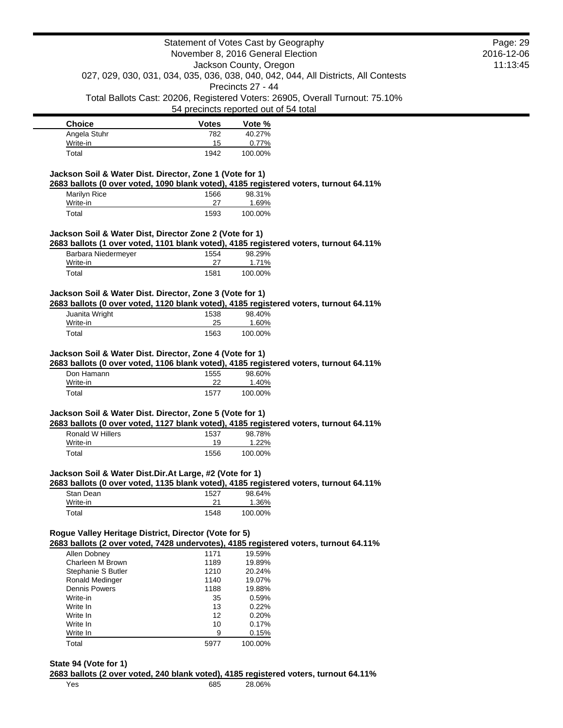| Statement of Votes Cast by Geography                                                                    |                                       |                 | Page: 29                                                                     |            |
|---------------------------------------------------------------------------------------------------------|---------------------------------------|-----------------|------------------------------------------------------------------------------|------------|
| November 8, 2016 General Election<br>Jackson County, Oregon                                             |                                       |                 |                                                                              | 2016-12-06 |
| 027, 029, 030, 031, 034, 035, 036, 038, 040, 042, 044, All Districts, All Contests<br>Precincts 27 - 44 |                                       |                 | 11:13:45                                                                     |            |
|                                                                                                         |                                       |                 |                                                                              |            |
|                                                                                                         |                                       |                 |                                                                              |            |
|                                                                                                         | 54 precincts reported out of 54 total |                 | Total Ballots Cast: 20206, Registered Voters: 26905, Overall Turnout: 75.10% |            |
| <b>Choice</b>                                                                                           | Votes                                 | Vote %          |                                                                              |            |
| Angela Stuhr                                                                                            | 782                                   | 40.27%          |                                                                              |            |
| Write-in                                                                                                | 15                                    | 0.77%           |                                                                              |            |
| Total                                                                                                   | 1942                                  | 100.00%         |                                                                              |            |
| Jackson Soil & Water Dist. Director, Zone 1 (Vote for 1)                                                |                                       |                 |                                                                              |            |
| 2683 ballots (0 over voted, 1090 blank voted), 4185 registered voters, turnout 64.11%<br>Marilyn Rice   | 1566                                  | 98.31%          |                                                                              |            |
| Write-in                                                                                                | 27                                    | 1.69%           |                                                                              |            |
| Total                                                                                                   | 1593                                  | 100.00%         |                                                                              |            |
|                                                                                                         |                                       |                 |                                                                              |            |
| Jackson Soil & Water Dist, Director Zone 2 (Vote for 1)                                                 |                                       |                 |                                                                              |            |
| 2683 ballots (1 over voted, 1101 blank voted), 4185 registered voters, turnout 64.11%                   |                                       |                 |                                                                              |            |
| Barbara Niedermeyer<br>Write-in                                                                         | 1554<br>27                            | 98.29%<br>1.71% |                                                                              |            |
| Total                                                                                                   | 1581                                  | 100.00%         |                                                                              |            |
|                                                                                                         |                                       |                 |                                                                              |            |
| Jackson Soil & Water Dist. Director, Zone 3 (Vote for 1)                                                |                                       |                 |                                                                              |            |
| 2683 ballots (0 over voted, 1120 blank voted), 4185 registered voters, turnout 64.11%                   |                                       |                 |                                                                              |            |
| Juanita Wright                                                                                          | 1538                                  | 98.40%          |                                                                              |            |
| Write-in                                                                                                | 25                                    | 1.60%           |                                                                              |            |
| Total                                                                                                   | 1563                                  | 100.00%         |                                                                              |            |
|                                                                                                         |                                       |                 |                                                                              |            |
| Jackson Soil & Water Dist. Director, Zone 4 (Vote for 1)                                                |                                       |                 |                                                                              |            |
| 2683 ballots (0 over voted, 1106 blank voted), 4185 registered voters, turnout 64.11%                   |                                       |                 |                                                                              |            |
| Don Hamann                                                                                              | 1555                                  | 98.60%          |                                                                              |            |
| Write-in                                                                                                | 22                                    | 1.40%           |                                                                              |            |
| Total                                                                                                   | 1577                                  | 100.00%         |                                                                              |            |
| Jackson Soil & Water Dist. Director, Zone 5 (Vote for 1)                                                |                                       |                 |                                                                              |            |
| 2683 ballots (0 over voted, 1127 blank voted), 4185 registered voters, turnout 64.11%                   |                                       |                 |                                                                              |            |
| Ronald W Hillers                                                                                        | 1537                                  | 98.78%          |                                                                              |            |
| Write-in                                                                                                | 19                                    | 1.22%           |                                                                              |            |
| Total                                                                                                   | 1556                                  | 100.00%         |                                                                              |            |
| Jackson Soil & Water Dist.Dir.At Large, #2 (Vote for 1)                                                 |                                       |                 |                                                                              |            |
| 2683 ballots (0 over voted, 1135 blank voted), 4185 registered voters, turnout 64.11%                   |                                       |                 |                                                                              |            |
| Stan Dean                                                                                               | 1527                                  | 98.64%          |                                                                              |            |
| Write-in                                                                                                | 21                                    | 1.36%           |                                                                              |            |
| Total                                                                                                   | 1548                                  | 100.00%         |                                                                              |            |
|                                                                                                         |                                       |                 |                                                                              |            |
| Rogue Valley Heritage District, Director (Vote for 5)                                                   |                                       |                 |                                                                              |            |
| 2683 ballots (2 over voted, 7428 undervotes), 4185 registered voters, turnout 64.11%<br>Allen Dobney    | 1171                                  | 19.59%          |                                                                              |            |
| Charleen M Brown                                                                                        | 1189                                  | 19.89%          |                                                                              |            |
| Stephanie S Butler                                                                                      | 1210                                  | 20.24%          |                                                                              |            |
| Ronald Medinger                                                                                         | 1140                                  | 19.07%          |                                                                              |            |
| <b>Dennis Powers</b>                                                                                    | 1188                                  | 19.88%          |                                                                              |            |
| Write-in                                                                                                | 35                                    | 0.59%           |                                                                              |            |
| Write In                                                                                                | 13                                    | 0.22%           |                                                                              |            |
| Write In                                                                                                | 12                                    | 0.20%           |                                                                              |            |
| Write In                                                                                                | 10                                    | 0.17%           |                                                                              |            |
| Write In                                                                                                | 9                                     | 0.15%           |                                                                              |            |

## **State 94 (Vote for 1)**

**2683 ballots (2 over voted, 240 blank voted), 4185 registered voters, turnout 64.11%**

Yes 685 28.06%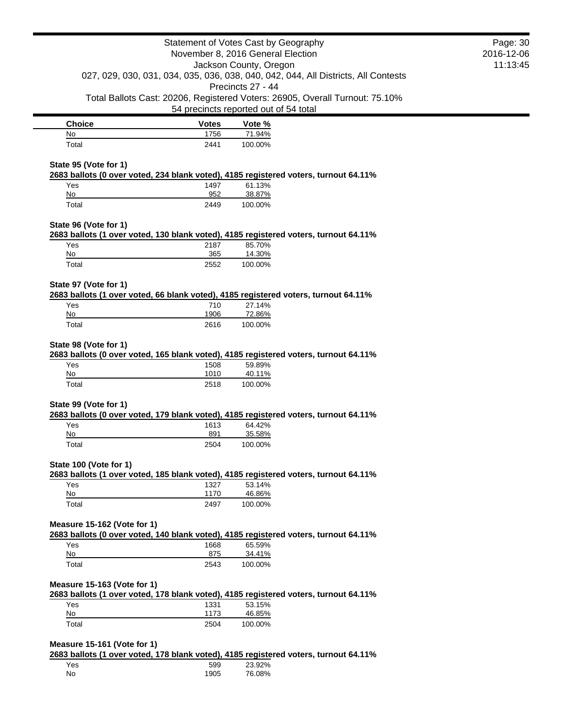|                                                                                                                     | Statement of Votes Cast by Geography<br>November 8, 2016 General Election<br>Jackson County, Oregon |                   |                                                                              | Page: 30<br>2016-12-06<br>11:13:45 |
|---------------------------------------------------------------------------------------------------------------------|-----------------------------------------------------------------------------------------------------|-------------------|------------------------------------------------------------------------------|------------------------------------|
| 027, 029, 030, 031, 034, 035, 036, 038, 040, 042, 044, All Districts, All Contests<br>Precincts 27 - 44             |                                                                                                     |                   |                                                                              |                                    |
|                                                                                                                     | 54 precincts reported out of 54 total                                                               |                   | Total Ballots Cast: 20206, Registered Voters: 26905, Overall Turnout: 75.10% |                                    |
| <b>Choice</b>                                                                                                       | <b>Votes</b>                                                                                        | Vote %            |                                                                              |                                    |
| No                                                                                                                  | 1756                                                                                                | 71.94%            |                                                                              |                                    |
| Total                                                                                                               | 2441                                                                                                | 100.00%           |                                                                              |                                    |
| State 95 (Vote for 1)<br>2683 ballots (0 over voted, 234 blank voted), 4185 registered voters, turnout 64.11%       |                                                                                                     |                   |                                                                              |                                    |
| Yes                                                                                                                 | 1497                                                                                                | 61.13%            |                                                                              |                                    |
| No<br>Total                                                                                                         | 952<br>2449                                                                                         | 38.87%<br>100.00% |                                                                              |                                    |
| State 96 (Vote for 1)                                                                                               |                                                                                                     |                   |                                                                              |                                    |
| 2683 ballots (1 over voted, 130 blank voted), 4185 registered voters, turnout 64.11%<br>Yes                         | 2187                                                                                                | 85.70%            |                                                                              |                                    |
| No                                                                                                                  | 365                                                                                                 | 14.30%            |                                                                              |                                    |
| Total                                                                                                               | 2552                                                                                                | 100.00%           |                                                                              |                                    |
| State 97 (Vote for 1)<br>2683 ballots (1 over voted, 66 blank voted), 4185 registered voters, turnout 64.11%        |                                                                                                     |                   |                                                                              |                                    |
| Yes                                                                                                                 | 710                                                                                                 | 27.14%            |                                                                              |                                    |
| No                                                                                                                  | 1906                                                                                                | 72.86%            |                                                                              |                                    |
| Total                                                                                                               | 2616                                                                                                | 100.00%           |                                                                              |                                    |
| State 98 (Vote for 1)<br>2683 ballots (0 over voted, 165 blank voted), 4185 registered voters, turnout 64.11%       |                                                                                                     |                   |                                                                              |                                    |
| Yes<br>No                                                                                                           | 1508                                                                                                | 59.89%            |                                                                              |                                    |
| Total                                                                                                               | 1010<br>2518                                                                                        | 40.11%<br>100.00% |                                                                              |                                    |
| State 99 (Vote for 1)                                                                                               |                                                                                                     |                   |                                                                              |                                    |
| 2683 ballots (0 over voted, 179 blank voted), 4185 registered voters, turnout 64.11%<br>Yes                         | 1613                                                                                                | 64.42%            |                                                                              |                                    |
| No                                                                                                                  | 891                                                                                                 | 35.58%            |                                                                              |                                    |
| Total                                                                                                               | 2504                                                                                                | 100.00%           |                                                                              |                                    |
| State 100 (Vote for 1)<br>2683 ballots (1 over voted, 185 blank voted), 4185 registered voters, turnout 64.11%      |                                                                                                     |                   |                                                                              |                                    |
| Yes                                                                                                                 | 1327                                                                                                | 53.14%            |                                                                              |                                    |
| No                                                                                                                  | 1170                                                                                                | 46.86%            |                                                                              |                                    |
| Total                                                                                                               | 2497                                                                                                | 100.00%           |                                                                              |                                    |
| Measure 15-162 (Vote for 1)<br>2683 ballots (0 over voted, 140 blank voted), 4185 registered voters, turnout 64.11% |                                                                                                     |                   |                                                                              |                                    |
| Yes                                                                                                                 | 1668                                                                                                | 65.59%            |                                                                              |                                    |
| No<br>Total                                                                                                         | 875<br>2543                                                                                         | 34.41%<br>100.00% |                                                                              |                                    |
|                                                                                                                     |                                                                                                     |                   |                                                                              |                                    |
| Measure 15-163 (Vote for 1)<br>2683 ballots (1 over voted, 178 blank voted), 4185 registered voters, turnout 64.11% |                                                                                                     |                   |                                                                              |                                    |
| Yes                                                                                                                 | 1331                                                                                                | 53.15%            |                                                                              |                                    |
| No<br>Total                                                                                                         | 1173<br>2504                                                                                        | 46.85%<br>100.00% |                                                                              |                                    |
| Measure 15-161 (Vote for 1)                                                                                         |                                                                                                     |                   |                                                                              |                                    |
| 2683 ballots (1 over voted, 178 blank voted), 4185 registered voters, turnout 64.11%                                |                                                                                                     |                   |                                                                              |                                    |
| Yes                                                                                                                 | 599                                                                                                 | 23.92%            |                                                                              |                                    |

No 1905 76.08%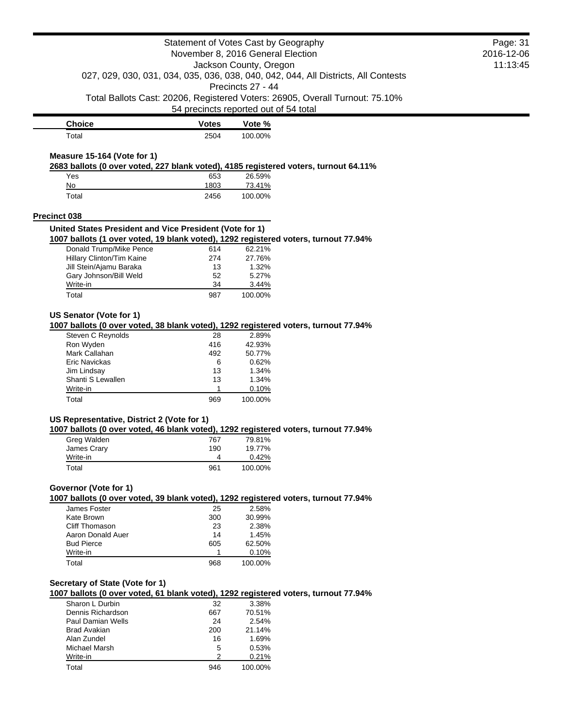|                                                                                    |                                                                                                                                                               |                                                                                                                                                                                                                                                                                                | Page: 31<br>2016-12-06                                                                                                                                                                                                                                                                                                                                                                                                                                                                                                                                                                                                                                                                                                                                                  |
|------------------------------------------------------------------------------------|---------------------------------------------------------------------------------------------------------------------------------------------------------------|------------------------------------------------------------------------------------------------------------------------------------------------------------------------------------------------------------------------------------------------------------------------------------------------|-------------------------------------------------------------------------------------------------------------------------------------------------------------------------------------------------------------------------------------------------------------------------------------------------------------------------------------------------------------------------------------------------------------------------------------------------------------------------------------------------------------------------------------------------------------------------------------------------------------------------------------------------------------------------------------------------------------------------------------------------------------------------|
|                                                                                    |                                                                                                                                                               |                                                                                                                                                                                                                                                                                                | 11:13:45                                                                                                                                                                                                                                                                                                                                                                                                                                                                                                                                                                                                                                                                                                                                                                |
| 027, 029, 030, 031, 034, 035, 036, 038, 040, 042, 044, All Districts, All Contests |                                                                                                                                                               |                                                                                                                                                                                                                                                                                                |                                                                                                                                                                                                                                                                                                                                                                                                                                                                                                                                                                                                                                                                                                                                                                         |
|                                                                                    |                                                                                                                                                               |                                                                                                                                                                                                                                                                                                |                                                                                                                                                                                                                                                                                                                                                                                                                                                                                                                                                                                                                                                                                                                                                                         |
|                                                                                    |                                                                                                                                                               |                                                                                                                                                                                                                                                                                                |                                                                                                                                                                                                                                                                                                                                                                                                                                                                                                                                                                                                                                                                                                                                                                         |
| <b>Votes</b>                                                                       | Vote %                                                                                                                                                        |                                                                                                                                                                                                                                                                                                |                                                                                                                                                                                                                                                                                                                                                                                                                                                                                                                                                                                                                                                                                                                                                                         |
| 2504                                                                               | 100.00%                                                                                                                                                       |                                                                                                                                                                                                                                                                                                |                                                                                                                                                                                                                                                                                                                                                                                                                                                                                                                                                                                                                                                                                                                                                                         |
|                                                                                    |                                                                                                                                                               |                                                                                                                                                                                                                                                                                                |                                                                                                                                                                                                                                                                                                                                                                                                                                                                                                                                                                                                                                                                                                                                                                         |
|                                                                                    |                                                                                                                                                               |                                                                                                                                                                                                                                                                                                |                                                                                                                                                                                                                                                                                                                                                                                                                                                                                                                                                                                                                                                                                                                                                                         |
| 653                                                                                | 26.59%                                                                                                                                                        |                                                                                                                                                                                                                                                                                                |                                                                                                                                                                                                                                                                                                                                                                                                                                                                                                                                                                                                                                                                                                                                                                         |
|                                                                                    |                                                                                                                                                               |                                                                                                                                                                                                                                                                                                |                                                                                                                                                                                                                                                                                                                                                                                                                                                                                                                                                                                                                                                                                                                                                                         |
|                                                                                    |                                                                                                                                                               |                                                                                                                                                                                                                                                                                                |                                                                                                                                                                                                                                                                                                                                                                                                                                                                                                                                                                                                                                                                                                                                                                         |
|                                                                                    |                                                                                                                                                               |                                                                                                                                                                                                                                                                                                |                                                                                                                                                                                                                                                                                                                                                                                                                                                                                                                                                                                                                                                                                                                                                                         |
|                                                                                    |                                                                                                                                                               |                                                                                                                                                                                                                                                                                                |                                                                                                                                                                                                                                                                                                                                                                                                                                                                                                                                                                                                                                                                                                                                                                         |
| 614                                                                                | 62.21%                                                                                                                                                        |                                                                                                                                                                                                                                                                                                |                                                                                                                                                                                                                                                                                                                                                                                                                                                                                                                                                                                                                                                                                                                                                                         |
| 274                                                                                | 27.76%                                                                                                                                                        |                                                                                                                                                                                                                                                                                                |                                                                                                                                                                                                                                                                                                                                                                                                                                                                                                                                                                                                                                                                                                                                                                         |
| 13                                                                                 | 1.32%                                                                                                                                                         |                                                                                                                                                                                                                                                                                                |                                                                                                                                                                                                                                                                                                                                                                                                                                                                                                                                                                                                                                                                                                                                                                         |
| 52                                                                                 |                                                                                                                                                               |                                                                                                                                                                                                                                                                                                |                                                                                                                                                                                                                                                                                                                                                                                                                                                                                                                                                                                                                                                                                                                                                                         |
|                                                                                    |                                                                                                                                                               |                                                                                                                                                                                                                                                                                                |                                                                                                                                                                                                                                                                                                                                                                                                                                                                                                                                                                                                                                                                                                                                                                         |
|                                                                                    |                                                                                                                                                               |                                                                                                                                                                                                                                                                                                |                                                                                                                                                                                                                                                                                                                                                                                                                                                                                                                                                                                                                                                                                                                                                                         |
|                                                                                    |                                                                                                                                                               |                                                                                                                                                                                                                                                                                                |                                                                                                                                                                                                                                                                                                                                                                                                                                                                                                                                                                                                                                                                                                                                                                         |
|                                                                                    |                                                                                                                                                               |                                                                                                                                                                                                                                                                                                |                                                                                                                                                                                                                                                                                                                                                                                                                                                                                                                                                                                                                                                                                                                                                                         |
| 28                                                                                 | 2.89%                                                                                                                                                         |                                                                                                                                                                                                                                                                                                |                                                                                                                                                                                                                                                                                                                                                                                                                                                                                                                                                                                                                                                                                                                                                                         |
| 416                                                                                |                                                                                                                                                               |                                                                                                                                                                                                                                                                                                |                                                                                                                                                                                                                                                                                                                                                                                                                                                                                                                                                                                                                                                                                                                                                                         |
|                                                                                    |                                                                                                                                                               |                                                                                                                                                                                                                                                                                                |                                                                                                                                                                                                                                                                                                                                                                                                                                                                                                                                                                                                                                                                                                                                                                         |
|                                                                                    |                                                                                                                                                               |                                                                                                                                                                                                                                                                                                |                                                                                                                                                                                                                                                                                                                                                                                                                                                                                                                                                                                                                                                                                                                                                                         |
|                                                                                    |                                                                                                                                                               |                                                                                                                                                                                                                                                                                                |                                                                                                                                                                                                                                                                                                                                                                                                                                                                                                                                                                                                                                                                                                                                                                         |
| 1                                                                                  |                                                                                                                                                               |                                                                                                                                                                                                                                                                                                |                                                                                                                                                                                                                                                                                                                                                                                                                                                                                                                                                                                                                                                                                                                                                                         |
| 969                                                                                | 100.00%                                                                                                                                                       |                                                                                                                                                                                                                                                                                                |                                                                                                                                                                                                                                                                                                                                                                                                                                                                                                                                                                                                                                                                                                                                                                         |
|                                                                                    |                                                                                                                                                               |                                                                                                                                                                                                                                                                                                |                                                                                                                                                                                                                                                                                                                                                                                                                                                                                                                                                                                                                                                                                                                                                                         |
|                                                                                    |                                                                                                                                                               |                                                                                                                                                                                                                                                                                                |                                                                                                                                                                                                                                                                                                                                                                                                                                                                                                                                                                                                                                                                                                                                                                         |
|                                                                                    |                                                                                                                                                               |                                                                                                                                                                                                                                                                                                |                                                                                                                                                                                                                                                                                                                                                                                                                                                                                                                                                                                                                                                                                                                                                                         |
| 190                                                                                | 19.77%                                                                                                                                                        |                                                                                                                                                                                                                                                                                                |                                                                                                                                                                                                                                                                                                                                                                                                                                                                                                                                                                                                                                                                                                                                                                         |
| 4                                                                                  | 0.42%                                                                                                                                                         |                                                                                                                                                                                                                                                                                                |                                                                                                                                                                                                                                                                                                                                                                                                                                                                                                                                                                                                                                                                                                                                                                         |
| 961                                                                                | 100.00%                                                                                                                                                       |                                                                                                                                                                                                                                                                                                |                                                                                                                                                                                                                                                                                                                                                                                                                                                                                                                                                                                                                                                                                                                                                                         |
|                                                                                    |                                                                                                                                                               |                                                                                                                                                                                                                                                                                                |                                                                                                                                                                                                                                                                                                                                                                                                                                                                                                                                                                                                                                                                                                                                                                         |
|                                                                                    |                                                                                                                                                               |                                                                                                                                                                                                                                                                                                |                                                                                                                                                                                                                                                                                                                                                                                                                                                                                                                                                                                                                                                                                                                                                                         |
|                                                                                    |                                                                                                                                                               |                                                                                                                                                                                                                                                                                                |                                                                                                                                                                                                                                                                                                                                                                                                                                                                                                                                                                                                                                                                                                                                                                         |
|                                                                                    |                                                                                                                                                               |                                                                                                                                                                                                                                                                                                |                                                                                                                                                                                                                                                                                                                                                                                                                                                                                                                                                                                                                                                                                                                                                                         |
| 14                                                                                 |                                                                                                                                                               |                                                                                                                                                                                                                                                                                                |                                                                                                                                                                                                                                                                                                                                                                                                                                                                                                                                                                                                                                                                                                                                                                         |
| 605                                                                                | 62.50%                                                                                                                                                        |                                                                                                                                                                                                                                                                                                |                                                                                                                                                                                                                                                                                                                                                                                                                                                                                                                                                                                                                                                                                                                                                                         |
| 1                                                                                  | 0.10%                                                                                                                                                         |                                                                                                                                                                                                                                                                                                |                                                                                                                                                                                                                                                                                                                                                                                                                                                                                                                                                                                                                                                                                                                                                                         |
| 968                                                                                | 100.00%                                                                                                                                                       |                                                                                                                                                                                                                                                                                                |                                                                                                                                                                                                                                                                                                                                                                                                                                                                                                                                                                                                                                                                                                                                                                         |
|                                                                                    |                                                                                                                                                               |                                                                                                                                                                                                                                                                                                |                                                                                                                                                                                                                                                                                                                                                                                                                                                                                                                                                                                                                                                                                                                                                                         |
|                                                                                    |                                                                                                                                                               |                                                                                                                                                                                                                                                                                                |                                                                                                                                                                                                                                                                                                                                                                                                                                                                                                                                                                                                                                                                                                                                                                         |
| 32                                                                                 | 3.38%                                                                                                                                                         |                                                                                                                                                                                                                                                                                                |                                                                                                                                                                                                                                                                                                                                                                                                                                                                                                                                                                                                                                                                                                                                                                         |
| 667                                                                                | 70.51%                                                                                                                                                        |                                                                                                                                                                                                                                                                                                |                                                                                                                                                                                                                                                                                                                                                                                                                                                                                                                                                                                                                                                                                                                                                                         |
|                                                                                    |                                                                                                                                                               |                                                                                                                                                                                                                                                                                                |                                                                                                                                                                                                                                                                                                                                                                                                                                                                                                                                                                                                                                                                                                                                                                         |
|                                                                                    |                                                                                                                                                               |                                                                                                                                                                                                                                                                                                |                                                                                                                                                                                                                                                                                                                                                                                                                                                                                                                                                                                                                                                                                                                                                                         |
|                                                                                    |                                                                                                                                                               |                                                                                                                                                                                                                                                                                                |                                                                                                                                                                                                                                                                                                                                                                                                                                                                                                                                                                                                                                                                                                                                                                         |
|                                                                                    |                                                                                                                                                               |                                                                                                                                                                                                                                                                                                |                                                                                                                                                                                                                                                                                                                                                                                                                                                                                                                                                                                                                                                                                                                                                                         |
|                                                                                    |                                                                                                                                                               |                                                                                                                                                                                                                                                                                                |                                                                                                                                                                                                                                                                                                                                                                                                                                                                                                                                                                                                                                                                                                                                                                         |
|                                                                                    | 1803<br>2456<br>34<br>987<br>492<br>6<br>13<br>13<br>US Representative, District 2 (Vote for 1)<br>767<br>25<br>300<br>23<br>24<br>200<br>16<br>5<br>2<br>946 | Precincts 27 - 44<br>73.41%<br>100.00%<br>United States President and Vice President (Vote for 1)<br>5.27%<br>3.44%<br>100.00%<br>42.93%<br>50.77%<br>0.62%<br>1.34%<br>1.34%<br>0.10%<br>79.81%<br>2.58%<br>30.99%<br>2.38%<br>1.45%<br>2.54%<br>21.14%<br>1.69%<br>0.53%<br>0.21%<br>100.00% | Statement of Votes Cast by Geography<br>November 8, 2016 General Election<br>Jackson County, Oregon<br>Total Ballots Cast: 20206, Registered Voters: 26905, Overall Turnout: 75.10%<br>54 precincts reported out of 54 total<br>2683 ballots (0 over voted, 227 blank voted), 4185 registered voters, turnout 64.11%<br>1007 ballots (1 over voted, 19 blank voted), 1292 registered voters, turnout 77.94%<br>1007 ballots (0 over voted, 38 blank voted), 1292 registered voters, turnout 77.94%<br>1007 ballots (0 over voted, 46 blank voted), 1292 registered voters, turnout 77.94%<br>1007 ballots (0 over voted, 39 blank voted), 1292 registered voters, turnout 77.94%<br>1007 ballots (0 over voted, 61 blank voted), 1292 registered voters, turnout 77.94% |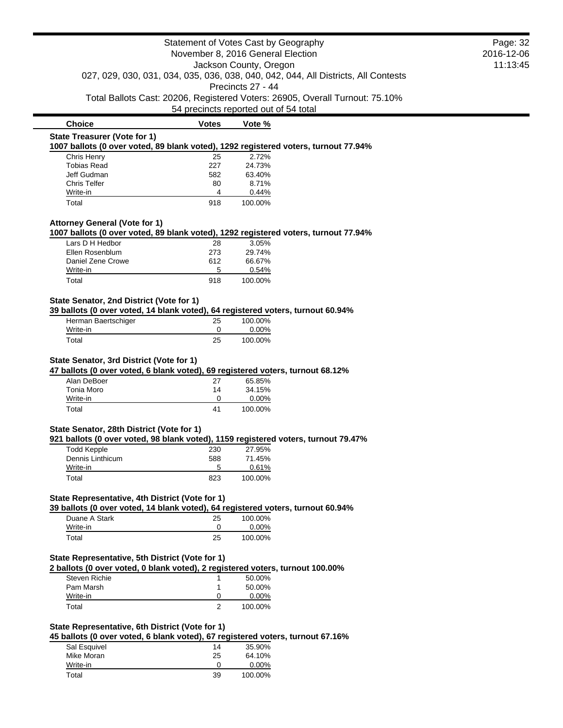|                                                                                                                                                   | Statement of Votes Cast by Geography  |                        |                                                                                    | Page: 32<br>2016-12-06 |
|---------------------------------------------------------------------------------------------------------------------------------------------------|---------------------------------------|------------------------|------------------------------------------------------------------------------------|------------------------|
|                                                                                                                                                   | November 8, 2016 General Election     |                        |                                                                                    |                        |
|                                                                                                                                                   |                                       | Jackson County, Oregon |                                                                                    | 11:13:45               |
|                                                                                                                                                   |                                       | Precincts 27 - 44      | 027, 029, 030, 031, 034, 035, 036, 038, 040, 042, 044, All Districts, All Contests |                        |
|                                                                                                                                                   |                                       |                        | Total Ballots Cast: 20206, Registered Voters: 26905, Overall Turnout: 75.10%       |                        |
|                                                                                                                                                   | 54 precincts reported out of 54 total |                        |                                                                                    |                        |
| <b>Choice</b>                                                                                                                                     | <b>Votes</b>                          | Vote %                 |                                                                                    |                        |
| <b>State Treasurer (Vote for 1)</b>                                                                                                               |                                       |                        |                                                                                    |                        |
| 1007 ballots (0 over voted, 89 blank voted), 1292 registered voters, turnout 77.94%<br>Chris Henry                                                | 25                                    | 2.72%                  |                                                                                    |                        |
| <b>Tobias Read</b>                                                                                                                                | 227                                   | 24.73%                 |                                                                                    |                        |
| Jeff Gudman                                                                                                                                       | 582                                   | 63.40%                 |                                                                                    |                        |
| <b>Chris Telfer</b>                                                                                                                               | 80                                    | 8.71%                  |                                                                                    |                        |
| Write-in                                                                                                                                          | 4                                     | 0.44%                  |                                                                                    |                        |
| Total                                                                                                                                             | 918                                   | 100.00%                |                                                                                    |                        |
| <b>Attorney General (Vote for 1)</b>                                                                                                              |                                       |                        |                                                                                    |                        |
| 1007 ballots (0 over voted, 89 blank voted), 1292 registered voters, turnout 77.94%                                                               |                                       |                        |                                                                                    |                        |
| Lars D H Hedbor                                                                                                                                   | 28                                    | 3.05%                  |                                                                                    |                        |
| Ellen Rosenblum                                                                                                                                   | 273                                   | 29.74%                 |                                                                                    |                        |
| Daniel Zene Crowe                                                                                                                                 | 612                                   | 66.67%                 |                                                                                    |                        |
| Write-in                                                                                                                                          | 5                                     | 0.54%                  |                                                                                    |                        |
| Total                                                                                                                                             | 918                                   | 100.00%                |                                                                                    |                        |
| State Senator, 2nd District (Vote for 1)                                                                                                          |                                       |                        |                                                                                    |                        |
| 39 ballots (0 over voted, 14 blank voted), 64 registered voters, turnout 60.94%                                                                   |                                       |                        |                                                                                    |                        |
| Herman Baertschiger                                                                                                                               | 25                                    | 100.00%                |                                                                                    |                        |
| Write-in<br>Total                                                                                                                                 | 0                                     | 0.00%<br>100.00%       |                                                                                    |                        |
|                                                                                                                                                   | 25                                    |                        |                                                                                    |                        |
| State Senator, 3rd District (Vote for 1)                                                                                                          |                                       |                        |                                                                                    |                        |
| 47 ballots (0 over voted, 6 blank voted), 69 registered voters, turnout 68.12%                                                                    |                                       |                        |                                                                                    |                        |
| Alan DeBoer                                                                                                                                       | 27                                    | 65.85%                 |                                                                                    |                        |
| Tonia Moro                                                                                                                                        | 14                                    | 34.15%                 |                                                                                    |                        |
| Write-in                                                                                                                                          | 0                                     | 0.00%                  |                                                                                    |                        |
| Total                                                                                                                                             | 41                                    | 100.00%                |                                                                                    |                        |
| State Senator, 28th District (Vote for 1)                                                                                                         |                                       |                        |                                                                                    |                        |
| 921 ballots (0 over voted, 98 blank voted), 1159 registered voters, turnout 79.47%                                                                |                                       |                        |                                                                                    |                        |
| <b>Todd Kepple</b>                                                                                                                                | 230                                   | 27.95%                 |                                                                                    |                        |
| Dennis Linthicum                                                                                                                                  | 588                                   | 71.45%                 |                                                                                    |                        |
| Write-in                                                                                                                                          | 5                                     | 0.61%                  |                                                                                    |                        |
| Total                                                                                                                                             | 823                                   | 100.00%                |                                                                                    |                        |
| State Representative, 4th District (Vote for 1)                                                                                                   |                                       |                        |                                                                                    |                        |
| 39 ballots (0 over voted, 14 blank voted), 64 registered voters, turnout 60.94%                                                                   |                                       |                        |                                                                                    |                        |
| Duane A Stark                                                                                                                                     | 25                                    | 100.00%                |                                                                                    |                        |
| Write-in                                                                                                                                          | 0                                     | 0.00%                  |                                                                                    |                        |
| Total                                                                                                                                             | 25                                    | 100.00%                |                                                                                    |                        |
|                                                                                                                                                   |                                       |                        |                                                                                    |                        |
| State Representative, 5th District (Vote for 1)                                                                                                   |                                       |                        |                                                                                    |                        |
| 2 ballots (0 over voted, 0 blank voted), 2 registered voters, turnout 100.00%                                                                     |                                       |                        |                                                                                    |                        |
| <b>Steven Richie</b>                                                                                                                              |                                       |                        |                                                                                    |                        |
|                                                                                                                                                   | 1                                     |                        |                                                                                    |                        |
| Pam Marsh                                                                                                                                         | 1                                     | 50.00%                 |                                                                                    |                        |
| Write-in                                                                                                                                          | 0                                     | 50.00%                 |                                                                                    |                        |
| Total                                                                                                                                             | $\overline{2}$                        | 0.00%<br>100.00%       |                                                                                    |                        |
|                                                                                                                                                   |                                       |                        |                                                                                    |                        |
|                                                                                                                                                   |                                       |                        |                                                                                    |                        |
|                                                                                                                                                   |                                       |                        |                                                                                    |                        |
| State Representative, 6th District (Vote for 1)<br>45 ballots (0 over voted, 6 blank voted), 67 registered voters, turnout 67.16%<br>Sal Esquivel | 14                                    | 35.90%                 |                                                                                    |                        |
| Mike Moran<br>Write-in                                                                                                                            | 25<br>$\Omega$                        | 64.10%<br>$0.00\%$     |                                                                                    |                        |

Write-in 0 0.00% Total 39 100.00%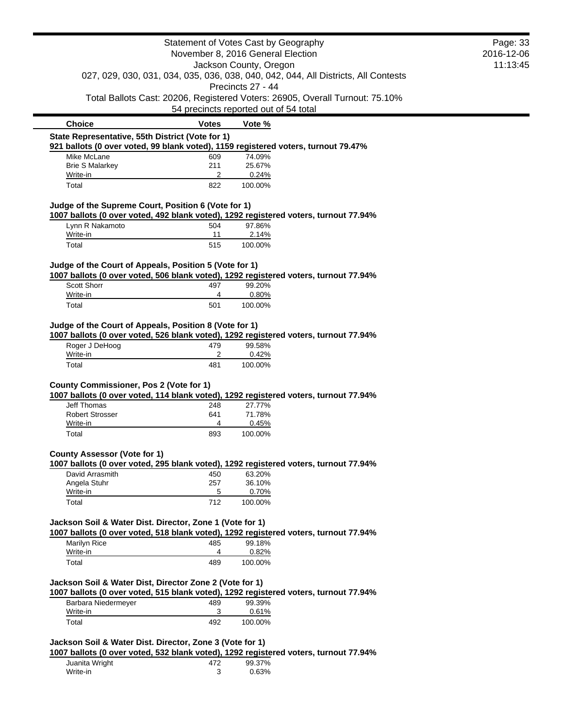|                                                          |                | Statement of Votes Cast by Geography                                                                    | Page: 33   |
|----------------------------------------------------------|----------------|---------------------------------------------------------------------------------------------------------|------------|
|                                                          |                | November 8, 2016 General Election                                                                       | 2016-12-06 |
|                                                          |                | Jackson County, Oregon                                                                                  | 11:13:45   |
|                                                          |                | 027, 029, 030, 031, 034, 035, 036, 038, 040, 042, 044, All Districts, All Contests<br>Precincts 27 - 44 |            |
|                                                          |                | Total Ballots Cast: 20206, Registered Voters: 26905, Overall Turnout: 75.10%                            |            |
|                                                          |                | 54 precincts reported out of 54 total                                                                   |            |
| <b>Choice</b>                                            | <b>Votes</b>   | Vote %                                                                                                  |            |
| State Representative, 55th District (Vote for 1)         |                |                                                                                                         |            |
|                                                          |                | 921 ballots (0 over voted, 99 blank voted), 1159 registered voters, turnout 79.47%                      |            |
| Mike McLane<br><b>Brie S Malarkey</b>                    | 609<br>211     | 74.09%<br>25.67%                                                                                        |            |
| Write-in                                                 | 2              | 0.24%                                                                                                   |            |
| Total                                                    | 822            | 100.00%                                                                                                 |            |
| Judge of the Supreme Court, Position 6 (Vote for 1)      |                |                                                                                                         |            |
|                                                          |                | 1007 ballots (0 over voted, 492 blank voted), 1292 registered voters, turnout 77.94%                    |            |
| Lynn R Nakamoto                                          | 504            | 97.86%                                                                                                  |            |
| Write-in                                                 | 11             | 2.14%                                                                                                   |            |
| Total                                                    | 515            | 100.00%                                                                                                 |            |
| Judge of the Court of Appeals, Position 5 (Vote for 1)   |                |                                                                                                         |            |
|                                                          |                | 1007 ballots (0 over voted, 506 blank voted), 1292 registered voters, turnout 77.94%                    |            |
| Scott Shorr                                              | 497            | 99.20%                                                                                                  |            |
| Write-in                                                 | 4              | 0.80%                                                                                                   |            |
| Total                                                    | 501            | 100.00%                                                                                                 |            |
|                                                          |                |                                                                                                         |            |
| Roger J DeHoog<br>Write-in                               | 479<br>2       | 1007 ballots (0 over voted, 526 blank voted), 1292 registered voters, turnout 77.94%<br>99.58%<br>0.42% |            |
| Total                                                    | 481            | 100.00%                                                                                                 |            |
|                                                          |                |                                                                                                         |            |
| County Commissioner, Pos 2 (Vote for 1)                  |                | 1007 ballots (0 over voted, 114 blank voted), 1292 registered voters, turnout 77.94%                    |            |
| <b>Jeff Thomas</b>                                       | 248            | 27.77%                                                                                                  |            |
| <b>Robert Strosser</b>                                   | 641            | 71.78%                                                                                                  |            |
| Write-in                                                 | 4              | 0.45%                                                                                                   |            |
| Total                                                    | 893            | 100.00%                                                                                                 |            |
| <b>County Assessor (Vote for 1)</b>                      |                |                                                                                                         |            |
|                                                          |                | 1007 ballots (0 over voted, 295 blank voted), 1292 registered voters, turnout 77.94%                    |            |
| David Arrasmith                                          | 450            | 63.20%                                                                                                  |            |
| Angela Stuhr                                             | 257            | 36.10%                                                                                                  |            |
| Write-in                                                 | $\overline{5}$ | 0.70%                                                                                                   |            |
| Total                                                    | 712            | 100.00%                                                                                                 |            |
| Jackson Soil & Water Dist. Director, Zone 1 (Vote for 1) |                |                                                                                                         |            |
|                                                          |                | 1007 ballots (0 over voted, 518 blank voted), 1292 registered voters, turnout 77.94%                    |            |
| Marilyn Rice                                             | 485            | 99.18%                                                                                                  |            |
| Write-in                                                 | 4              | 0.82%                                                                                                   |            |
| Total                                                    | 489            | 100.00%                                                                                                 |            |
| Jackson Soil & Water Dist, Director Zone 2 (Vote for 1)  |                | 1007 ballots (0 over voted, 515 blank voted), 1292 registered voters, turnout 77.94%                    |            |
| Barbara Niedermeyer                                      | 489            | 99.39%                                                                                                  |            |
| Write-in                                                 | 3              | 0.61%                                                                                                   |            |
| Total                                                    | 492            | 100.00%                                                                                                 |            |

Juanita Wright 472 99.37% Write-in 3 0.63%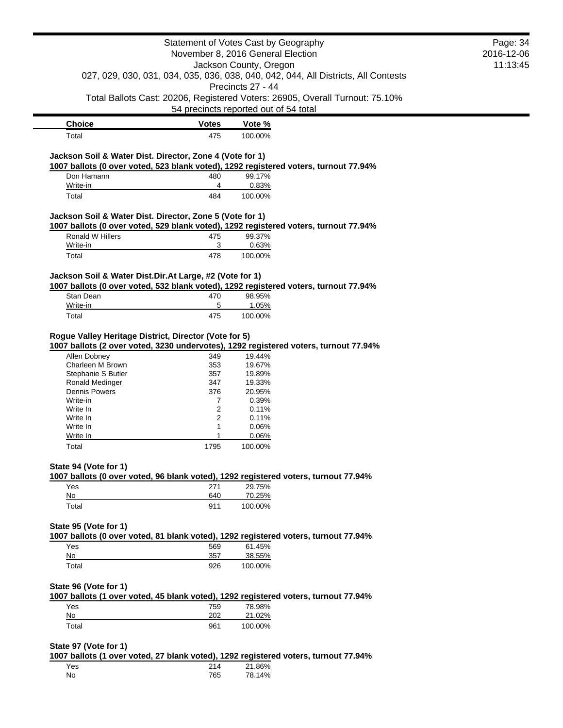|                                                                                                                                                 |                     | Statement of Votes Cast by Geography<br>November 8, 2016 General Election                                                         | Page: 34<br>2016-12-06<br>11:13:45 |
|-------------------------------------------------------------------------------------------------------------------------------------------------|---------------------|-----------------------------------------------------------------------------------------------------------------------------------|------------------------------------|
|                                                                                                                                                 |                     | Jackson County, Oregon<br>027, 029, 030, 031, 034, 035, 036, 038, 040, 042, 044, All Districts, All Contests<br>Precincts 27 - 44 |                                    |
|                                                                                                                                                 |                     | Total Ballots Cast: 20206, Registered Voters: 26905, Overall Turnout: 75.10%                                                      |                                    |
|                                                                                                                                                 |                     | 54 precincts reported out of 54 total                                                                                             |                                    |
| <b>Choice</b>                                                                                                                                   | <b>Votes</b>        | Vote %                                                                                                                            |                                    |
| Total                                                                                                                                           | 475                 | 100.00%                                                                                                                           |                                    |
| Jackson Soil & Water Dist. Director, Zone 4 (Vote for 1)                                                                                        |                     |                                                                                                                                   |                                    |
| 1007 ballots (0 over voted, 523 blank voted), 1292 registered voters, turnout 77.94%                                                            |                     |                                                                                                                                   |                                    |
| Don Hamann                                                                                                                                      | 480                 | 99.17%                                                                                                                            |                                    |
| Write-in                                                                                                                                        | 4                   | 0.83%                                                                                                                             |                                    |
| Total                                                                                                                                           | 484                 | 100.00%                                                                                                                           |                                    |
| Jackson Soil & Water Dist. Director, Zone 5 (Vote for 1)                                                                                        |                     |                                                                                                                                   |                                    |
| 1007 ballots (0 over voted, 529 blank voted), 1292 registered voters, turnout 77.94%                                                            |                     |                                                                                                                                   |                                    |
| Ronald W Hillers                                                                                                                                | 475                 | 99.37%                                                                                                                            |                                    |
| Write-in                                                                                                                                        | 3                   | 0.63%                                                                                                                             |                                    |
| Total                                                                                                                                           | 478                 | 100.00%                                                                                                                           |                                    |
| Jackson Soil & Water Dist.Dir.At Large, #2 (Vote for 1)<br>1007 ballots (0 over voted, 532 blank voted), 1292 registered voters, turnout 77.94% |                     |                                                                                                                                   |                                    |
| Stan Dean                                                                                                                                       | 470                 | 98.95%                                                                                                                            |                                    |
| Write-in                                                                                                                                        | 5                   | 1.05%                                                                                                                             |                                    |
| Total                                                                                                                                           | 475                 | 100.00%                                                                                                                           |                                    |
| Rogue Valley Heritage District, Director (Vote for 5)<br>1007 ballots (2 over voted, 3230 undervotes), 1292 registered voters, turnout 77.94%   |                     |                                                                                                                                   |                                    |
| Allen Dobney                                                                                                                                    | 349                 | 19.44%                                                                                                                            |                                    |
| Charleen M Brown<br>Stephanie S Butler                                                                                                          | 353<br>357          | 19.67%<br>19.89%                                                                                                                  |                                    |
| Ronald Medinger                                                                                                                                 | 347                 | 19.33%                                                                                                                            |                                    |
| <b>Dennis Powers</b>                                                                                                                            | 376                 | 20.95%                                                                                                                            |                                    |
| Write-in                                                                                                                                        | 7                   | 0.39%                                                                                                                             |                                    |
| Write In<br>Write In                                                                                                                            | $\overline{2}$<br>2 | 0.11%<br>0.11%                                                                                                                    |                                    |
| Write In                                                                                                                                        | 1                   | 0.06%                                                                                                                             |                                    |
| Write In                                                                                                                                        | 1                   | 0.06%                                                                                                                             |                                    |
| Total                                                                                                                                           | 1795                | 100.00%                                                                                                                           |                                    |
| State 94 (Vote for 1)                                                                                                                           |                     |                                                                                                                                   |                                    |
| 1007 ballots (0 over voted, 96 blank voted), 1292 registered voters, turnout 77.94%                                                             |                     |                                                                                                                                   |                                    |
| Yes<br>No                                                                                                                                       | 271<br>640          | 29.75%<br>70.25%                                                                                                                  |                                    |
| Total                                                                                                                                           | 911                 | 100.00%                                                                                                                           |                                    |
|                                                                                                                                                 |                     |                                                                                                                                   |                                    |
| State 95 (Vote for 1)                                                                                                                           |                     |                                                                                                                                   |                                    |
| 1007 ballots (0 over voted, 81 blank voted), 1292 registered voters, turnout 77.94%                                                             |                     |                                                                                                                                   |                                    |
| Yes<br>No                                                                                                                                       | 569<br>357          | 61.45%<br>38.55%                                                                                                                  |                                    |
| Total                                                                                                                                           | 926                 | 100.00%                                                                                                                           |                                    |
| State 96 (Vote for 1)                                                                                                                           |                     |                                                                                                                                   |                                    |
| 1007 ballots (1 over voted, 45 blank voted), 1292 registered voters, turnout 77.94%                                                             |                     |                                                                                                                                   |                                    |
| Yes<br>No                                                                                                                                       | 759<br>202          | 78.98%<br>21.02%                                                                                                                  |                                    |
| Total                                                                                                                                           | 961                 | 100.00%                                                                                                                           |                                    |
|                                                                                                                                                 |                     |                                                                                                                                   |                                    |
| State 97 (Vote for 1)                                                                                                                           |                     |                                                                                                                                   |                                    |
| 1007 ballots (1 over voted, 27 blank voted), 1292 registered voters, turnout 77.94%                                                             |                     |                                                                                                                                   |                                    |
| Yes                                                                                                                                             | 214                 | 21.86%                                                                                                                            |                                    |
| No                                                                                                                                              | 765                 | 78.14%                                                                                                                            |                                    |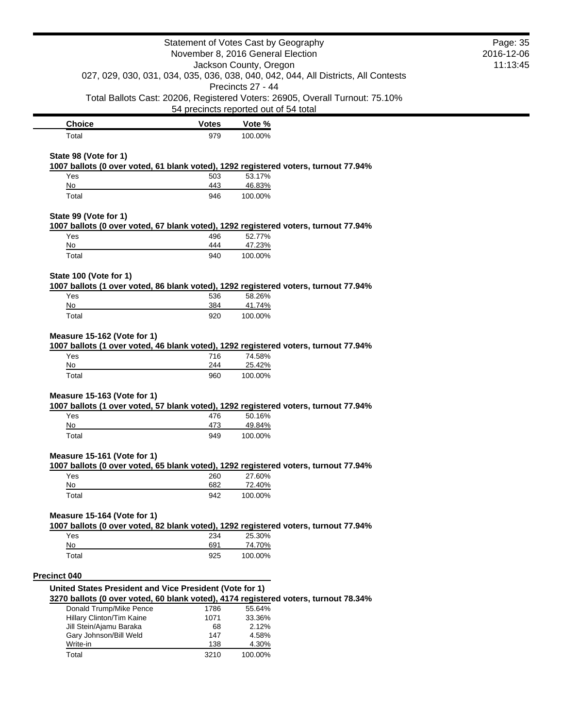| Statement of Votes Cast by Geography                    |              |                                                                                                         | Page: 35   |
|---------------------------------------------------------|--------------|---------------------------------------------------------------------------------------------------------|------------|
|                                                         |              | November 8, 2016 General Election<br>Jackson County, Oregon                                             | 2016-12-06 |
|                                                         | 11:13:45     |                                                                                                         |            |
|                                                         |              | 027, 029, 030, 031, 034, 035, 036, 038, 040, 042, 044, All Districts, All Contests<br>Precincts 27 - 44 |            |
|                                                         |              | Total Ballots Cast: 20206, Registered Voters: 26905, Overall Turnout: 75.10%                            |            |
|                                                         |              | 54 precincts reported out of 54 total                                                                   |            |
| <b>Choice</b>                                           | <b>Votes</b> | Vote %                                                                                                  |            |
| Total                                                   | 979          | 100.00%                                                                                                 |            |
| State 98 (Vote for 1)                                   |              |                                                                                                         |            |
|                                                         |              | 1007 ballots (0 over voted, 61 blank voted), 1292 registered voters, turnout 77.94%                     |            |
| Yes                                                     | 503          | 53.17%                                                                                                  |            |
| No                                                      | 443          | 46.83%                                                                                                  |            |
| Total                                                   | 946          | 100.00%                                                                                                 |            |
| State 99 (Vote for 1)                                   |              |                                                                                                         |            |
|                                                         |              | 1007 ballots (0 over voted, 67 blank voted), 1292 registered voters, turnout 77.94%                     |            |
| Yes                                                     | 496          | 52.77%                                                                                                  |            |
| No                                                      | 444          | 47.23%                                                                                                  |            |
| Total                                                   | 940          | 100.00%                                                                                                 |            |
| State 100 (Vote for 1)                                  |              |                                                                                                         |            |
|                                                         |              | 1007 ballots (1 over voted, 86 blank voted), 1292 registered voters, turnout 77.94%                     |            |
| Yes                                                     | 536          | 58.26%                                                                                                  |            |
| No                                                      | 384          | 41.74%                                                                                                  |            |
| Total                                                   | 920          | 100.00%                                                                                                 |            |
| Yes<br>No                                               | 716<br>244   | 1007 ballots (1 over voted, 46 blank voted), 1292 registered voters, turnout 77.94%<br>74.58%<br>25.42% |            |
| Total                                                   | 960          | 100.00%                                                                                                 |            |
| Measure 15-163 (Vote for 1)                             |              |                                                                                                         |            |
|                                                         |              | 1007 ballots (1 over voted, 57 blank voted), 1292 registered voters, turnout 77.94%                     |            |
| Yes                                                     | 476          | 50.16%                                                                                                  |            |
| No                                                      | 473          | 49.84%                                                                                                  |            |
| Total                                                   | 949          | 100.00%                                                                                                 |            |
| Measure 15-161 (Vote for 1)                             |              |                                                                                                         |            |
|                                                         |              | 1007 ballots (0 over voted, 65 blank voted), 1292 registered voters, turnout 77.94%                     |            |
| Yes                                                     | 260          | 27.60%                                                                                                  |            |
| No                                                      | 682          | 72.40%                                                                                                  |            |
| Total                                                   | 942          | 100.00%                                                                                                 |            |
| Measure 15-164 (Vote for 1)                             |              |                                                                                                         |            |
|                                                         |              | 1007 ballots (0 over voted, 82 blank voted), 1292 registered voters, turnout 77.94%                     |            |
| Yes                                                     | 234          | 25.30%                                                                                                  |            |
| No                                                      | 691          | 74.70%                                                                                                  |            |
| Total                                                   | 925          | 100.00%                                                                                                 |            |
| <b>Precinct 040</b>                                     |              |                                                                                                         |            |
| United States President and Vice President (Vote for 1) |              |                                                                                                         |            |
|                                                         |              | 3270 ballots (0 over voted, 60 blank voted), 4174 registered voters, turnout 78.34%                     |            |
| Donald Trump/Mike Pence                                 | 1786         | 55.64%                                                                                                  |            |
| Hillary Clinton/Tim Kaine                               | 1071         | 33.36%                                                                                                  |            |
| Jill Stein/Ajamu Baraka                                 | 68           | 2.12%                                                                                                   |            |
| Gary Johnson/Bill Weld<br>Write-in                      | 147<br>138   | 4.58%<br>4.30%                                                                                          |            |
|                                                         |              |                                                                                                         |            |
| Total                                                   | 3210         | 100.00%                                                                                                 |            |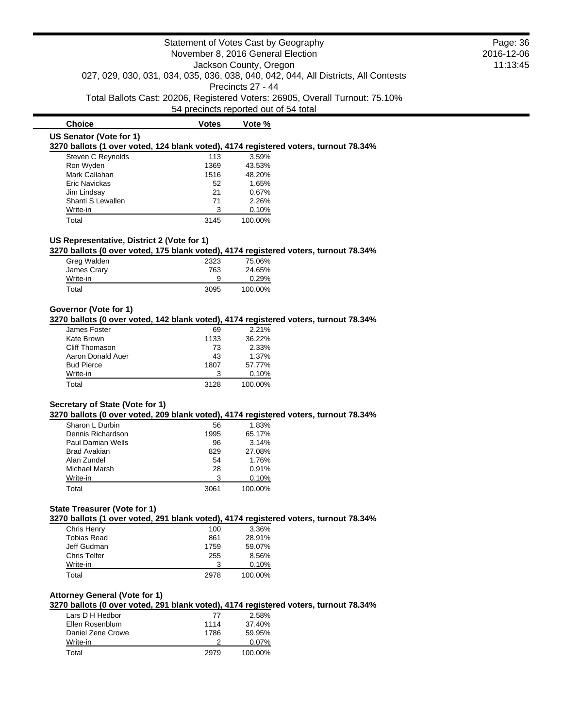**Choice Votes Votes Vote % US Senator (Vote for 1) 3270 ballots (1 over voted, 124 blank voted), 4174 registered voters, turnout 78.34%** Steven C Reynolds 113 3.59% Ron Wyden Mark Callahan 1516 48.20% Eric Navickas 62 1.65% Jim Lindsay 21 0.67% Shanti S Lewallen 71 2.26% Write-in 3 0.10%

## **US Representative, District 2 (Vote for 1)**

**3270 ballots (0 over voted, 175 blank voted), 4174 registered voters, turnout 78.34%**

| Greg Walden | 2323 | 75.06%  |
|-------------|------|---------|
| James Crary | 763  | 24.65%  |
| Write-in    | 9    | 0.29%   |
| Total       | 3095 | 100.00% |

Total 3145 100.00%

## **Governor (Vote for 1)**

### **3270 ballots (0 over voted, 142 blank voted), 4174 registered voters, turnout 78.34%**

| James Foster      | 69   | 2.21%   |
|-------------------|------|---------|
| Kate Brown        | 1133 | 36.22%  |
| Cliff Thomason    | 73   | 2.33%   |
| Aaron Donald Auer | 43   | 1.37%   |
| <b>Bud Pierce</b> | 1807 | 57.77%  |
| Write-in          | 3    | 0.10%   |
| Total             | 3128 | 100.00% |

### **Secretary of State (Vote for 1)**

**3270 ballots (0 over voted, 209 blank voted), 4174 registered voters, turnout 78.34%**

| Sharon L Durbin     | 56   | 1.83%   |
|---------------------|------|---------|
| Dennis Richardson   | 1995 | 65.17%  |
| Paul Damian Wells   | 96   | 3.14%   |
| <b>Brad Avakian</b> | 829  | 27.08%  |
| Alan Zundel         | 54   | 1.76%   |
| Michael Marsh       | 28   | 0.91%   |
| Write-in            | 3    | 0.10%   |
| Total               | 3061 | 100.00% |

#### **State Treasurer (Vote for 1)**

**3270 ballots (1 over voted, 291 blank voted), 4174 registered voters, turnout 78.34%**

| Chris Henry        | 100  | 3.36%   |
|--------------------|------|---------|
| <b>Tobias Read</b> | 861  | 28.91%  |
| Jeff Gudman        | 1759 | 59.07%  |
| Chris Telfer       | 255  | 8.56%   |
| Write-in           | 3    | 0.10%   |
| Total              | 2978 | 100.00% |

#### **Attorney General (Vote for 1)**

**3270 ballots (0 over voted, 291 blank voted), 4174 registered voters, turnout 78.34%**

| Lars D H Hedbor   | 77   | 2.58%    |
|-------------------|------|----------|
| Ellen Rosenblum   | 1114 | 37.40%   |
| Daniel Zene Crowe | 1786 | 59.95%   |
| Write-in          |      | $0.07\%$ |
| Total             | 2979 | 100.00%  |

## Page: 36 2016-12-06 11:13:45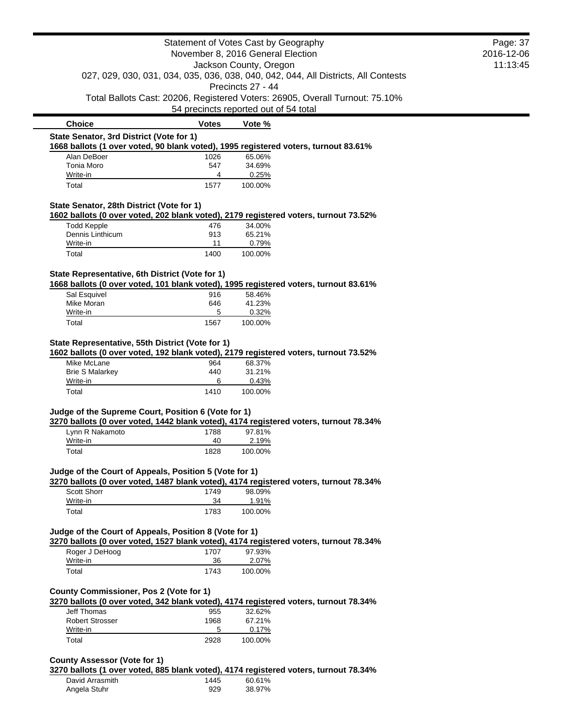|                                                                                                                                    |             | Statement of Votes Cast by Geography<br>November 8, 2016 General Election                      | Page: 37<br>2016-12-06 |
|------------------------------------------------------------------------------------------------------------------------------------|-------------|------------------------------------------------------------------------------------------------|------------------------|
|                                                                                                                                    |             | Jackson County, Oregon                                                                         | 11:13:45               |
|                                                                                                                                    |             | 027, 029, 030, 031, 034, 035, 036, 038, 040, 042, 044, All Districts, All Contests             |                        |
|                                                                                                                                    |             | Precincts 27 - 44                                                                              |                        |
|                                                                                                                                    |             | Total Ballots Cast: 20206, Registered Voters: 26905, Overall Turnout: 75.10%                   |                        |
|                                                                                                                                    |             | 54 precincts reported out of 54 total                                                          |                        |
| <b>Choice</b>                                                                                                                      | Votes       | Vote %                                                                                         |                        |
| State Senator, 3rd District (Vote for 1)                                                                                           |             |                                                                                                |                        |
|                                                                                                                                    |             | 1668 ballots (1 over voted, 90 blank voted), 1995 registered voters, turnout 83.61%            |                        |
| Alan DeBoer<br>Tonia Moro                                                                                                          | 1026<br>547 | 65.06%<br>34.69%                                                                               |                        |
| Write-in                                                                                                                           | 4           | 0.25%                                                                                          |                        |
| Total                                                                                                                              | 1577        | 100.00%                                                                                        |                        |
| State Senator, 28th District (Vote for 1)                                                                                          |             |                                                                                                |                        |
|                                                                                                                                    |             | 1602 ballots (0 over voted, 202 blank voted), 2179 registered voters, turnout 73.52%           |                        |
| <b>Todd Kepple</b>                                                                                                                 | 476         | 34.00%                                                                                         |                        |
| Dennis Linthicum                                                                                                                   | 913         | 65.21%                                                                                         |                        |
| Write-in                                                                                                                           | 11          | 0.79%                                                                                          |                        |
| Total                                                                                                                              | 1400        | 100.00%                                                                                        |                        |
| State Representative, 6th District (Vote for 1)                                                                                    |             |                                                                                                |                        |
|                                                                                                                                    |             | 1668 ballots (0 over voted, 101 blank voted), 1995 registered voters, turnout 83.61%           |                        |
| Sal Esquivel<br>Mike Moran                                                                                                         | 916<br>646  | 58.46%<br>41.23%                                                                               |                        |
| Write-in                                                                                                                           | 5           | 0.32%                                                                                          |                        |
| Total                                                                                                                              | 1567        | 100.00%                                                                                        |                        |
|                                                                                                                                    |             |                                                                                                |                        |
| State Representative, 55th District (Vote for 1)                                                                                   |             | 1602 ballots (0 over voted, 192 blank voted), 2179 registered voters, turnout 73.52%           |                        |
|                                                                                                                                    |             |                                                                                                |                        |
| Mike McLane                                                                                                                        | 964         | 68.37%                                                                                         |                        |
| <b>Brie S Malarkey</b>                                                                                                             | 440         | 31.21%                                                                                         |                        |
| Write-in                                                                                                                           | 6           | 0.43%                                                                                          |                        |
| Total                                                                                                                              | 1410        | 100.00%                                                                                        |                        |
|                                                                                                                                    |             |                                                                                                |                        |
|                                                                                                                                    |             | 3270 ballots (0 over voted, 1442 blank voted), 4174 registered voters, turnout 78.34%          |                        |
| Lynn R Nakamoto                                                                                                                    | 1788        | 97.81%                                                                                         |                        |
| Write-in                                                                                                                           | 40          | 2.19%                                                                                          |                        |
| Total                                                                                                                              | 1828        | 100.00%                                                                                        |                        |
|                                                                                                                                    |             |                                                                                                |                        |
|                                                                                                                                    |             | 3270 ballots (0 over voted, 1487 blank voted), 4174 registered voters, turnout 78.34%          |                        |
| <b>Scott Shorr</b>                                                                                                                 | 1749<br>34  | 98.09%                                                                                         |                        |
| Judge of the Supreme Court, Position 6 (Vote for 1)<br>Judge of the Court of Appeals, Position 5 (Vote for 1)<br>Write-in<br>Total | 1783        | 1.91%<br>100.00%                                                                               |                        |
|                                                                                                                                    |             |                                                                                                |                        |
| Judge of the Court of Appeals, Position 8 (Vote for 1)                                                                             |             | 3270 ballots (0 over voted, 1527 blank voted), 4174 registered voters, turnout 78.34%          |                        |
| Roger J DeHoog                                                                                                                     | 1707        | 97.93%                                                                                         |                        |
| Write-in<br>Total                                                                                                                  | 36<br>1743  | 2.07%<br>100.00%                                                                               |                        |
|                                                                                                                                    |             |                                                                                                |                        |
| <b>County Commissioner, Pos 2 (Vote for 1)</b>                                                                                     |             |                                                                                                |                        |
|                                                                                                                                    |             | 3270 ballots (0 over voted, 342 blank voted), 4174 registered voters, turnout 78.34%           |                        |
| Jeff Thomas                                                                                                                        | 955         | 32.62%                                                                                         |                        |
| <b>Robert Strosser</b><br>Write-in                                                                                                 | 1968<br>5   | 67.21%<br>0.17%                                                                                |                        |
| Total                                                                                                                              | 2928        | 100.00%                                                                                        |                        |
|                                                                                                                                    |             |                                                                                                |                        |
| <b>County Assessor (Vote for 1)</b>                                                                                                |             |                                                                                                |                        |
| David Arrasmith                                                                                                                    | 1445        | 3270 ballots (1 over voted, 885 blank voted), 4174 registered voters, turnout 78.34%<br>60.61% |                        |

 $\blacksquare$  $\overline{\phantom{0}}$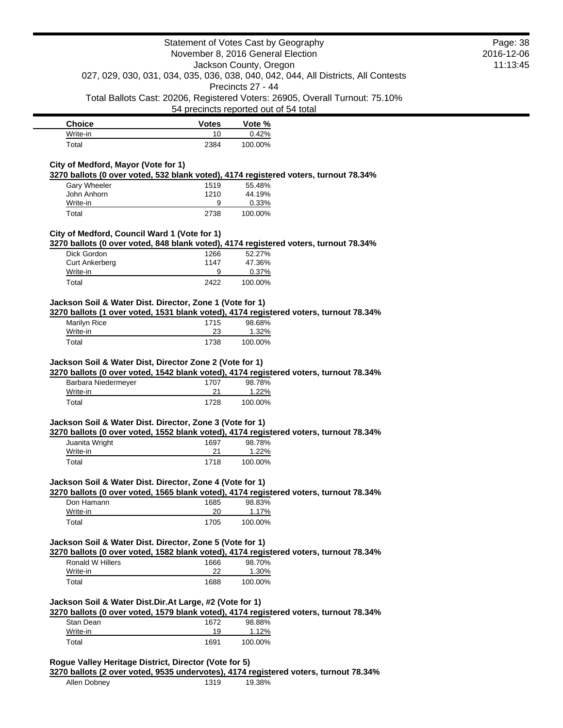|                                                                                                                            |                    | Statement of Votes Cast by Geography                                                  | Page: 38   |
|----------------------------------------------------------------------------------------------------------------------------|--------------------|---------------------------------------------------------------------------------------|------------|
|                                                                                                                            |                    | November 8, 2016 General Election                                                     | 2016-12-06 |
|                                                                                                                            |                    | Jackson County, Oregon                                                                | 11:13:45   |
|                                                                                                                            |                    | 027, 029, 030, 031, 034, 035, 036, 038, 040, 042, 044, All Districts, All Contests    |            |
|                                                                                                                            |                    | Precincts 27 - 44                                                                     |            |
|                                                                                                                            |                    | Total Ballots Cast: 20206, Registered Voters: 26905, Overall Turnout: 75.10%          |            |
|                                                                                                                            |                    | 54 precincts reported out of 54 total                                                 |            |
| <b>Choice</b>                                                                                                              | <b>Votes</b>       | Vote %                                                                                |            |
| Write-in                                                                                                                   | 10                 | 0.42%                                                                                 |            |
| Total                                                                                                                      | 2384               | 100.00%                                                                               |            |
| City of Medford, Mayor (Vote for 1)                                                                                        |                    |                                                                                       |            |
|                                                                                                                            |                    | 3270 ballots (0 over voted, 532 blank voted), 4174 registered voters, turnout 78.34%  |            |
| Gary Wheeler                                                                                                               | 1519               | 55.48%                                                                                |            |
| John Anhorn                                                                                                                | 1210               | 44.19%                                                                                |            |
| Write-in                                                                                                                   | 9                  | 0.33%                                                                                 |            |
| Total                                                                                                                      | 2738               | 100.00%                                                                               |            |
| City of Medford, Council Ward 1 (Vote for 1)                                                                               |                    |                                                                                       |            |
|                                                                                                                            |                    | 3270 ballots (0 over voted, 848 blank voted), 4174 registered voters, turnout 78.34%  |            |
| Dick Gordon                                                                                                                | 1266               | 52.27%                                                                                |            |
| <b>Curt Ankerberg</b>                                                                                                      | 1147               | 47.36%                                                                                |            |
| Write-in                                                                                                                   | 9                  | 0.37%                                                                                 |            |
| Total                                                                                                                      | 2422               | 100.00%                                                                               |            |
|                                                                                                                            |                    |                                                                                       |            |
| 3270 ballots (1 over voted, 1531 blank voted), 4174 registered voters, turnout 78.34%<br>Marilyn Rice<br>Write-in<br>Total | 1715<br>23<br>1738 | 98.68%<br>1.32%<br>100.00%                                                            |            |
| Jackson Soil & Water Dist, Director Zone 2 (Vote for 1)                                                                    |                    | 3270 ballots (0 over voted, 1542 blank voted), 4174 registered voters, turnout 78.34% |            |
| Barbara Niedermeyer                                                                                                        | 1707               | 98.78%                                                                                |            |
| Write-in                                                                                                                   | 21                 | 1.22%                                                                                 |            |
| Total                                                                                                                      | 1728               | 100.00%                                                                               |            |
|                                                                                                                            |                    |                                                                                       |            |
| Jackson Soil & Water Dist. Director, Zone 3 (Vote for 1)                                                                   |                    | 3270 ballots (0 over voted, 1552 blank voted), 4174 registered voters, turnout 78.34% |            |
| Juanita Wright                                                                                                             | 1697               | 98.78%                                                                                |            |
| Write-in                                                                                                                   | 21                 | 1.22%                                                                                 |            |
| Total                                                                                                                      | 1718               | 100.00%                                                                               |            |
|                                                                                                                            |                    |                                                                                       |            |
| Jackson Soil & Water Dist. Director, Zone 4 (Vote for 1)                                                                   |                    |                                                                                       |            |
|                                                                                                                            |                    | 3270 ballots (0 over voted, 1565 blank voted), 4174 registered voters, turnout 78.34% |            |
| Don Hamann<br>Write-in                                                                                                     | 1685<br>20         | 98.83%<br>1.17%                                                                       |            |
| Total                                                                                                                      | 1705               | 100.00%                                                                               |            |
|                                                                                                                            |                    |                                                                                       |            |
| Jackson Soil & Water Dist. Director, Zone 5 (Vote for 1)                                                                   |                    |                                                                                       |            |
|                                                                                                                            |                    | 3270 ballots (0 over voted, 1582 blank voted), 4174 registered voters, turnout 78.34% |            |
| Ronald W Hillers                                                                                                           | 1666               | 98.70%                                                                                |            |
| Write-in                                                                                                                   | 22                 | 1.30%                                                                                 |            |
| Total                                                                                                                      | 1688               | 100.00%                                                                               |            |
| Jackson Soil & Water Dist.Dir.At Large, #2 (Vote for 1)                                                                    |                    |                                                                                       |            |
|                                                                                                                            |                    | 3270 ballots (0 over voted, 1579 blank voted), 4174 registered voters, turnout 78.34% |            |
| Stan Dean                                                                                                                  | 1672               | 98.88%                                                                                |            |
| Write-in<br>Total                                                                                                          | 19<br>1691         | <u>1.12%</u><br>100.00%                                                               |            |

Allen Dobney 1319 19.38%

۰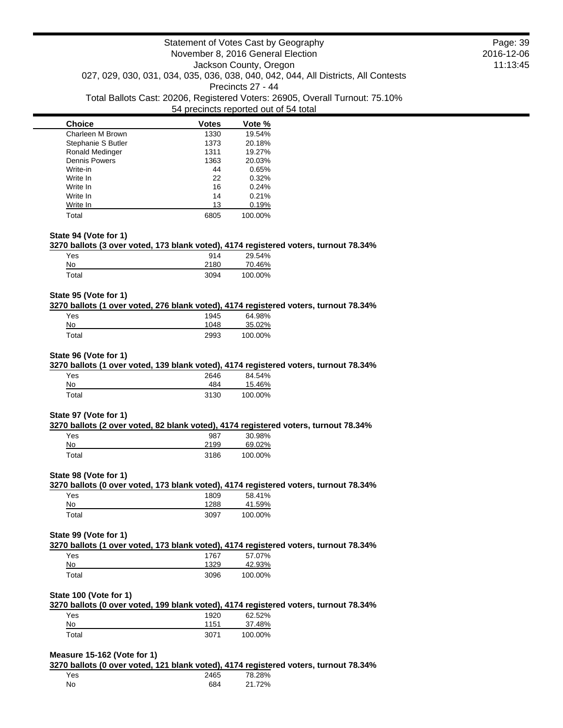| <b>Choice</b>          | Votes | Vote %  |
|------------------------|-------|---------|
| Charleen M Brown       | 1330  | 19.54%  |
| Stephanie S Butler     | 1373  | 20.18%  |
| <b>Ronald Medinger</b> | 1311  | 19.27%  |
| <b>Dennis Powers</b>   | 1363  | 20.03%  |
| Write-in               | 44    | 0.65%   |
| Write In               | 22    | 0.32%   |
| Write In               | 16    | 0.24%   |
| Write In               | 14    | 0.21%   |
| Write In               | 13    | 0.19%   |
| Total                  | 6805  | 100.00% |

#### **State 94 (Vote for 1)**

#### **3270 ballots (3 over voted, 173 blank voted), 4174 registered voters, turnout 78.34%**

| Yes   | 914  | 29.54%  |
|-------|------|---------|
| No    | 2180 | 70.46%  |
| Total | 3094 | 100.00% |

#### **State 95 (Vote for 1)**

#### **3270 ballots (1 over voted, 276 blank voted), 4174 registered voters, turnout 78.34%**

| Yes   | 1945 | 64.98%  |
|-------|------|---------|
| No    | 1048 | 35.02%  |
| Total | 2993 | 100.00% |

#### **State 96 (Vote for 1)**

#### **3270 ballots (1 over voted, 139 blank voted), 4174 registered voters, turnout 78.34%**

| Yes   | 2646 | 84.54%  |
|-------|------|---------|
| No    | 484  | 15.46%  |
| Total | 3130 | 100.00% |

#### **State 97 (Vote for 1)**

#### **3270 ballots (2 over voted, 82 blank voted), 4174 registered voters, turnout 78.34%**

| Yes   | 987  | 30.98%  |
|-------|------|---------|
| No    | 2199 | 69.02%  |
| Total | 3186 | 100.00% |

### **State 98 (Vote for 1)**

## **3270 ballots (0 over voted, 173 blank voted), 4174 registered voters, turnout 78.34%**

| Yes   | 1809 | 58.41%  |
|-------|------|---------|
| No    | 1288 | 41.59%  |
| Total | 3097 | 100.00% |

### **State 99 (Vote for 1)**

# **3270 ballots (1 over voted, 173 blank voted), 4174 registered voters, turnout 78.34%**

| Yes   | 1767 | 57.07%  |
|-------|------|---------|
| No    | 1329 | 42.93%  |
| Total | 3096 | 100.00% |

### **State 100 (Vote for 1)**

**3270 ballots (0 over voted, 199 blank voted), 4174 registered voters, turnout 78.34%** Yes 1920 62.52%

| .           | .    |         |
|-------------|------|---------|
| No          | 1151 | 37.48%  |
| $\tau$ otal | 3071 | 100.00% |

### **Measure 15-162 (Vote for 1)**

**3270 ballots (0 over voted, 121 blank voted), 4174 registered voters, turnout 78.34%** Yes 2465 78.28% No 684 21.72%

Page: 39 2016-12-06 11:13:45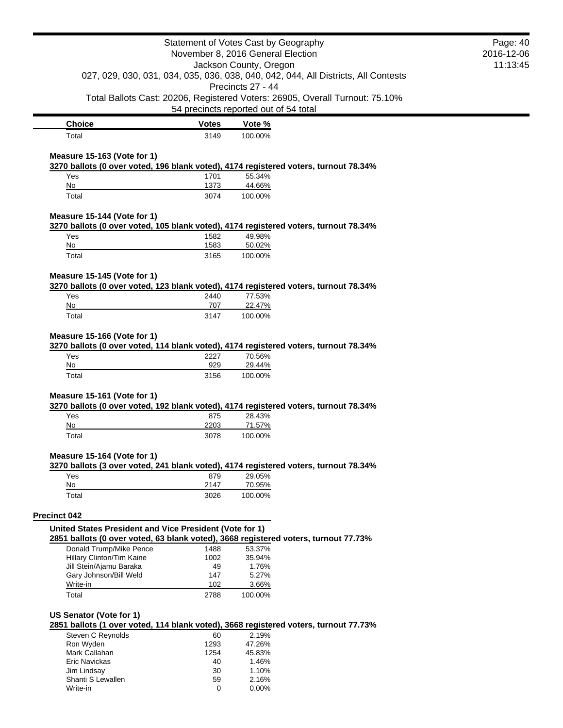|                                                                                                                     |                        | Statement of Votes Cast by Geography<br>November 8, 2016 General Election    | Page: 40<br>2016-12-06 |
|---------------------------------------------------------------------------------------------------------------------|------------------------|------------------------------------------------------------------------------|------------------------|
|                                                                                                                     | Jackson County, Oregon |                                                                              | 11:13:45               |
| 027, 029, 030, 031, 034, 035, 036, 038, 040, 042, 044, All Districts, All Contests<br>Precincts 27 - 44             |                        |                                                                              |                        |
|                                                                                                                     |                        | Total Ballots Cast: 20206, Registered Voters: 26905, Overall Turnout: 75.10% |                        |
|                                                                                                                     |                        | 54 precincts reported out of 54 total                                        |                        |
| <b>Choice</b>                                                                                                       | <b>Votes</b>           | Vote %                                                                       |                        |
| Total                                                                                                               | 3149                   | 100.00%                                                                      |                        |
|                                                                                                                     |                        |                                                                              |                        |
| Measure 15-163 (Vote for 1)<br>3270 ballots (0 over voted, 196 blank voted), 4174 registered voters, turnout 78.34% |                        |                                                                              |                        |
| Yes                                                                                                                 | 1701                   | 55.34%                                                                       |                        |
| No                                                                                                                  | 1373                   | 44.66%                                                                       |                        |
| Total                                                                                                               | 3074                   | 100.00%                                                                      |                        |
| Measure 15-144 (Vote for 1)                                                                                         |                        |                                                                              |                        |
| 3270 ballots (0 over voted, 105 blank voted), 4174 registered voters, turnout 78.34%                                |                        |                                                                              |                        |
| Yes                                                                                                                 | 1582                   | 49.98%                                                                       |                        |
| No                                                                                                                  | 1583                   | 50.02%                                                                       |                        |
| Total                                                                                                               | 3165                   | 100.00%                                                                      |                        |
| Measure 15-145 (Vote for 1)                                                                                         |                        |                                                                              |                        |
| 3270 ballots (0 over voted, 123 blank voted), 4174 registered voters, turnout 78.34%                                |                        |                                                                              |                        |
| Yes                                                                                                                 | 2440                   | 77.53%                                                                       |                        |
| No                                                                                                                  | 707                    | 22.47%                                                                       |                        |
| Total                                                                                                               | 3147                   | 100.00%                                                                      |                        |
| Measure 15-166 (Vote for 1)<br>3270 ballots (0 over voted, 114 blank voted), 4174 registered voters, turnout 78.34% |                        |                                                                              |                        |
| Yes                                                                                                                 | 2227                   | 70.56%                                                                       |                        |
| No                                                                                                                  | 929                    | 29.44%                                                                       |                        |
| Total                                                                                                               | 3156                   | 100.00%                                                                      |                        |
| Measure 15-161 (Vote for 1)                                                                                         |                        |                                                                              |                        |
| 3270 ballots (0 over voted, 192 blank voted), 4174 registered voters, turnout 78.34%                                |                        |                                                                              |                        |
| Yes                                                                                                                 | 875                    | 28.43%                                                                       |                        |
| No                                                                                                                  | 2203                   | 71.57%                                                                       |                        |
| Total                                                                                                               | 3078                   | 100.00%                                                                      |                        |
| Measure 15-164 (Vote for 1)<br>3270 ballots (3 over voted, 241 blank voted), 4174 registered voters, turnout 78.34% |                        |                                                                              |                        |
| Yes                                                                                                                 | 879                    | 29.05%                                                                       |                        |
| No                                                                                                                  | 2147                   | 70.95%                                                                       |                        |
| Total                                                                                                               | 3026                   | 100.00%                                                                      |                        |
| <b>Precinct 042</b>                                                                                                 |                        |                                                                              |                        |
| United States President and Vice President (Vote for 1)                                                             |                        |                                                                              |                        |
| 2851 ballots (0 over voted, 63 blank voted), 3668 registered voters, turnout 77.73%                                 |                        |                                                                              |                        |
| Donald Trump/Mike Pence                                                                                             | 1488                   | 53.37%                                                                       |                        |
| Hillary Clinton/Tim Kaine                                                                                           | 1002                   | 35.94%                                                                       |                        |
| Jill Stein/Ajamu Baraka<br>Gary Johnson/Bill Weld                                                                   | 49<br>147              | 1.76%<br>5.27%                                                               |                        |
| Write-in                                                                                                            | 102                    | 3.66%                                                                        |                        |
| Total                                                                                                               | 2788                   | 100.00%                                                                      |                        |
| US Senator (Vote for 1)                                                                                             |                        |                                                                              |                        |
| 2851 ballots (1 over voted, 114 blank voted), 3668 registered voters, turnout 77.73%                                |                        |                                                                              |                        |
| Steven C Reynolds<br>Ron Wyden                                                                                      | 60<br>1293             | 2.19%<br>47.26%                                                              |                        |
| Mark Callahan                                                                                                       | 1254                   | 45.83%                                                                       |                        |
| Eric Navickas                                                                                                       | 40                     | 1.46%                                                                        |                        |
| Jim Lindsay                                                                                                         | 30                     | 1.10%                                                                        |                        |
| Shanti S Lewallen                                                                                                   | 59                     | 2.16%                                                                        |                        |
| Write-in                                                                                                            | 0                      | 0.00%                                                                        |                        |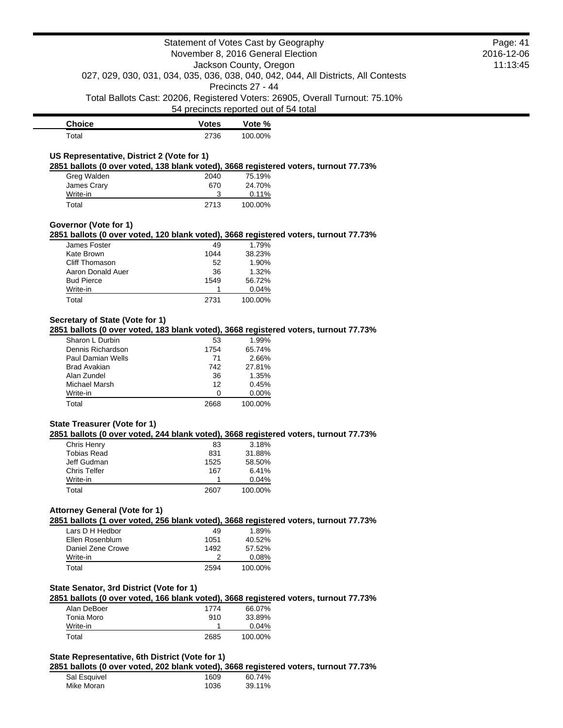|                                                                                      |                                                             | Statement of Votes Cast by Geography  |                                                                              | Page: 41 |
|--------------------------------------------------------------------------------------|-------------------------------------------------------------|---------------------------------------|------------------------------------------------------------------------------|----------|
|                                                                                      | November 8, 2016 General Election<br>Jackson County, Oregon |                                       | 2016-12-06                                                                   |          |
|                                                                                      |                                                             |                                       | 11:13:45                                                                     |          |
| 027, 029, 030, 031, 034, 035, 036, 038, 040, 042, 044, All Districts, All Contests   |                                                             |                                       |                                                                              |          |
|                                                                                      |                                                             | Precincts 27 - 44                     |                                                                              |          |
|                                                                                      |                                                             |                                       | Total Ballots Cast: 20206, Registered Voters: 26905, Overall Turnout: 75.10% |          |
|                                                                                      |                                                             |                                       |                                                                              |          |
|                                                                                      |                                                             | 54 precincts reported out of 54 total |                                                                              |          |
| <b>Choice</b>                                                                        | <b>Votes</b>                                                | Vote %                                |                                                                              |          |
| Total                                                                                | 2736                                                        | 100.00%                               |                                                                              |          |
|                                                                                      |                                                             |                                       |                                                                              |          |
| US Representative, District 2 (Vote for 1)                                           |                                                             |                                       |                                                                              |          |
| 2851 ballots (0 over voted, 138 blank voted), 3668 registered voters, turnout 77.73% |                                                             |                                       |                                                                              |          |
| Greg Walden                                                                          | 2040                                                        | 75.19%                                |                                                                              |          |
| James Crary                                                                          | 670                                                         | 24.70%                                |                                                                              |          |
| Write-in                                                                             | 3                                                           | 0.11%                                 |                                                                              |          |
| Total                                                                                | 2713                                                        | 100.00%                               |                                                                              |          |
|                                                                                      |                                                             |                                       |                                                                              |          |
| Governor (Vote for 1)                                                                |                                                             |                                       |                                                                              |          |
| 2851 ballots (0 over voted, 120 blank voted), 3668 registered voters, turnout 77.73% |                                                             |                                       |                                                                              |          |
| James Foster                                                                         | 49                                                          | 1.79%                                 |                                                                              |          |
| Kate Brown                                                                           | 1044                                                        | 38.23%                                |                                                                              |          |
| Cliff Thomason                                                                       | 52                                                          | 1.90%                                 |                                                                              |          |
| Aaron Donald Auer                                                                    | 36                                                          | 1.32%                                 |                                                                              |          |
| <b>Bud Pierce</b>                                                                    | 1549                                                        | 56.72%                                |                                                                              |          |
| Write-in                                                                             | 1                                                           | 0.04%                                 |                                                                              |          |
| Total                                                                                | 2731                                                        | 100.00%                               |                                                                              |          |
|                                                                                      |                                                             |                                       |                                                                              |          |
| Secretary of State (Vote for 1)                                                      |                                                             |                                       |                                                                              |          |
| 2851 ballots (0 over voted, 183 blank voted), 3668 registered voters, turnout 77.73% |                                                             |                                       |                                                                              |          |
| Sharon L Durbin                                                                      | 53                                                          | 1.99%                                 |                                                                              |          |
| Dennis Richardson                                                                    | 1754                                                        | 65.74%                                |                                                                              |          |
| Paul Damian Wells                                                                    | 71                                                          | 2.66%                                 |                                                                              |          |
| <b>Brad Avakian</b>                                                                  | 742                                                         | 27.81%                                |                                                                              |          |
| Alan Zundel                                                                          | 36                                                          | 1.35%                                 |                                                                              |          |
| Michael Marsh                                                                        | 12                                                          | 0.45%                                 |                                                                              |          |
| Write-in                                                                             | 0                                                           | 0.00%                                 |                                                                              |          |
| Total                                                                                | 2668                                                        | 100.00%                               |                                                                              |          |
|                                                                                      |                                                             |                                       |                                                                              |          |
| <b>State Treasurer (Vote for 1)</b>                                                  |                                                             |                                       |                                                                              |          |
| 2851 ballots (0 over voted, 244 blank voted), 3668 registered voters, turnout 77.73% |                                                             |                                       |                                                                              |          |
| Chris Henry                                                                          | 83                                                          | 3.18%                                 |                                                                              |          |
| Tobias Read                                                                          | 831                                                         | 31.88%                                |                                                                              |          |
| Jeff Gudman<br><b>Chris Telfer</b>                                                   | 1525<br>167                                                 | 58.50%<br>6.41%                       |                                                                              |          |
| Write-in                                                                             | 1                                                           | 0.04%                                 |                                                                              |          |
|                                                                                      | 2607                                                        |                                       |                                                                              |          |
| Total                                                                                |                                                             | 100.00%                               |                                                                              |          |
|                                                                                      |                                                             |                                       |                                                                              |          |
| <b>Attorney General (Vote for 1)</b>                                                 |                                                             |                                       |                                                                              |          |
| 2851 ballots (1 over voted, 256 blank voted), 3668 registered voters, turnout 77.73% |                                                             |                                       |                                                                              |          |
| Lars D H Hedbor                                                                      | 49                                                          | 1.89%                                 |                                                                              |          |
| Ellen Rosenblum                                                                      | 1051                                                        | 40.52%                                |                                                                              |          |
| Daniel Zene Crowe                                                                    | 1492                                                        | 57.52%                                |                                                                              |          |
| Write-in                                                                             | 2                                                           | 0.08%                                 |                                                                              |          |
| Total                                                                                | 2594                                                        | 100.00%                               |                                                                              |          |
|                                                                                      |                                                             |                                       |                                                                              |          |
| State Senator, 3rd District (Vote for 1)                                             |                                                             |                                       |                                                                              |          |
| 2851 ballots (0 over voted, 166 blank voted), 3668 registered voters, turnout 77.73% |                                                             |                                       |                                                                              |          |
| Alan DeBoer                                                                          | 1774                                                        | 66.07%                                |                                                                              |          |
| <b>Tonia Moro</b>                                                                    | 910                                                         | 33.89%                                |                                                                              |          |
| Write-in                                                                             | 1                                                           | 0.04%                                 |                                                                              |          |
| Total                                                                                | 2685                                                        | 100.00%                               |                                                                              |          |
|                                                                                      |                                                             |                                       |                                                                              |          |
| State Representative, 6th District (Vote for 1)                                      |                                                             |                                       |                                                                              |          |
| 2851 ballots (0 over voted, 202 blank voted), 3668 registered voters, turnout 77.73% |                                                             |                                       |                                                                              |          |
| Sal Esquivel                                                                         | 1609                                                        | 60.74%                                |                                                                              |          |
| Mike Moran                                                                           | 1036                                                        | 39.11%                                |                                                                              |          |
|                                                                                      |                                                             |                                       |                                                                              |          |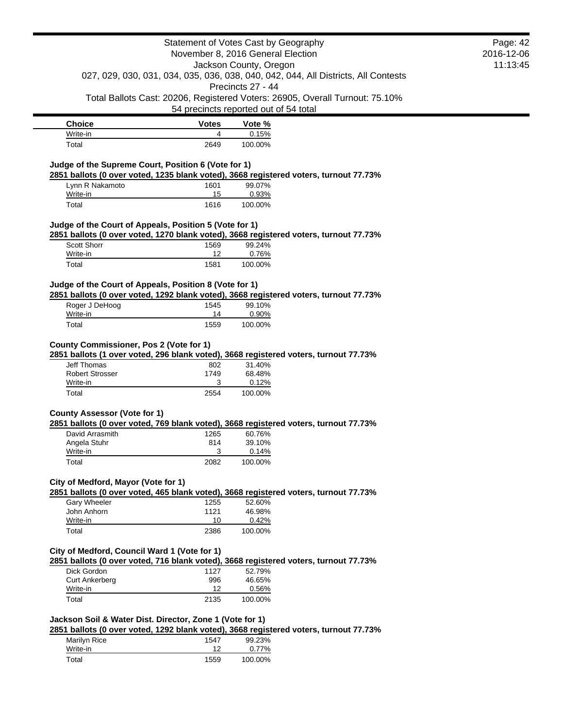|                                                                                                                                                   | Statement of Votes Cast by Geography<br>November 8, 2016 General Election<br>Jackson County, Oregon<br>027, 029, 030, 031, 034, 035, 036, 038, 040, 042, 044, All Districts, All Contests |                   | Page: 42<br>2016-12-06                                                       |  |
|---------------------------------------------------------------------------------------------------------------------------------------------------|-------------------------------------------------------------------------------------------------------------------------------------------------------------------------------------------|-------------------|------------------------------------------------------------------------------|--|
|                                                                                                                                                   |                                                                                                                                                                                           |                   | 11:13:45                                                                     |  |
|                                                                                                                                                   |                                                                                                                                                                                           | Precincts 27 - 44 |                                                                              |  |
|                                                                                                                                                   | 54 precincts reported out of 54 total                                                                                                                                                     |                   | Total Ballots Cast: 20206, Registered Voters: 26905, Overall Turnout: 75.10% |  |
| <b>Choice</b>                                                                                                                                     | <b>Votes</b>                                                                                                                                                                              | Vote %            |                                                                              |  |
| Write-in                                                                                                                                          | 4                                                                                                                                                                                         | 0.15%             |                                                                              |  |
| Total                                                                                                                                             | 2649                                                                                                                                                                                      | 100.00%           |                                                                              |  |
| Judge of the Supreme Court, Position 6 (Vote for 1)<br>2851 ballots (0 over voted, 1235 blank voted), 3668 registered voters, turnout 77.73%      |                                                                                                                                                                                           |                   |                                                                              |  |
| Lynn R Nakamoto                                                                                                                                   | 1601                                                                                                                                                                                      | 99.07%            |                                                                              |  |
| Write-in<br>Total                                                                                                                                 | 15<br>1616                                                                                                                                                                                | 0.93%<br>100.00%  |                                                                              |  |
| Judge of the Court of Appeals, Position 5 (Vote for 1)                                                                                            |                                                                                                                                                                                           |                   |                                                                              |  |
| 2851 ballots (0 over voted, 1270 blank voted), 3668 registered voters, turnout 77.73%<br><b>Scott Shorr</b>                                       | 1569                                                                                                                                                                                      | 99.24%            |                                                                              |  |
| Write-in                                                                                                                                          | $12 \overline{ }$                                                                                                                                                                         | 0.76%             |                                                                              |  |
| Total                                                                                                                                             | 1581                                                                                                                                                                                      | 100.00%           |                                                                              |  |
| Judge of the Court of Appeals, Position 8 (Vote for 1)                                                                                            |                                                                                                                                                                                           |                   |                                                                              |  |
| 2851 ballots (0 over voted, 1292 blank voted), 3668 registered voters, turnout 77.73%<br>Roger J DeHoog                                           | 1545                                                                                                                                                                                      | 99.10%            |                                                                              |  |
| Write-in                                                                                                                                          | 14                                                                                                                                                                                        | 0.90%             |                                                                              |  |
| Total                                                                                                                                             | 1559                                                                                                                                                                                      | 100.00%           |                                                                              |  |
| County Commissioner, Pos 2 (Vote for 1)<br>2851 ballots (1 over voted, 296 blank voted), 3668 registered voters, turnout 77.73%                   |                                                                                                                                                                                           |                   |                                                                              |  |
| <b>Jeff Thomas</b><br><b>Robert Strosser</b>                                                                                                      | 802<br>1749                                                                                                                                                                               | 31.40%<br>68.48%  |                                                                              |  |
| Write-in                                                                                                                                          | 3                                                                                                                                                                                         | 0.12%             |                                                                              |  |
| Total                                                                                                                                             | 2554                                                                                                                                                                                      | 100.00%           |                                                                              |  |
| <b>County Assessor (Vote for 1)</b>                                                                                                               |                                                                                                                                                                                           |                   |                                                                              |  |
| 2851 ballots (0 over voted, 769 blank voted), 3668 registered voters, turnout 77.73%<br>David Arrasmith                                           | 1265                                                                                                                                                                                      | 60.76%            |                                                                              |  |
| Angela Stuhr                                                                                                                                      | 814                                                                                                                                                                                       | 39.10%            |                                                                              |  |
| Write-in                                                                                                                                          | З                                                                                                                                                                                         | 0.14%             |                                                                              |  |
| Total                                                                                                                                             | 2082                                                                                                                                                                                      | 100.00%           |                                                                              |  |
| City of Medford, Mayor (Vote for 1)<br>2851 ballots (0 over voted, 465 blank voted), 3668 registered voters, turnout 77.73%                       |                                                                                                                                                                                           |                   |                                                                              |  |
| <b>Garv Wheeler</b>                                                                                                                               | 1255                                                                                                                                                                                      | 52.60%            |                                                                              |  |
| John Anhorn<br>Write-in                                                                                                                           | 1121<br>10                                                                                                                                                                                | 46.98%<br>0.42%   |                                                                              |  |
| Total                                                                                                                                             | 2386                                                                                                                                                                                      | 100.00%           |                                                                              |  |
| City of Medford, Council Ward 1 (Vote for 1)                                                                                                      |                                                                                                                                                                                           |                   |                                                                              |  |
| 2851 ballots (0 over voted, 716 blank voted), 3668 registered voters, turnout 77.73%                                                              |                                                                                                                                                                                           |                   |                                                                              |  |
| Dick Gordon<br><b>Curt Ankerberg</b>                                                                                                              | 1127<br>996                                                                                                                                                                               | 52.79%<br>46.65%  |                                                                              |  |
| Write-in                                                                                                                                          | 12                                                                                                                                                                                        | 0.56%             |                                                                              |  |
| Total                                                                                                                                             | 2135                                                                                                                                                                                      | 100.00%           |                                                                              |  |
| Jackson Soil & Water Dist. Director, Zone 1 (Vote for 1)<br>2851 ballots (0 over voted, 1292 blank voted), 3668 registered voters, turnout 77.73% |                                                                                                                                                                                           |                   |                                                                              |  |
| Marilyn Rice                                                                                                                                      | 1547                                                                                                                                                                                      | 99.23%            |                                                                              |  |
| Write-in                                                                                                                                          | 12                                                                                                                                                                                        | 0.77%             |                                                                              |  |
| Total                                                                                                                                             | 1559                                                                                                                                                                                      | 100.00%           |                                                                              |  |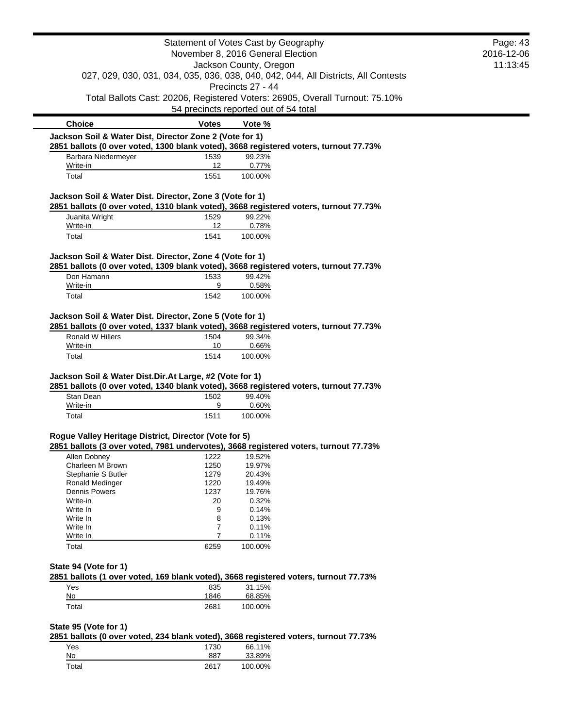|                                                                                    |                                   | Statement of Votes Cast by Geography                                                  | Page: 43   |
|------------------------------------------------------------------------------------|-----------------------------------|---------------------------------------------------------------------------------------|------------|
|                                                                                    | November 8, 2016 General Election |                                                                                       | 2016-12-06 |
| Jackson County, Oregon                                                             |                                   | 11:13:45                                                                              |            |
| 027, 029, 030, 031, 034, 035, 036, 038, 040, 042, 044, All Districts, All Contests |                                   |                                                                                       |            |
| Precincts 27 - 44                                                                  |                                   |                                                                                       |            |
|                                                                                    |                                   | Total Ballots Cast: 20206, Registered Voters: 26905, Overall Turnout: 75.10%          |            |
|                                                                                    |                                   | 54 precincts reported out of 54 total                                                 |            |
| <b>Choice</b>                                                                      | <b>Votes</b>                      | Vote %                                                                                |            |
| Jackson Soil & Water Dist, Director Zone 2 (Vote for 1)                            |                                   |                                                                                       |            |
|                                                                                    |                                   | 2851 ballots (0 over voted, 1300 blank voted), 3668 registered voters, turnout 77.73% |            |
| Barbara Niedermeyer                                                                | 1539                              | 99.23%                                                                                |            |
| Write-in<br>Total                                                                  | 12<br>1551                        | 0.77%<br>100.00%                                                                      |            |
| Jackson Soil & Water Dist. Director, Zone 3 (Vote for 1)                           |                                   |                                                                                       |            |
|                                                                                    |                                   | 2851 ballots (0 over voted, 1310 blank voted), 3668 registered voters, turnout 77.73% |            |
| Juanita Wright<br>Write-in                                                         | 1529                              | 99.22%                                                                                |            |
| Total                                                                              | 12<br>1541                        | 0.78%<br>100.00%                                                                      |            |
|                                                                                    |                                   |                                                                                       |            |
| Jackson Soil & Water Dist. Director, Zone 4 (Vote for 1)                           |                                   | 2851 ballots (0 over voted, 1309 blank voted), 3668 registered voters, turnout 77.73% |            |
| Don Hamann                                                                         | 1533                              | 99.42%                                                                                |            |
| Write-in                                                                           | 9                                 | 0.58%                                                                                 |            |
| Total                                                                              | 1542                              | 100.00%                                                                               |            |
| Jackson Soil & Water Dist. Director, Zone 5 (Vote for 1)                           |                                   |                                                                                       |            |
|                                                                                    |                                   | 2851 ballots (0 over voted, 1337 blank voted), 3668 registered voters, turnout 77.73% |            |
| Ronald W Hillers                                                                   | 1504                              | 99.34%                                                                                |            |
| Write-in<br>Total                                                                  | 10<br>1514                        | 0.66%<br>100.00%                                                                      |            |
| Jackson Soil & Water Dist.Dir.At Large, #2 (Vote for 1)                            |                                   | 2851 ballots (0 over voted, 1340 blank voted), 3668 registered voters, turnout 77.73% |            |
| Stan Dean                                                                          | 1502                              | 99.40%                                                                                |            |
| Write-in                                                                           | 9                                 | 0.60%                                                                                 |            |
| Total                                                                              | 1511                              | 100.00%                                                                               |            |
| Rogue Valley Heritage District, Director (Vote for 5)                              |                                   |                                                                                       |            |
|                                                                                    |                                   | 2851 ballots (3 over voted, 7981 undervotes), 3668 registered voters, turnout 77.73%  |            |
| Allen Dobney                                                                       | 1222                              | 19.52%                                                                                |            |
| Charleen M Brown<br>Stephanie S Butler                                             | 1250                              | 19.97%                                                                                |            |
| Ronald Medinger                                                                    | 1279<br>1220                      | 20.43%<br>19.49%                                                                      |            |
| Dennis Powers                                                                      | 1237                              | 19.76%                                                                                |            |
| Write-in                                                                           | 20                                | 0.32%                                                                                 |            |
| Write In                                                                           | 9                                 | 0.14%                                                                                 |            |
| Write In                                                                           | 8                                 | 0.13%                                                                                 |            |
| Write In                                                                           | 7                                 | 0.11%                                                                                 |            |
| Write In                                                                           | 7                                 | 0.11%                                                                                 |            |
| Total                                                                              | 6259                              | 100.00%                                                                               |            |
| State 94 (Vote for 1)                                                              |                                   |                                                                                       |            |
|                                                                                    |                                   | 2851 ballots (1 over voted, 169 blank voted), 3668 registered voters, turnout 77.73%  |            |
| Yes                                                                                | 835                               | 31.15%                                                                                |            |
| $\underline{\mathsf{No}}$<br>Total                                                 | 1846<br>2681                      | 68.85%<br>100.00%                                                                     |            |

| Yes   | 1730 | 66.11%  |
|-------|------|---------|
| No    | 887  | 33.89%  |
| Total | 2617 | 100.00% |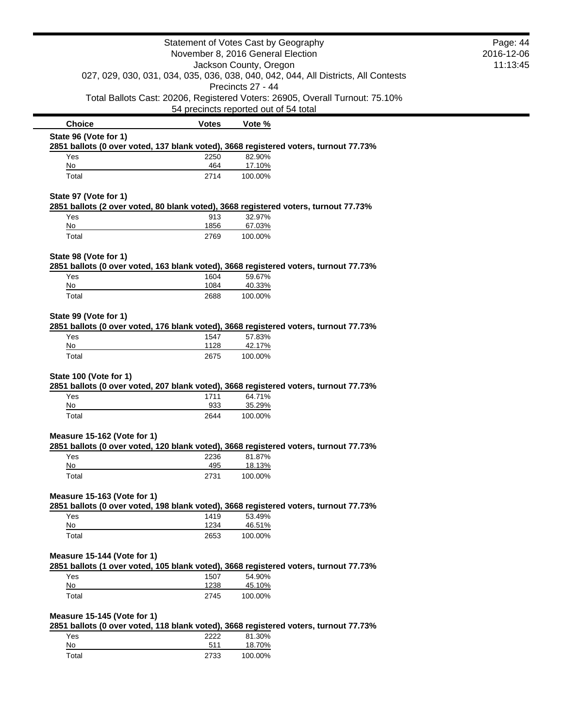|                                                                                                                                                          |                                   | Statement of Votes Cast by Geography                                                           | Page: 44   |
|----------------------------------------------------------------------------------------------------------------------------------------------------------|-----------------------------------|------------------------------------------------------------------------------------------------|------------|
|                                                                                                                                                          | November 8, 2016 General Election |                                                                                                | 2016-12-06 |
| Jackson County, Oregon<br>027, 029, 030, 031, 034, 035, 036, 038, 040, 042, 044, All Districts, All Contests                                             |                                   | 11:13:45                                                                                       |            |
|                                                                                                                                                          |                                   | Precincts 27 - 44                                                                              |            |
|                                                                                                                                                          |                                   | Total Ballots Cast: 20206, Registered Voters: 26905, Overall Turnout: 75.10%                   |            |
|                                                                                                                                                          |                                   | 54 precincts reported out of 54 total                                                          |            |
| <b>Choice</b>                                                                                                                                            | <b>Votes</b>                      | Vote %                                                                                         |            |
| State 96 (Vote for 1)                                                                                                                                    |                                   |                                                                                                |            |
| Yes                                                                                                                                                      | 2250                              | 2851 ballots (0 over voted, 137 blank voted), 3668 registered voters, turnout 77.73%<br>82.90% |            |
| No                                                                                                                                                       | 464                               | 17.10%                                                                                         |            |
| Total                                                                                                                                                    | 2714                              | 100.00%                                                                                        |            |
| State 97 (Vote for 1)                                                                                                                                    |                                   |                                                                                                |            |
| Yes                                                                                                                                                      | 913                               | 2851 ballots (2 over voted, 80 blank voted), 3668 registered voters, turnout 77.73%<br>32.97%  |            |
| No                                                                                                                                                       | 1856                              | 67.03%                                                                                         |            |
| Total                                                                                                                                                    | 2769                              | 100.00%                                                                                        |            |
| State 98 (Vote for 1)                                                                                                                                    |                                   |                                                                                                |            |
|                                                                                                                                                          |                                   | 2851 ballots (0 over voted, 163 blank voted), 3668 registered voters, turnout 77.73%           |            |
| Yes                                                                                                                                                      | 1604                              | 59.67%                                                                                         |            |
| No                                                                                                                                                       | 1084                              | 40.33%                                                                                         |            |
| Total                                                                                                                                                    | 2688                              | 100.00%                                                                                        |            |
| State 99 (Vote for 1)                                                                                                                                    |                                   | 2851 ballots (0 over voted, 176 blank voted), 3668 registered voters, turnout 77.73%           |            |
| Yes                                                                                                                                                      | 1547                              | 57.83%                                                                                         |            |
| No                                                                                                                                                       | 1128                              | 42.17%                                                                                         |            |
| Total                                                                                                                                                    | 2675                              | 100.00%                                                                                        |            |
|                                                                                                                                                          |                                   |                                                                                                |            |
|                                                                                                                                                          |                                   |                                                                                                |            |
|                                                                                                                                                          |                                   | 2851 ballots (0 over voted, 207 blank voted), 3668 registered voters, turnout 77.73%           |            |
| Yes                                                                                                                                                      | 1711                              | 64.71%                                                                                         |            |
| No<br>Total                                                                                                                                              | 933<br>2644                       | 35.29%<br>100.00%                                                                              |            |
|                                                                                                                                                          |                                   |                                                                                                |            |
|                                                                                                                                                          |                                   |                                                                                                |            |
|                                                                                                                                                          |                                   | 2851 ballots (0 over voted, 120 blank voted), 3668 registered voters, turnout 77.73%           |            |
| Yes                                                                                                                                                      | 2236                              | 81.87%                                                                                         |            |
| No<br>Total                                                                                                                                              | 495<br>2731                       | 18.13%<br>100.00%                                                                              |            |
|                                                                                                                                                          |                                   |                                                                                                |            |
|                                                                                                                                                          |                                   | 2851 ballots (0 over voted, 198 blank voted), 3668 registered voters, turnout 77.73%           |            |
| Yes                                                                                                                                                      | 1419                              | 53.49%                                                                                         |            |
| <b>No</b>                                                                                                                                                | 1234                              | 46.51%                                                                                         |            |
| Total                                                                                                                                                    | 2653                              | 100.00%                                                                                        |            |
|                                                                                                                                                          |                                   |                                                                                                |            |
|                                                                                                                                                          |                                   | 2851 ballots (1 over voted, 105 blank voted), 3668 registered voters, turnout 77.73%           |            |
| Yes                                                                                                                                                      | 1507                              | 54.90%                                                                                         |            |
| No<br>Total                                                                                                                                              | 1238<br>2745                      | 45.10%<br>100.00%                                                                              |            |
|                                                                                                                                                          |                                   |                                                                                                |            |
|                                                                                                                                                          |                                   |                                                                                                |            |
| Yes                                                                                                                                                      | 2222                              | 2851 ballots (0 over voted, 118 blank voted), 3668 registered voters, turnout 77.73%<br>81.30% |            |
| State 100 (Vote for 1)<br>Measure 15-162 (Vote for 1)<br>Measure 15-163 (Vote for 1)<br>Measure 15-144 (Vote for 1)<br>Measure 15-145 (Vote for 1)<br>No | 511                               | 18.70%                                                                                         |            |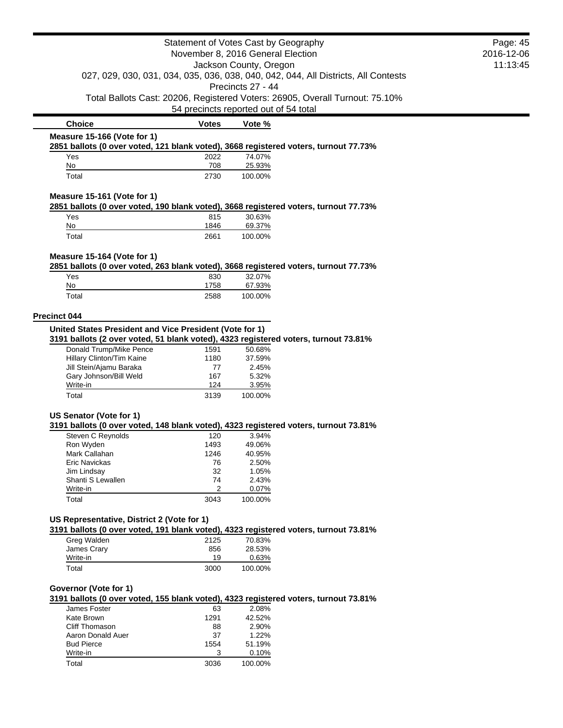|                                                                                                                                                |              | Statement of Votes Cast by Geography<br>November 8, 2016 General Election |                                                                                    | Page: 45<br>2016-12-06 |
|------------------------------------------------------------------------------------------------------------------------------------------------|--------------|---------------------------------------------------------------------------|------------------------------------------------------------------------------------|------------------------|
|                                                                                                                                                |              | Jackson County, Oregon<br>Precincts 27 - 44                               | 027, 029, 030, 031, 034, 035, 036, 038, 040, 042, 044, All Districts, All Contests | 11:13:45               |
|                                                                                                                                                |              | 54 precincts reported out of 54 total                                     | Total Ballots Cast: 20206, Registered Voters: 26905, Overall Turnout: 75.10%       |                        |
| <b>Choice</b>                                                                                                                                  | <b>Votes</b> | Vote %                                                                    |                                                                                    |                        |
| Measure 15-166 (Vote for 1)                                                                                                                    |              |                                                                           |                                                                                    |                        |
| 2851 ballots (0 over voted, 121 blank voted), 3668 registered voters, turnout 77.73%                                                           |              |                                                                           |                                                                                    |                        |
| Yes<br>No                                                                                                                                      | 2022<br>708  | 74.07%<br>25.93%                                                          |                                                                                    |                        |
| Total                                                                                                                                          | 2730         | 100.00%                                                                   |                                                                                    |                        |
| Measure 15-161 (Vote for 1)<br>2851 ballots (0 over voted, 190 blank voted), 3668 registered voters, turnout 77.73%                            |              |                                                                           |                                                                                    |                        |
| Yes                                                                                                                                            | 815          | 30.63%                                                                    |                                                                                    |                        |
| No                                                                                                                                             | 1846         | 69.37%                                                                    |                                                                                    |                        |
| Total                                                                                                                                          | 2661         | 100.00%                                                                   |                                                                                    |                        |
| Measure 15-164 (Vote for 1)<br>2851 ballots (0 over voted, 263 blank voted), 3668 registered voters, turnout 77.73%                            |              |                                                                           |                                                                                    |                        |
| Yes                                                                                                                                            | 830          | 32.07%                                                                    |                                                                                    |                        |
| No                                                                                                                                             | 1758         | 67.93%                                                                    |                                                                                    |                        |
| Total                                                                                                                                          | 2588         | 100.00%                                                                   |                                                                                    |                        |
| <b>Precinct 044</b>                                                                                                                            |              |                                                                           |                                                                                    |                        |
| United States President and Vice President (Vote for 1)<br>3191 ballots (2 over voted, 51 blank voted), 4323 registered voters, turnout 73.81% |              |                                                                           |                                                                                    |                        |
| Donald Trump/Mike Pence                                                                                                                        | 1591         | 50.68%                                                                    |                                                                                    |                        |
| Hillary Clinton/Tim Kaine<br>Jill Stein/Ajamu Baraka                                                                                           | 1180<br>77   | 37.59%<br>2.45%                                                           |                                                                                    |                        |
| Gary Johnson/Bill Weld                                                                                                                         | 167          | 5.32%                                                                     |                                                                                    |                        |
| Write-in                                                                                                                                       | 124          | 3.95%                                                                     |                                                                                    |                        |
| Total                                                                                                                                          | 3139         | 100.00%                                                                   |                                                                                    |                        |
| US Senator (Vote for 1)<br>3191 ballots (0 over voted, 148 blank voted), 4323 registered voters, turnout 73.81%                                |              |                                                                           |                                                                                    |                        |
| <b>Steven C Revnolds</b>                                                                                                                       | 120          | 3.94%                                                                     |                                                                                    |                        |
| Ron Wyden<br>Mark Callahan                                                                                                                     | 1493<br>1246 | 49.06%<br>40.95%                                                          |                                                                                    |                        |
| <b>Eric Navickas</b>                                                                                                                           | 76           | 2.50%                                                                     |                                                                                    |                        |
| Jim Lindsay                                                                                                                                    | 32           | 1.05%                                                                     |                                                                                    |                        |
| Shanti S Lewallen<br>Write-in                                                                                                                  | 74<br>2      | 2.43%<br>0.07%                                                            |                                                                                    |                        |
| Total                                                                                                                                          | 3043         | 100.00%                                                                   |                                                                                    |                        |
| US Representative, District 2 (Vote for 1)                                                                                                     |              |                                                                           |                                                                                    |                        |
| 3191 ballots (0 over voted, 191 blank voted), 4323 registered voters, turnout 73.81%                                                           |              |                                                                           |                                                                                    |                        |
| Greg Walden<br>James Crary                                                                                                                     | 2125<br>856  | 70.83%<br>28.53%                                                          |                                                                                    |                        |
| Write-in                                                                                                                                       | 19           | 0.63%                                                                     |                                                                                    |                        |
| Total                                                                                                                                          | 3000         | 100.00%                                                                   |                                                                                    |                        |
| Governor (Vote for 1)<br>3191 ballots (0 over voted, 155 blank voted), 4323 registered voters, turnout 73.81%                                  |              |                                                                           |                                                                                    |                        |
| James Foster                                                                                                                                   | 63           | 2.08%                                                                     |                                                                                    |                        |
| Kate Brown                                                                                                                                     | 1291         | 42.52%                                                                    |                                                                                    |                        |
| Cliff Thomason                                                                                                                                 | 88           | 2.90%                                                                     |                                                                                    |                        |
| Aaron Donald Auer<br><b>Bud Pierce</b>                                                                                                         | 37<br>1554   | 1.22%<br>51.19%                                                           |                                                                                    |                        |
| Write-in                                                                                                                                       | 3            | 0.10%                                                                     |                                                                                    |                        |

Total 3036 100.00%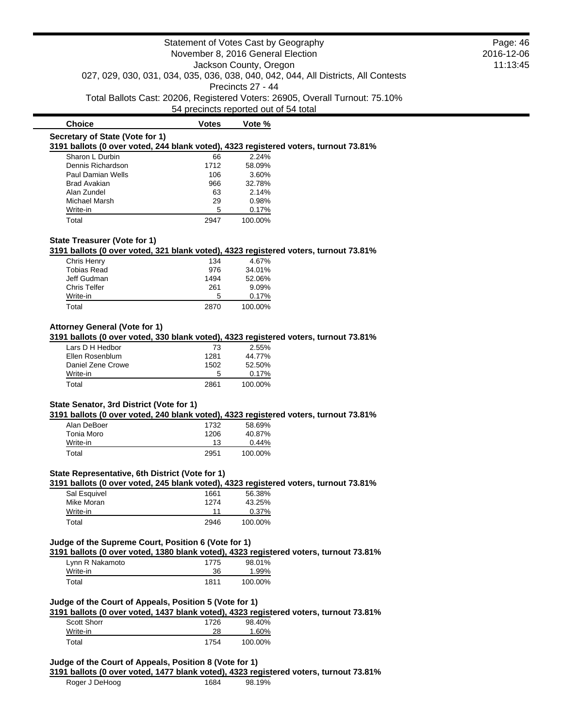**Choice Votes Votes Vote %** 

# **Secretary of State (Vote for 1)**

**3191 ballots (0 over voted, 244 blank voted), 4323 registered voters, turnout 73.81%**

| Sharon L Durbin     | 66   | 2.24%   |
|---------------------|------|---------|
| Dennis Richardson   | 1712 | 58.09%  |
| Paul Damian Wells   | 106  | 3.60%   |
| <b>Brad Avakian</b> | 966  | 32.78%  |
| Alan Zundel         | 63   | 2.14%   |
| Michael Marsh       | 29   | 0.98%   |
| Write-in            | 5    | 0.17%   |
| Total               |      | 100.00% |

## **State Treasurer (Vote for 1)**

**3191 ballots (0 over voted, 321 blank voted), 4323 registered voters, turnout 73.81%**

| Chris Henry         | 134  | 4.67%   |
|---------------------|------|---------|
| <b>Tobias Read</b>  | 976  | 34.01%  |
| Jeff Gudman         | 1494 | 52.06%  |
| <b>Chris Telfer</b> | 261  | 9.09%   |
| Write-in            | 5    | 0.17%   |
| Total               | 2870 | 100.00% |

## **Attorney General (Vote for 1)**

**3191 ballots (0 over voted, 330 blank voted), 4323 registered voters, turnout 73.81%**

| Lars D H Hedbor   | 73   | 2.55%   |
|-------------------|------|---------|
| Ellen Rosenblum   | 1281 | 44.77%  |
| Daniel Zene Crowe | 1502 | 52.50%  |
| Write-in          | 5    | 0.17%   |
| Total             | 2861 | 100.00% |

## **State Senator, 3rd District (Vote for 1)**

**3191 ballots (0 over voted, 240 blank voted), 4323 registered voters, turnout 73.81%**

| Alan DeBoer | 1732 | 58.69%   |
|-------------|------|----------|
| Tonia Moro  | 1206 | 40.87%   |
| Write-in    | 13   | $0.44\%$ |
| Total       | 2951 | 100.00%  |

## **State Representative, 6th District (Vote for 1)**

**3191 ballots (0 over voted, 245 blank voted), 4323 registered voters, turnout 73.81%**

| Sal Esquivel | 1661 | 56.38%  |
|--------------|------|---------|
| Mike Moran   | 1274 | 43.25%  |
| Write-in     | 11   | 0.37%   |
| Total        | 2946 | 100.00% |

#### **Judge of the Supreme Court, Position 6 (Vote for 1)**

**3191 ballots (0 over voted, 1380 blank voted), 4323 registered voters, turnout 73.81%**

| Lynn R Nakamoto | 1775 | 98.01%  |
|-----------------|------|---------|
| Write-in        | 36   | 1.99%   |
| Total           | 1811 | 100.00% |

## **Judge of the Court of Appeals, Position 5 (Vote for 1)**

**3191 ballots (0 over voted, 1437 blank voted), 4323 registered voters, turnout 73.81%**

| <b>Scott Shorr</b> | 1726 | 98.40%  |
|--------------------|------|---------|
| Write-in           | 28   | 1.60%   |
| Total              | 1754 | 100.00% |

## **Judge of the Court of Appeals, Position 8 (Vote for 1)**

**3191 ballots (0 over voted, 1477 blank voted), 4323 registered voters, turnout 73.81%**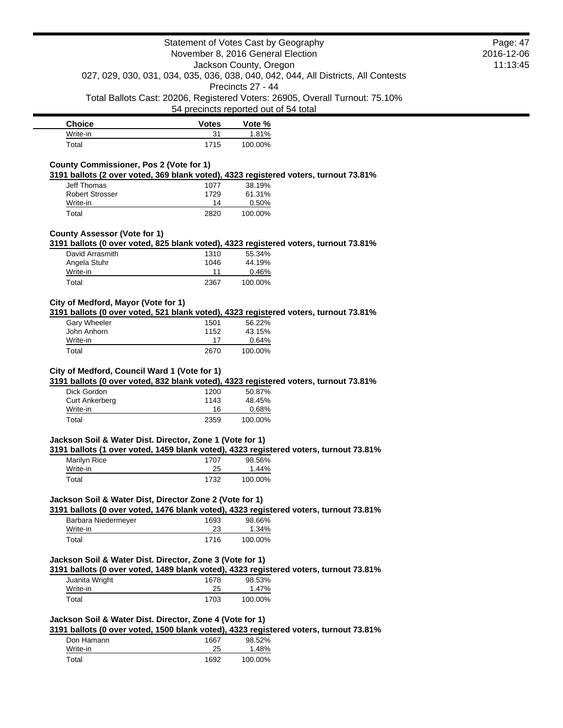| <b>Choice</b> | <b>Votes</b> | Vote %  |
|---------------|--------------|---------|
| Write-in      | 31           | 1.81%   |
| Total         | 1715         | 100.00% |

## **County Commissioner, Pos 2 (Vote for 1)**

**3191 ballots (2 over voted, 369 blank voted), 4323 registered voters, turnout 73.81%**

| Jeff Thomas            | 1077 | 38.19%   |
|------------------------|------|----------|
| <b>Robert Strosser</b> | 1729 | 61.31%   |
| Write-in               | 14   | $0.50\%$ |
| Total                  | 2820 | 100.00%  |

### **County Assessor (Vote for 1)**

**3191 ballots (0 over voted, 825 blank voted), 4323 registered voters, turnout 73.81%**

| David Arrasmith | 1310 | 55.34%  |
|-----------------|------|---------|
| Angela Stuhr    | 1046 | 44.19%  |
| Write-in        | 11   | 0.46%   |
| Total           | 2367 | 100.00% |

## **City of Medford, Mayor (Vote for 1)**

**3191 ballots (0 over voted, 521 blank voted), 4323 registered voters, turnout 73.81%**

| <b>Gary Wheeler</b> | 1501 | 56.22%   |
|---------------------|------|----------|
| John Anhorn         | 1152 | 43.15%   |
| Write-in            | 17   | $0.64\%$ |
| Total               | 2670 | 100.00%  |

### **City of Medford, Council Ward 1 (Vote for 1)**

**3191 ballots (0 over voted, 832 blank voted), 4323 registered voters, turnout 73.81%**

| Dick Gordon           | 1200 | 50.87%  |
|-----------------------|------|---------|
| <b>Curt Ankerberg</b> | 1143 | 48.45%  |
| Write-in              | 16   | 0.68%   |
| Total                 | 2359 | 100.00% |

## **Jackson Soil & Water Dist. Director, Zone 1 (Vote for 1)**

**3191 ballots (1 over voted, 1459 blank voted), 4323 registered voters, turnout 73.81%**

| Marilyn Rice | 1707 | 98.56%  |
|--------------|------|---------|
| Write-in     | 25   | 1.44%   |
| Total        | 1732 | 100.00% |

### **Jackson Soil & Water Dist, Director Zone 2 (Vote for 1)**

**3191 ballots (0 over voted, 1476 blank voted), 4323 registered voters, turnout 73.81%**

| Barbara Niedermeyer | 1693 | 98.66%  |
|---------------------|------|---------|
| Write-in            | 23   | 1.34%   |
| Total               | 1716 | 100.00% |

## **Jackson Soil & Water Dist. Director, Zone 3 (Vote for 1)**

**3191 ballots (0 over voted, 1489 blank voted), 4323 registered voters, turnout 73.81%**

| Juanita Wright | 1678 | 98.53%  |
|----------------|------|---------|
| Write-in       | 25   | 1.47%   |
| Total          | 1703 | 100.00% |

### **Jackson Soil & Water Dist. Director, Zone 4 (Vote for 1)**

**3191 ballots (0 over voted, 1500 blank voted), 4323 registered voters, turnout 73.81%**

| Don Hamann | 1667 | 98.52%  |
|------------|------|---------|
| Write-in   | 25   | 1.48%   |
| Total      | 1692 | 100.00% |

Page: 47 2016-12-06 11:13:45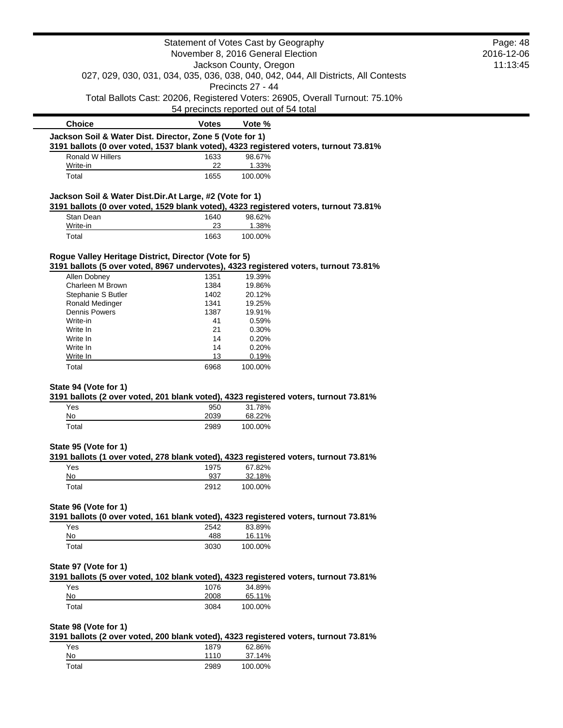| Statement of Votes Cast by Geography<br>November 8, 2016 General Election<br>Jackson County, Oregon       |                                       |                   | Page: 48                                                                           |          |
|-----------------------------------------------------------------------------------------------------------|---------------------------------------|-------------------|------------------------------------------------------------------------------------|----------|
|                                                                                                           |                                       |                   | 2016-12-06                                                                         |          |
|                                                                                                           |                                       |                   |                                                                                    | 11:13:45 |
|                                                                                                           |                                       |                   | 027, 029, 030, 031, 034, 035, 036, 038, 040, 042, 044, All Districts, All Contests |          |
|                                                                                                           |                                       | Precincts 27 - 44 |                                                                                    |          |
|                                                                                                           | 54 precincts reported out of 54 total |                   | Total Ballots Cast: 20206, Registered Voters: 26905, Overall Turnout: 75.10%       |          |
| <b>Choice</b>                                                                                             | <b>Votes</b>                          | Vote %            |                                                                                    |          |
| Jackson Soil & Water Dist. Director, Zone 5 (Vote for 1)                                                  |                                       |                   |                                                                                    |          |
| 3191 ballots (0 over voted, 1537 blank voted), 4323 registered voters, turnout 73.81%<br>Ronald W Hillers | 1633                                  | 98.67%            |                                                                                    |          |
| Write-in                                                                                                  | 22                                    | 1.33%             |                                                                                    |          |
| Total                                                                                                     | 1655                                  | 100.00%           |                                                                                    |          |
| Jackson Soil & Water Dist.Dir.At Large, #2 (Vote for 1)                                                   |                                       |                   |                                                                                    |          |
| 3191 ballots (0 over voted, 1529 blank voted), 4323 registered voters, turnout 73.81%                     |                                       |                   |                                                                                    |          |
| Stan Dean                                                                                                 | 1640                                  | 98.62%            |                                                                                    |          |
| Write-in                                                                                                  | 23                                    | 1.38%             |                                                                                    |          |
| Total                                                                                                     | 1663                                  | 100.00%           |                                                                                    |          |
| Rogue Valley Heritage District, Director (Vote for 5)                                                     |                                       |                   |                                                                                    |          |
| 3191 ballots (5 over voted, 8967 undervotes), 4323 registered voters, turnout 73.81%                      |                                       | 19.39%            |                                                                                    |          |
| Allen Dobney<br>Charleen M Brown                                                                          | 1351<br>1384                          | 19.86%            |                                                                                    |          |
| Stephanie S Butler                                                                                        | 1402                                  | 20.12%            |                                                                                    |          |
| Ronald Medinger                                                                                           | 1341                                  | 19.25%            |                                                                                    |          |
| <b>Dennis Powers</b>                                                                                      | 1387                                  | 19.91%            |                                                                                    |          |
| Write-in                                                                                                  | 41                                    | 0.59%             |                                                                                    |          |
| Write In                                                                                                  | 21                                    | 0.30%             |                                                                                    |          |
| Write In                                                                                                  | 14                                    | 0.20%             |                                                                                    |          |
| Write In                                                                                                  | 14                                    | 0.20%             |                                                                                    |          |
| Write In                                                                                                  | 13                                    | 0.19%             |                                                                                    |          |
| Total                                                                                                     | 6968                                  | 100.00%           |                                                                                    |          |
| State 94 (Vote for 1)                                                                                     |                                       |                   |                                                                                    |          |
| 3191 ballots (2 over voted, 201 blank voted), 4323 registered voters, turnout 73.81%                      |                                       |                   |                                                                                    |          |
| Yes                                                                                                       | 950                                   | 31.78%            |                                                                                    |          |
| No                                                                                                        | 2039                                  | 68.22%            |                                                                                    |          |
| Total                                                                                                     | 2989                                  | 100.00%           |                                                                                    |          |
| State 95 (Vote for 1)                                                                                     |                                       |                   |                                                                                    |          |
| 3191 ballots (1 over voted, 278 blank voted), 4323 registered voters, turnout 73.81%                      |                                       |                   |                                                                                    |          |
| Yes                                                                                                       | 1975                                  | 67.82%            |                                                                                    |          |
| No                                                                                                        | 937                                   | 32.18%            |                                                                                    |          |
| Total                                                                                                     | 2912                                  | 100.00%           |                                                                                    |          |
| State 96 (Vote for 1)                                                                                     |                                       |                   |                                                                                    |          |
| 3191 ballots (0 over voted, 161 blank voted), 4323 registered voters, turnout 73.81%                      |                                       |                   |                                                                                    |          |
| Yes                                                                                                       | 2542                                  | 83.89%            |                                                                                    |          |
| No                                                                                                        | 488                                   | 16.11%            |                                                                                    |          |
| Total                                                                                                     | 3030                                  | 100.00%           |                                                                                    |          |
| State 97 (Vote for 1)                                                                                     |                                       |                   |                                                                                    |          |
| 3191 ballots (5 over voted, 102 blank voted), 4323 registered voters, turnout 73.81%                      |                                       |                   |                                                                                    |          |
| Yes                                                                                                       | 1076                                  | 34.89%            |                                                                                    |          |
| $No$                                                                                                      | 2008                                  | 65.11%            |                                                                                    |          |
| Total                                                                                                     | 3084                                  | 100.00%           |                                                                                    |          |
| State 98 (Vote for 1)                                                                                     |                                       |                   |                                                                                    |          |
| 3191 ballots (2 over voted, 200 blank voted), 4323 registered voters, turnout 73.81%                      |                                       |                   |                                                                                    |          |
| Yes                                                                                                       | 1879                                  | 62.86%            |                                                                                    |          |
| No                                                                                                        | 1110                                  | 37.14%            |                                                                                    |          |
| Total                                                                                                     | 2989                                  | 100.00%           |                                                                                    |          |
|                                                                                                           |                                       |                   |                                                                                    |          |